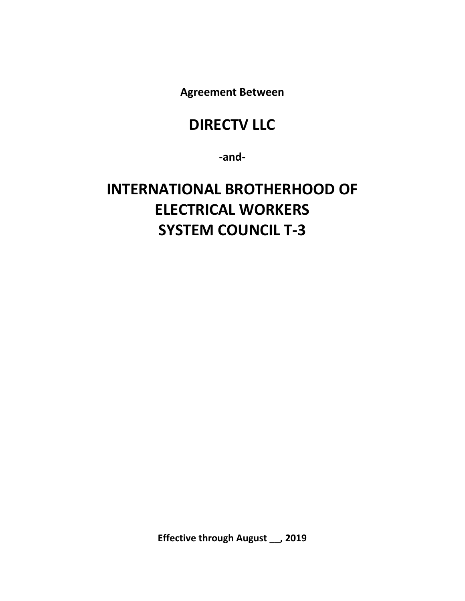**Agreement Between** 

## **DIRECTV LLC**

**‐and‐** 

# **INTERNATIONAL BROTHERHOOD OF ELECTRICAL WORKERS SYSTEM COUNCIL T‐3**

**Effective through August \_\_, 2019**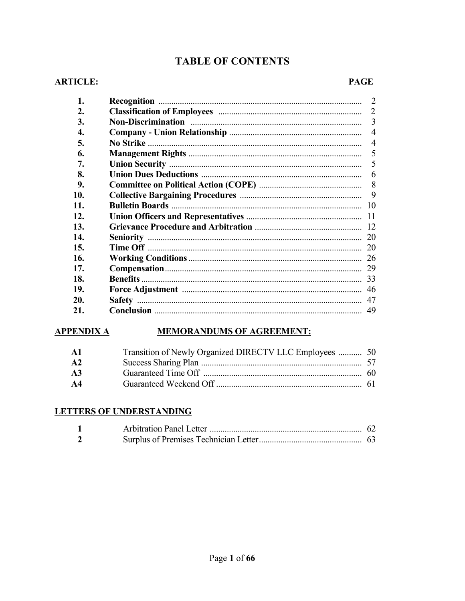## **TABLE OF CONTENTS**

#### **ARTICLE:**

#### **PAGE**

| 1.  | 2              |
|-----|----------------|
| 2.  | $\overline{2}$ |
| 3.  | 3              |
| 4.  | $\overline{4}$ |
| 5.  | $\overline{4}$ |
| 6.  | 5              |
| 7.  | 5              |
| 8.  | 6              |
| 9.  |                |
| 10. | 9              |
| 11. | -10            |
| 12. |                |
| 13. |                |
| 14. | 20             |
| 15. | 20             |
| 16. | 26             |
| 17. | 29             |
| 18. | 33             |
| 19. | 46             |
| 20. | 47             |
| 21. | 49             |

## APPENDIX A MEMORANDUMS OF AGREEMENT:

| - A1          | Transition of Newly Organized DIRECTV LLC Employees  50 |  |
|---------------|---------------------------------------------------------|--|
| A2            |                                                         |  |
| A3            |                                                         |  |
| $\mathbf{A4}$ |                                                         |  |

#### **LETTERS OF UNDERSTANDING**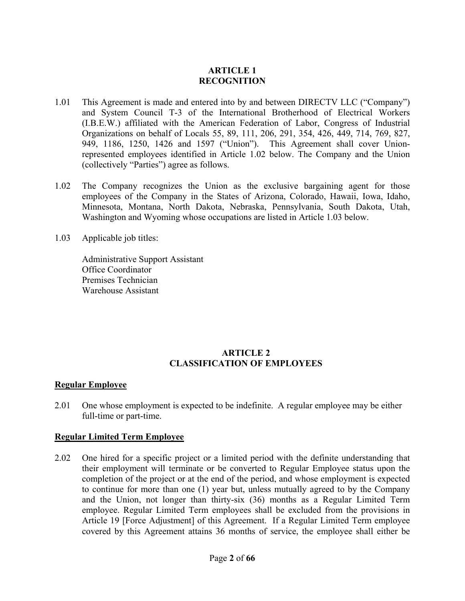#### **ARTICLE 1 RECOGNITION**

- 1.01 This Agreement is made and entered into by and between DIRECTV LLC ("Company") and System Council T-3 of the International Brotherhood of Electrical Workers (I.B.E.W.) affiliated with the American Federation of Labor, Congress of Industrial Organizations on behalf of Locals 55, 89, 111, 206, 291, 354, 426, 449, 714, 769, 827, 949, 1186, 1250, 1426 and 1597 ("Union"). This Agreement shall cover Unionrepresented employees identified in Article 1.02 below. The Company and the Union (collectively "Parties") agree as follows.
- 1.02 The Company recognizes the Union as the exclusive bargaining agent for those employees of the Company in the States of Arizona, Colorado, Hawaii, Iowa, Idaho, Minnesota, Montana, North Dakota, Nebraska, Pennsylvania, South Dakota, Utah, Washington and Wyoming whose occupations are listed in Article 1.03 below.
- 1.03 Applicable job titles:

Administrative Support Assistant Office Coordinator Premises Technician Warehouse Assistant

#### **ARTICLE 2 CLASSIFICATION OF EMPLOYEES**

#### **Regular Employee**

2.01 One whose employment is expected to be indefinite. A regular employee may be either full-time or part-time.

#### **Regular Limited Term Employee**

2.02 One hired for a specific project or a limited period with the definite understanding that their employment will terminate or be converted to Regular Employee status upon the completion of the project or at the end of the period, and whose employment is expected to continue for more than one (1) year but, unless mutually agreed to by the Company and the Union, not longer than thirty-six (36) months as a Regular Limited Term employee. Regular Limited Term employees shall be excluded from the provisions in Article 19 [Force Adjustment] of this Agreement. If a Regular Limited Term employee covered by this Agreement attains 36 months of service, the employee shall either be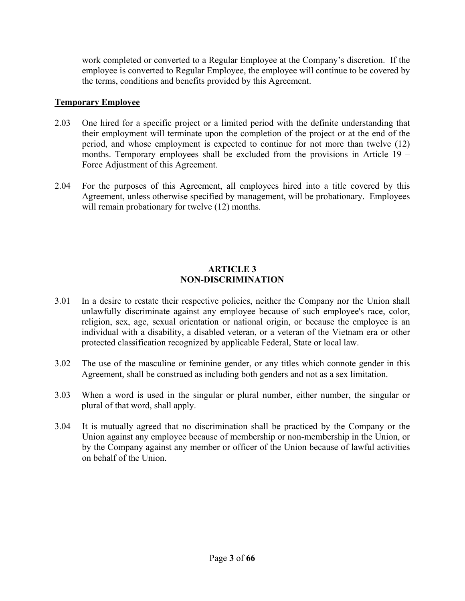work completed or converted to a Regular Employee at the Company's discretion. If the employee is converted to Regular Employee, the employee will continue to be covered by the terms, conditions and benefits provided by this Agreement.

#### **Temporary Employee**

- 2.03 One hired for a specific project or a limited period with the definite understanding that their employment will terminate upon the completion of the project or at the end of the period, and whose employment is expected to continue for not more than twelve (12) months. Temporary employees shall be excluded from the provisions in Article 19 – Force Adjustment of this Agreement.
- 2.04 For the purposes of this Agreement, all employees hired into a title covered by this Agreement, unless otherwise specified by management, will be probationary. Employees will remain probationary for twelve (12) months.

#### **ARTICLE 3 NON-DISCRIMINATION**

- 3.01 In a desire to restate their respective policies, neither the Company nor the Union shall unlawfully discriminate against any employee because of such employee's race, color, religion, sex, age, sexual orientation or national origin, or because the employee is an individual with a disability, a disabled veteran, or a veteran of the Vietnam era or other protected classification recognized by applicable Federal, State or local law.
- 3.02 The use of the masculine or feminine gender, or any titles which connote gender in this Agreement, shall be construed as including both genders and not as a sex limitation.
- 3.03 When a word is used in the singular or plural number, either number, the singular or plural of that word, shall apply.
- 3.04 It is mutually agreed that no discrimination shall be practiced by the Company or the Union against any employee because of membership or non-membership in the Union, or by the Company against any member or officer of the Union because of lawful activities on behalf of the Union.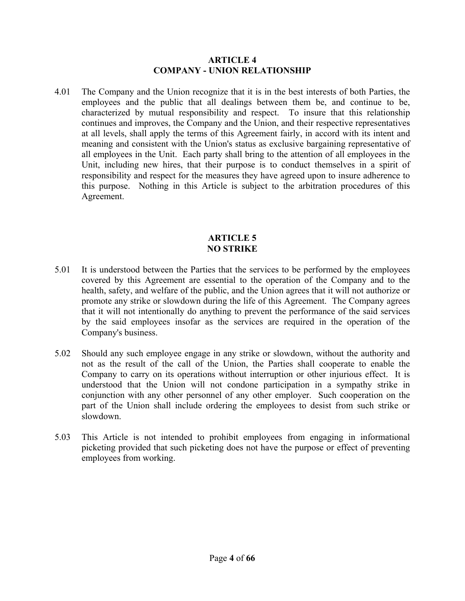#### **ARTICLE 4 COMPANY - UNION RELATIONSHIP**

4.01 The Company and the Union recognize that it is in the best interests of both Parties, the employees and the public that all dealings between them be, and continue to be, characterized by mutual responsibility and respect. To insure that this relationship continues and improves, the Company and the Union, and their respective representatives at all levels, shall apply the terms of this Agreement fairly, in accord with its intent and meaning and consistent with the Union's status as exclusive bargaining representative of all employees in the Unit. Each party shall bring to the attention of all employees in the Unit, including new hires, that their purpose is to conduct themselves in a spirit of responsibility and respect for the measures they have agreed upon to insure adherence to this purpose. Nothing in this Article is subject to the arbitration procedures of this Agreement.

#### **ARTICLE 5 NO STRIKE**

- 5.01 It is understood between the Parties that the services to be performed by the employees covered by this Agreement are essential to the operation of the Company and to the health, safety, and welfare of the public, and the Union agrees that it will not authorize or promote any strike or slowdown during the life of this Agreement. The Company agrees that it will not intentionally do anything to prevent the performance of the said services by the said employees insofar as the services are required in the operation of the Company's business.
- 5.02 Should any such employee engage in any strike or slowdown, without the authority and not as the result of the call of the Union, the Parties shall cooperate to enable the Company to carry on its operations without interruption or other injurious effect. It is understood that the Union will not condone participation in a sympathy strike in conjunction with any other personnel of any other employer. Such cooperation on the part of the Union shall include ordering the employees to desist from such strike or slowdown.
- 5.03 This Article is not intended to prohibit employees from engaging in informational picketing provided that such picketing does not have the purpose or effect of preventing employees from working.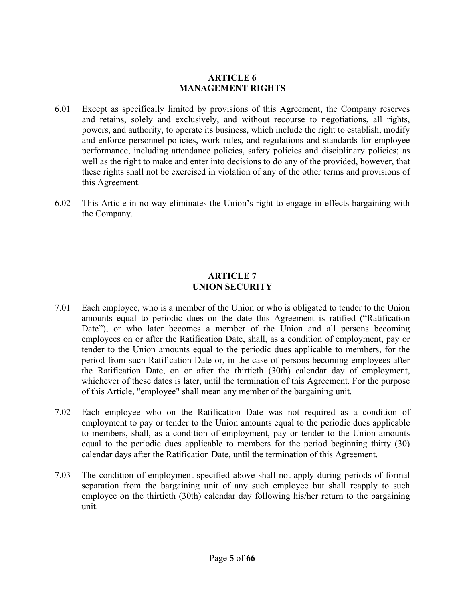#### **ARTICLE 6 MANAGEMENT RIGHTS**

- 6.01 Except as specifically limited by provisions of this Agreement, the Company reserves and retains, solely and exclusively, and without recourse to negotiations, all rights, powers, and authority, to operate its business, which include the right to establish, modify and enforce personnel policies, work rules, and regulations and standards for employee performance, including attendance policies, safety policies and disciplinary policies; as well as the right to make and enter into decisions to do any of the provided, however, that these rights shall not be exercised in violation of any of the other terms and provisions of this Agreement.
- 6.02 This Article in no way eliminates the Union's right to engage in effects bargaining with the Company.

#### **ARTICLE 7 UNION SECURITY**

- 7.01 Each employee, who is a member of the Union or who is obligated to tender to the Union amounts equal to periodic dues on the date this Agreement is ratified ("Ratification Date"), or who later becomes a member of the Union and all persons becoming employees on or after the Ratification Date, shall, as a condition of employment, pay or tender to the Union amounts equal to the periodic dues applicable to members, for the period from such Ratification Date or, in the case of persons becoming employees after the Ratification Date, on or after the thirtieth (30th) calendar day of employment, whichever of these dates is later, until the termination of this Agreement. For the purpose of this Article, "employee" shall mean any member of the bargaining unit.
- 7.02 Each employee who on the Ratification Date was not required as a condition of employment to pay or tender to the Union amounts equal to the periodic dues applicable to members, shall, as a condition of employment, pay or tender to the Union amounts equal to the periodic dues applicable to members for the period beginning thirty (30) calendar days after the Ratification Date, until the termination of this Agreement.
- 7.03 The condition of employment specified above shall not apply during periods of formal separation from the bargaining unit of any such employee but shall reapply to such employee on the thirtieth (30th) calendar day following his/her return to the bargaining unit.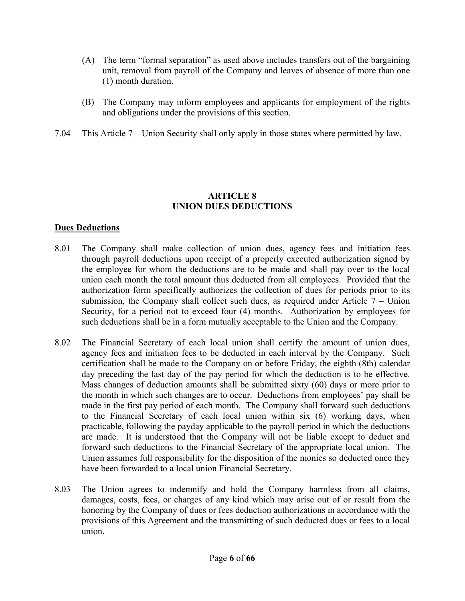- (A) The term "formal separation" as used above includes transfers out of the bargaining unit, removal from payroll of the Company and leaves of absence of more than one (1) month duration.
- (B) The Company may inform employees and applicants for employment of the rights and obligations under the provisions of this section.
- 7.04 This Article 7 Union Security shall only apply in those states where permitted by law.

#### **ARTICLE 8 UNION DUES DEDUCTIONS**

#### **Dues Deductions**

- 8.01 The Company shall make collection of union dues, agency fees and initiation fees through payroll deductions upon receipt of a properly executed authorization signed by the employee for whom the deductions are to be made and shall pay over to the local union each month the total amount thus deducted from all employees. Provided that the authorization form specifically authorizes the collection of dues for periods prior to its submission, the Company shall collect such dues, as required under Article  $7 -$ Union Security, for a period not to exceed four (4) months. Authorization by employees for such deductions shall be in a form mutually acceptable to the Union and the Company.
- 8.02 The Financial Secretary of each local union shall certify the amount of union dues, agency fees and initiation fees to be deducted in each interval by the Company. Such certification shall be made to the Company on or before Friday, the eighth (8th) calendar day preceding the last day of the pay period for which the deduction is to be effective. Mass changes of deduction amounts shall be submitted sixty (60) days or more prior to the month in which such changes are to occur. Deductions from employees' pay shall be made in the first pay period of each month. The Company shall forward such deductions to the Financial Secretary of each local union within six (6) working days, when practicable, following the payday applicable to the payroll period in which the deductions are made. It is understood that the Company will not be liable except to deduct and forward such deductions to the Financial Secretary of the appropriate local union. The Union assumes full responsibility for the disposition of the monies so deducted once they have been forwarded to a local union Financial Secretary.
- 8.03 The Union agrees to indemnify and hold the Company harmless from all claims, damages, costs, fees, or charges of any kind which may arise out of or result from the honoring by the Company of dues or fees deduction authorizations in accordance with the provisions of this Agreement and the transmitting of such deducted dues or fees to a local union.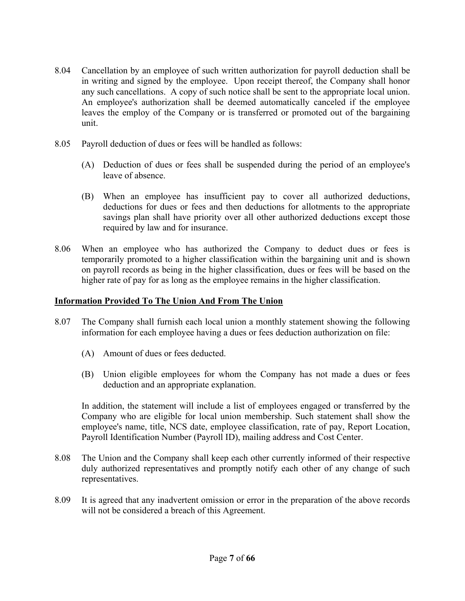- 8.04 Cancellation by an employee of such written authorization for payroll deduction shall be in writing and signed by the employee. Upon receipt thereof, the Company shall honor any such cancellations. A copy of such notice shall be sent to the appropriate local union. An employee's authorization shall be deemed automatically canceled if the employee leaves the employ of the Company or is transferred or promoted out of the bargaining unit.
- 8.05 Payroll deduction of dues or fees will be handled as follows:
	- (A) Deduction of dues or fees shall be suspended during the period of an employee's leave of absence.
	- (B) When an employee has insufficient pay to cover all authorized deductions, deductions for dues or fees and then deductions for allotments to the appropriate savings plan shall have priority over all other authorized deductions except those required by law and for insurance.
- 8.06 When an employee who has authorized the Company to deduct dues or fees is temporarily promoted to a higher classification within the bargaining unit and is shown on payroll records as being in the higher classification, dues or fees will be based on the higher rate of pay for as long as the employee remains in the higher classification.

#### **Information Provided To The Union And From The Union**

- 8.07 The Company shall furnish each local union a monthly statement showing the following information for each employee having a dues or fees deduction authorization on file:
	- (A) Amount of dues or fees deducted.
	- (B) Union eligible employees for whom the Company has not made a dues or fees deduction and an appropriate explanation.

 In addition, the statement will include a list of employees engaged or transferred by the Company who are eligible for local union membership. Such statement shall show the employee's name, title, NCS date, employee classification, rate of pay, Report Location, Payroll Identification Number (Payroll ID), mailing address and Cost Center.

- 8.08 The Union and the Company shall keep each other currently informed of their respective duly authorized representatives and promptly notify each other of any change of such representatives.
- 8.09 It is agreed that any inadvertent omission or error in the preparation of the above records will not be considered a breach of this Agreement.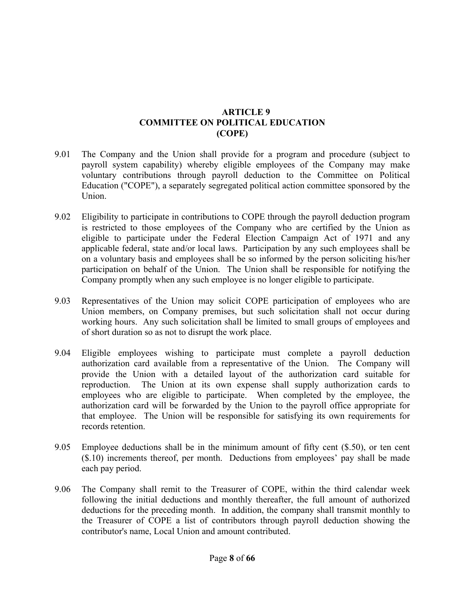#### **ARTICLE 9 COMMITTEE ON POLITICAL EDUCATION (COPE)**

- 9.01 The Company and the Union shall provide for a program and procedure (subject to payroll system capability) whereby eligible employees of the Company may make voluntary contributions through payroll deduction to the Committee on Political Education ("COPE"), a separately segregated political action committee sponsored by the Union.
- 9.02 Eligibility to participate in contributions to COPE through the payroll deduction program is restricted to those employees of the Company who are certified by the Union as eligible to participate under the Federal Election Campaign Act of 1971 and any applicable federal, state and/or local laws. Participation by any such employees shall be on a voluntary basis and employees shall be so informed by the person soliciting his/her participation on behalf of the Union. The Union shall be responsible for notifying the Company promptly when any such employee is no longer eligible to participate.
- 9.03 Representatives of the Union may solicit COPE participation of employees who are Union members, on Company premises, but such solicitation shall not occur during working hours. Any such solicitation shall be limited to small groups of employees and of short duration so as not to disrupt the work place.
- 9.04 Eligible employees wishing to participate must complete a payroll deduction authorization card available from a representative of the Union. The Company will provide the Union with a detailed layout of the authorization card suitable for reproduction. The Union at its own expense shall supply authorization cards to employees who are eligible to participate. When completed by the employee, the authorization card will be forwarded by the Union to the payroll office appropriate for that employee. The Union will be responsible for satisfying its own requirements for records retention.
- 9.05 Employee deductions shall be in the minimum amount of fifty cent (\$.50), or ten cent (\$.10) increments thereof, per month. Deductions from employees' pay shall be made each pay period.
- 9.06 The Company shall remit to the Treasurer of COPE, within the third calendar week following the initial deductions and monthly thereafter, the full amount of authorized deductions for the preceding month. In addition, the company shall transmit monthly to the Treasurer of COPE a list of contributors through payroll deduction showing the contributor's name, Local Union and amount contributed.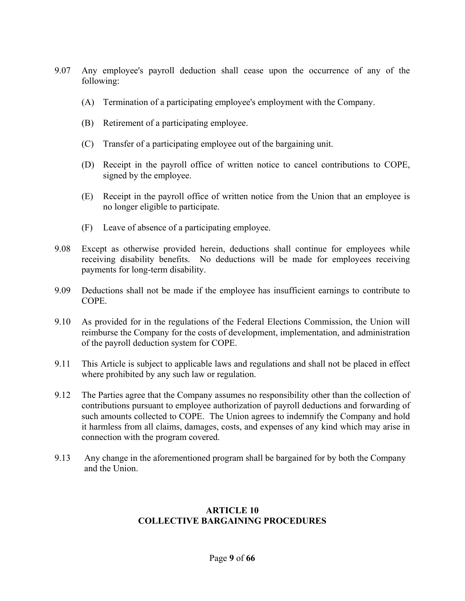- 9.07 Any employee's payroll deduction shall cease upon the occurrence of any of the following:
	- (A) Termination of a participating employee's employment with the Company.
	- (B) Retirement of a participating employee.
	- (C) Transfer of a participating employee out of the bargaining unit.
	- (D) Receipt in the payroll office of written notice to cancel contributions to COPE, signed by the employee.
	- (E) Receipt in the payroll office of written notice from the Union that an employee is no longer eligible to participate.
	- (F) Leave of absence of a participating employee.
- 9.08 Except as otherwise provided herein, deductions shall continue for employees while receiving disability benefits. No deductions will be made for employees receiving payments for long-term disability.
- 9.09 Deductions shall not be made if the employee has insufficient earnings to contribute to COPE.
- 9.10 As provided for in the regulations of the Federal Elections Commission, the Union will reimburse the Company for the costs of development, implementation, and administration of the payroll deduction system for COPE.
- 9.11 This Article is subject to applicable laws and regulations and shall not be placed in effect where prohibited by any such law or regulation.
- 9.12 The Parties agree that the Company assumes no responsibility other than the collection of contributions pursuant to employee authorization of payroll deductions and forwarding of such amounts collected to COPE. The Union agrees to indemnify the Company and hold it harmless from all claims, damages, costs, and expenses of any kind which may arise in connection with the program covered.
- 9.13 Any change in the aforementioned program shall be bargained for by both the Company and the Union.

#### **ARTICLE 10 COLLECTIVE BARGAINING PROCEDURES**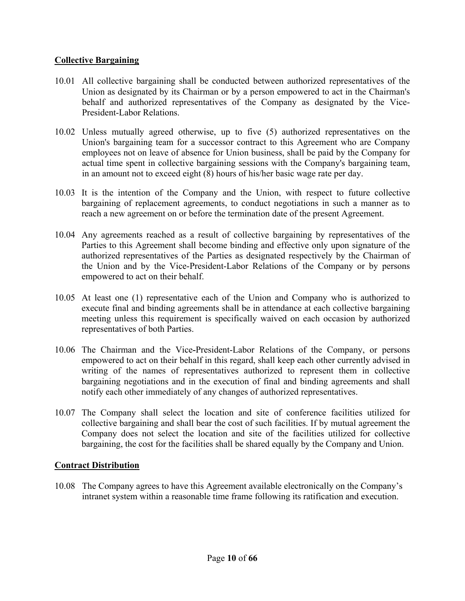#### **Collective Bargaining**

- 10.01 All collective bargaining shall be conducted between authorized representatives of the Union as designated by its Chairman or by a person empowered to act in the Chairman's behalf and authorized representatives of the Company as designated by the Vice-President-Labor Relations.
- 10.02 Unless mutually agreed otherwise, up to five (5) authorized representatives on the Union's bargaining team for a successor contract to this Agreement who are Company employees not on leave of absence for Union business, shall be paid by the Company for actual time spent in collective bargaining sessions with the Company's bargaining team, in an amount not to exceed eight (8) hours of his/her basic wage rate per day.
- 10.03 It is the intention of the Company and the Union, with respect to future collective bargaining of replacement agreements, to conduct negotiations in such a manner as to reach a new agreement on or before the termination date of the present Agreement.
- 10.04 Any agreements reached as a result of collective bargaining by representatives of the Parties to this Agreement shall become binding and effective only upon signature of the authorized representatives of the Parties as designated respectively by the Chairman of the Union and by the Vice-President-Labor Relations of the Company or by persons empowered to act on their behalf.
- 10.05 At least one (1) representative each of the Union and Company who is authorized to execute final and binding agreements shall be in attendance at each collective bargaining meeting unless this requirement is specifically waived on each occasion by authorized representatives of both Parties.
- 10.06 The Chairman and the Vice-President-Labor Relations of the Company, or persons empowered to act on their behalf in this regard, shall keep each other currently advised in writing of the names of representatives authorized to represent them in collective bargaining negotiations and in the execution of final and binding agreements and shall notify each other immediately of any changes of authorized representatives.
- 10.07 The Company shall select the location and site of conference facilities utilized for collective bargaining and shall bear the cost of such facilities. If by mutual agreement the Company does not select the location and site of the facilities utilized for collective bargaining, the cost for the facilities shall be shared equally by the Company and Union.

#### **Contract Distribution**

10.08 The Company agrees to have this Agreement available electronically on the Company's intranet system within a reasonable time frame following its ratification and execution.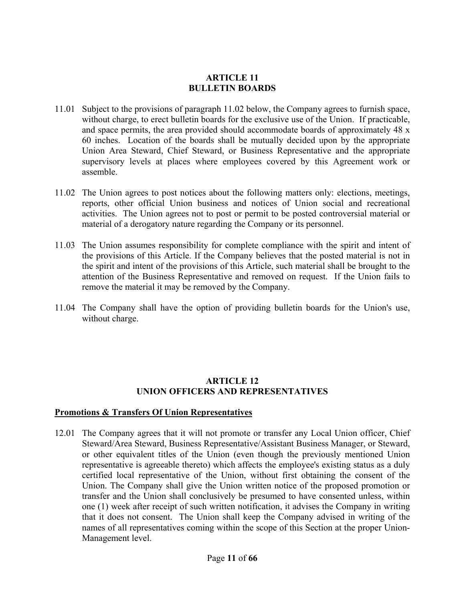#### **ARTICLE 11 BULLETIN BOARDS**

- 11.01 Subject to the provisions of paragraph 11.02 below, the Company agrees to furnish space, without charge, to erect bulletin boards for the exclusive use of the Union. If practicable, and space permits, the area provided should accommodate boards of approximately 48 x 60 inches. Location of the boards shall be mutually decided upon by the appropriate Union Area Steward, Chief Steward, or Business Representative and the appropriate supervisory levels at places where employees covered by this Agreement work or assemble.
- 11.02 The Union agrees to post notices about the following matters only: elections, meetings, reports, other official Union business and notices of Union social and recreational activities. The Union agrees not to post or permit to be posted controversial material or material of a derogatory nature regarding the Company or its personnel.
- 11.03 The Union assumes responsibility for complete compliance with the spirit and intent of the provisions of this Article. If the Company believes that the posted material is not in the spirit and intent of the provisions of this Article, such material shall be brought to the attention of the Business Representative and removed on request. If the Union fails to remove the material it may be removed by the Company.
- 11.04 The Company shall have the option of providing bulletin boards for the Union's use, without charge.

#### **ARTICLE 12 UNION OFFICERS AND REPRESENTATIVES**

#### **Promotions & Transfers Of Union Representatives**

12.01 The Company agrees that it will not promote or transfer any Local Union officer, Chief Steward/Area Steward, Business Representative/Assistant Business Manager, or Steward, or other equivalent titles of the Union (even though the previously mentioned Union representative is agreeable thereto) which affects the employee's existing status as a duly certified local representative of the Union, without first obtaining the consent of the Union. The Company shall give the Union written notice of the proposed promotion or transfer and the Union shall conclusively be presumed to have consented unless, within one (1) week after receipt of such written notification, it advises the Company in writing that it does not consent. The Union shall keep the Company advised in writing of the names of all representatives coming within the scope of this Section at the proper Union-Management level.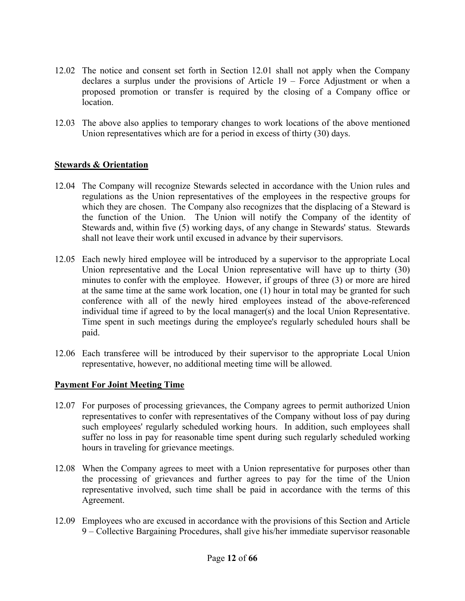- 12.02 The notice and consent set forth in Section 12.01 shall not apply when the Company declares a surplus under the provisions of Article 19 – Force Adjustment or when a proposed promotion or transfer is required by the closing of a Company office or location.
- 12.03 The above also applies to temporary changes to work locations of the above mentioned Union representatives which are for a period in excess of thirty (30) days.

#### **Stewards & Orientation**

- 12.04 The Company will recognize Stewards selected in accordance with the Union rules and regulations as the Union representatives of the employees in the respective groups for which they are chosen. The Company also recognizes that the displacing of a Steward is the function of the Union. The Union will notify the Company of the identity of Stewards and, within five (5) working days, of any change in Stewards' status. Stewards shall not leave their work until excused in advance by their supervisors.
- 12.05 Each newly hired employee will be introduced by a supervisor to the appropriate Local Union representative and the Local Union representative will have up to thirty (30) minutes to confer with the employee. However, if groups of three (3) or more are hired at the same time at the same work location, one (1) hour in total may be granted for such conference with all of the newly hired employees instead of the above-referenced individual time if agreed to by the local manager(s) and the local Union Representative. Time spent in such meetings during the employee's regularly scheduled hours shall be paid.
- 12.06 Each transferee will be introduced by their supervisor to the appropriate Local Union representative, however, no additional meeting time will be allowed.

#### **Payment For Joint Meeting Time**

- 12.07 For purposes of processing grievances, the Company agrees to permit authorized Union representatives to confer with representatives of the Company without loss of pay during such employees' regularly scheduled working hours. In addition, such employees shall suffer no loss in pay for reasonable time spent during such regularly scheduled working hours in traveling for grievance meetings.
- 12.08 When the Company agrees to meet with a Union representative for purposes other than the processing of grievances and further agrees to pay for the time of the Union representative involved, such time shall be paid in accordance with the terms of this Agreement.
- 12.09 Employees who are excused in accordance with the provisions of this Section and Article 9 – Collective Bargaining Procedures, shall give his/her immediate supervisor reasonable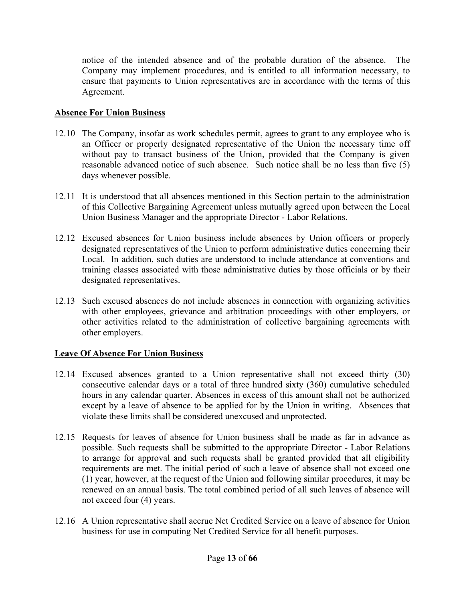notice of the intended absence and of the probable duration of the absence. The Company may implement procedures, and is entitled to all information necessary, to ensure that payments to Union representatives are in accordance with the terms of this Agreement.

#### **Absence For Union Business**

- 12.10 The Company, insofar as work schedules permit, agrees to grant to any employee who is an Officer or properly designated representative of the Union the necessary time off without pay to transact business of the Union, provided that the Company is given reasonable advanced notice of such absence. Such notice shall be no less than five (5) days whenever possible.
- 12.11 It is understood that all absences mentioned in this Section pertain to the administration of this Collective Bargaining Agreement unless mutually agreed upon between the Local Union Business Manager and the appropriate Director - Labor Relations.
- 12.12 Excused absences for Union business include absences by Union officers or properly designated representatives of the Union to perform administrative duties concerning their Local. In addition, such duties are understood to include attendance at conventions and training classes associated with those administrative duties by those officials or by their designated representatives.
- 12.13 Such excused absences do not include absences in connection with organizing activities with other employees, grievance and arbitration proceedings with other employers, or other activities related to the administration of collective bargaining agreements with other employers.

## **Leave Of Absence For Union Business**

- 12.14 Excused absences granted to a Union representative shall not exceed thirty (30) consecutive calendar days or a total of three hundred sixty (360) cumulative scheduled hours in any calendar quarter. Absences in excess of this amount shall not be authorized except by a leave of absence to be applied for by the Union in writing. Absences that violate these limits shall be considered unexcused and unprotected.
- 12.15 Requests for leaves of absence for Union business shall be made as far in advance as possible. Such requests shall be submitted to the appropriate Director - Labor Relations to arrange for approval and such requests shall be granted provided that all eligibility requirements are met. The initial period of such a leave of absence shall not exceed one (1) year, however, at the request of the Union and following similar procedures, it may be renewed on an annual basis. The total combined period of all such leaves of absence will not exceed four (4) years.
- 12.16 A Union representative shall accrue Net Credited Service on a leave of absence for Union business for use in computing Net Credited Service for all benefit purposes.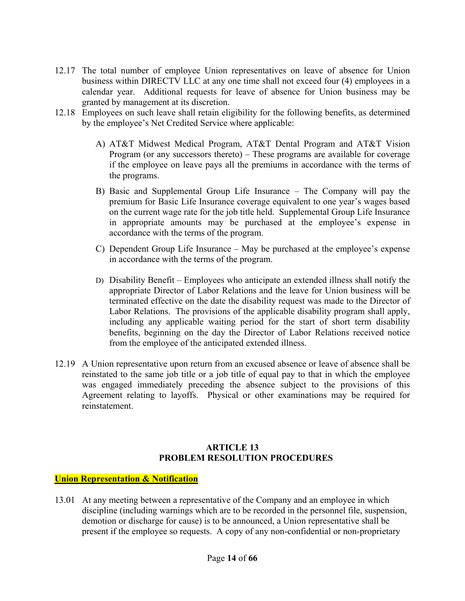- 12.17 The total number of employee Union representatives on leave of absence for Union business within DIRECTV LLC at any one time shall not exceed four (4) employees in a calendar year. Additional requests for leave of absence for Union business may be granted by management at its discretion.
- 12.18 Employees on such leave shall retain eligibility for the following benefits, as determined by the employee's Net Credited Service where applicable:
	- A) AT&T Midwest Medical Program, AT&T Dental Program and AT&T Vision Program (or any successors thereto) – These programs are available for coverage if the employee on leave pays all the premiums in accordance with the terms of the programs.
	- B) Basic and Supplemental Group Life Insurance The Company will pay the premium for Basic Life Insurance coverage equivalent to one year's wages based on the current wage rate for the job title held. Supplemental Group Life Insurance in appropriate amounts may be purchased at the employee's expense in accordance with the terms of the program.
	- C) Dependent Group Life Insurance May be purchased at the employee's expense in accordance with the terms of the program.
	- D) Disability Benefit Employees who anticipate an extended illness shall notify the appropriate Director of Labor Relations and the leave for Union business will be terminated effective on the date the disability request was made to the Director of Labor Relations. The provisions of the applicable disability program shall apply, including any applicable waiting period for the start of short term disability benefits, beginning on the day the Director of Labor Relations received notice from the employee of the anticipated extended illness.
- 12.19 A Union representative upon return from an excused absence or leave of absence shall be reinstated to the same job title or a job title of equal pay to that in which the employee was engaged immediately preceding the absence subject to the provisions of this Agreement relating to layoffs. Physical or other examinations may be required for reinstatement.

#### **ARTICLE 13 PROBLEM RESOLUTION PROCEDURES**

#### **Union Representation & Notification**

13.01 At any meeting between a representative of the Company and an employee in which discipline (including warnings which are to be recorded in the personnel file, suspension, demotion or discharge for cause) is to be announced, a Union representative shall be present if the employee so requests. A copy of any non-confidential or non-proprietary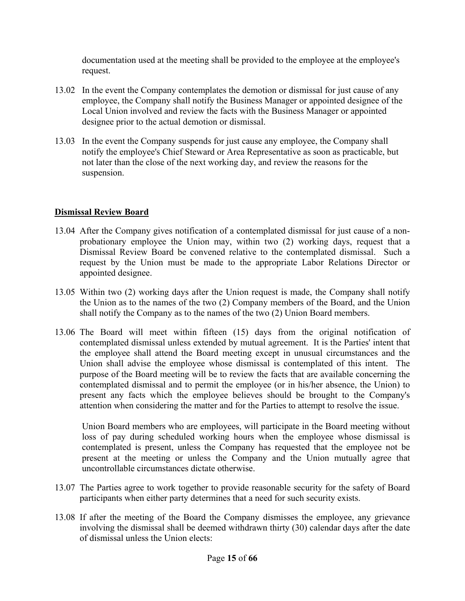documentation used at the meeting shall be provided to the employee at the employee's request.

- 13.02 In the event the Company contemplates the demotion or dismissal for just cause of any employee, the Company shall notify the Business Manager or appointed designee of the Local Union involved and review the facts with the Business Manager or appointed designee prior to the actual demotion or dismissal.
- 13.03 In the event the Company suspends for just cause any employee, the Company shall notify the employee's Chief Steward or Area Representative as soon as practicable, but not later than the close of the next working day, and review the reasons for the suspension.

#### **Dismissal Review Board**

- 13.04 After the Company gives notification of a contemplated dismissal for just cause of a nonprobationary employee the Union may, within two (2) working days, request that a Dismissal Review Board be convened relative to the contemplated dismissal. Such a request by the Union must be made to the appropriate Labor Relations Director or appointed designee.
- 13.05 Within two (2) working days after the Union request is made, the Company shall notify the Union as to the names of the two (2) Company members of the Board, and the Union shall notify the Company as to the names of the two (2) Union Board members.
- 13.06 The Board will meet within fifteen (15) days from the original notification of contemplated dismissal unless extended by mutual agreement. It is the Parties' intent that the employee shall attend the Board meeting except in unusual circumstances and the Union shall advise the employee whose dismissal is contemplated of this intent. The purpose of the Board meeting will be to review the facts that are available concerning the contemplated dismissal and to permit the employee (or in his/her absence, the Union) to present any facts which the employee believes should be brought to the Company's attention when considering the matter and for the Parties to attempt to resolve the issue.

Union Board members who are employees, will participate in the Board meeting without loss of pay during scheduled working hours when the employee whose dismissal is contemplated is present, unless the Company has requested that the employee not be present at the meeting or unless the Company and the Union mutually agree that uncontrollable circumstances dictate otherwise.

- 13.07 The Parties agree to work together to provide reasonable security for the safety of Board participants when either party determines that a need for such security exists.
- 13.08 If after the meeting of the Board the Company dismisses the employee, any grievance involving the dismissal shall be deemed withdrawn thirty (30) calendar days after the date of dismissal unless the Union elects: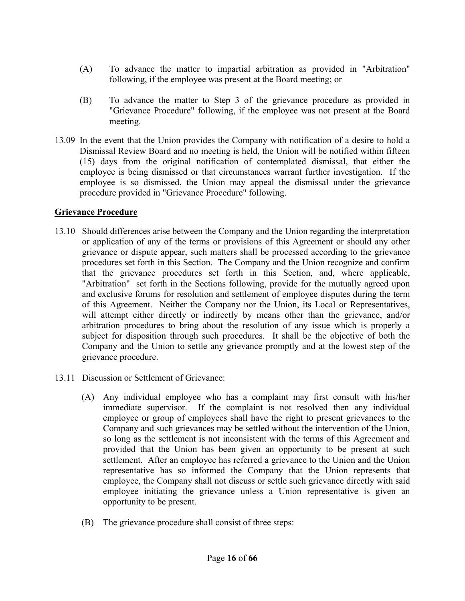- (A) To advance the matter to impartial arbitration as provided in "Arbitration" following, if the employee was present at the Board meeting; or
- (B) To advance the matter to Step 3 of the grievance procedure as provided in "Grievance Procedure" following, if the employee was not present at the Board meeting.
- 13.09 In the event that the Union provides the Company with notification of a desire to hold a Dismissal Review Board and no meeting is held, the Union will be notified within fifteen (15) days from the original notification of contemplated dismissal, that either the employee is being dismissed or that circumstances warrant further investigation. If the employee is so dismissed, the Union may appeal the dismissal under the grievance procedure provided in "Grievance Procedure" following.

#### **Grievance Procedure**

- 13.10 Should differences arise between the Company and the Union regarding the interpretation or application of any of the terms or provisions of this Agreement or should any other grievance or dispute appear, such matters shall be processed according to the grievance procedures set forth in this Section. The Company and the Union recognize and confirm that the grievance procedures set forth in this Section, and, where applicable, "Arbitration" set forth in the Sections following, provide for the mutually agreed upon and exclusive forums for resolution and settlement of employee disputes during the term of this Agreement. Neither the Company nor the Union, its Local or Representatives, will attempt either directly or indirectly by means other than the grievance, and/or arbitration procedures to bring about the resolution of any issue which is properly a subject for disposition through such procedures. It shall be the objective of both the Company and the Union to settle any grievance promptly and at the lowest step of the grievance procedure.
- 13.11 Discussion or Settlement of Grievance:
	- (A) Any individual employee who has a complaint may first consult with his/her immediate supervisor. If the complaint is not resolved then any individual employee or group of employees shall have the right to present grievances to the Company and such grievances may be settled without the intervention of the Union, so long as the settlement is not inconsistent with the terms of this Agreement and provided that the Union has been given an opportunity to be present at such settlement. After an employee has referred a grievance to the Union and the Union representative has so informed the Company that the Union represents that employee, the Company shall not discuss or settle such grievance directly with said employee initiating the grievance unless a Union representative is given an opportunity to be present.
	- (B) The grievance procedure shall consist of three steps: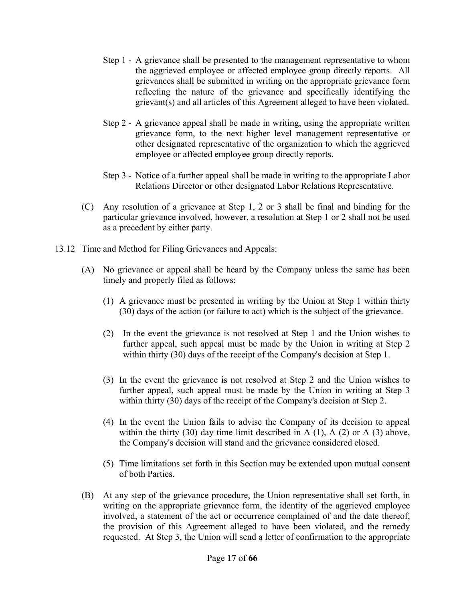- Step 1 A grievance shall be presented to the management representative to whom the aggrieved employee or affected employee group directly reports. All grievances shall be submitted in writing on the appropriate grievance form reflecting the nature of the grievance and specifically identifying the grievant(s) and all articles of this Agreement alleged to have been violated.
- Step 2 A grievance appeal shall be made in writing, using the appropriate written grievance form, to the next higher level management representative or other designated representative of the organization to which the aggrieved employee or affected employee group directly reports.
- Step 3 Notice of a further appeal shall be made in writing to the appropriate Labor Relations Director or other designated Labor Relations Representative.
- (C) Any resolution of a grievance at Step 1, 2 or 3 shall be final and binding for the particular grievance involved, however, a resolution at Step 1 or 2 shall not be used as a precedent by either party.
- 13.12 Time and Method for Filing Grievances and Appeals:
	- (A) No grievance or appeal shall be heard by the Company unless the same has been timely and properly filed as follows:
		- (1) A grievance must be presented in writing by the Union at Step 1 within thirty (30) days of the action (or failure to act) which is the subject of the grievance.
		- (2) In the event the grievance is not resolved at Step 1 and the Union wishes to further appeal, such appeal must be made by the Union in writing at Step 2 within thirty (30) days of the receipt of the Company's decision at Step 1.
		- (3) In the event the grievance is not resolved at Step 2 and the Union wishes to further appeal, such appeal must be made by the Union in writing at Step 3 within thirty (30) days of the receipt of the Company's decision at Step 2.
		- (4) In the event the Union fails to advise the Company of its decision to appeal within the thirty  $(30)$  day time limit described in A  $(1)$ , A  $(2)$  or A  $(3)$  above, the Company's decision will stand and the grievance considered closed.
		- (5) Time limitations set forth in this Section may be extended upon mutual consent of both Parties.
	- (B) At any step of the grievance procedure, the Union representative shall set forth, in writing on the appropriate grievance form, the identity of the aggrieved employee involved, a statement of the act or occurrence complained of and the date thereof, the provision of this Agreement alleged to have been violated, and the remedy requested. At Step 3, the Union will send a letter of confirmation to the appropriate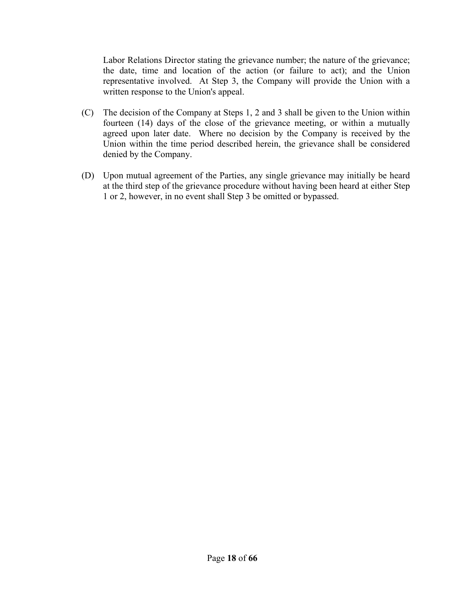Labor Relations Director stating the grievance number; the nature of the grievance; the date, time and location of the action (or failure to act); and the Union representative involved. At Step 3, the Company will provide the Union with a written response to the Union's appeal.

- (C) The decision of the Company at Steps 1, 2 and 3 shall be given to the Union within fourteen (14) days of the close of the grievance meeting, or within a mutually agreed upon later date. Where no decision by the Company is received by the Union within the time period described herein, the grievance shall be considered denied by the Company.
- (D) Upon mutual agreement of the Parties, any single grievance may initially be heard at the third step of the grievance procedure without having been heard at either Step 1 or 2, however, in no event shall Step 3 be omitted or bypassed.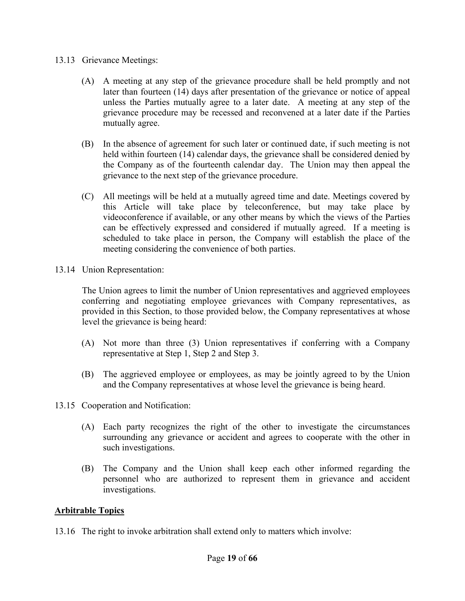#### 13.13 Grievance Meetings:

- (A) A meeting at any step of the grievance procedure shall be held promptly and not later than fourteen (14) days after presentation of the grievance or notice of appeal unless the Parties mutually agree to a later date. A meeting at any step of the grievance procedure may be recessed and reconvened at a later date if the Parties mutually agree.
- (B) In the absence of agreement for such later or continued date, if such meeting is not held within fourteen (14) calendar days, the grievance shall be considered denied by the Company as of the fourteenth calendar day. The Union may then appeal the grievance to the next step of the grievance procedure.
- (C) All meetings will be held at a mutually agreed time and date. Meetings covered by this Article will take place by teleconference, but may take place by videoconference if available, or any other means by which the views of the Parties can be effectively expressed and considered if mutually agreed. If a meeting is scheduled to take place in person, the Company will establish the place of the meeting considering the convenience of both parties.
- 13.14 Union Representation:

The Union agrees to limit the number of Union representatives and aggrieved employees conferring and negotiating employee grievances with Company representatives, as provided in this Section, to those provided below, the Company representatives at whose level the grievance is being heard:

- (A) Not more than three (3) Union representatives if conferring with a Company representative at Step 1, Step 2 and Step 3.
- (B) The aggrieved employee or employees, as may be jointly agreed to by the Union and the Company representatives at whose level the grievance is being heard.
- 13.15 Cooperation and Notification:
	- (A) Each party recognizes the right of the other to investigate the circumstances surrounding any grievance or accident and agrees to cooperate with the other in such investigations.
	- (B) The Company and the Union shall keep each other informed regarding the personnel who are authorized to represent them in grievance and accident investigations.

#### **Arbitrable Topics**

13.16 The right to invoke arbitration shall extend only to matters which involve: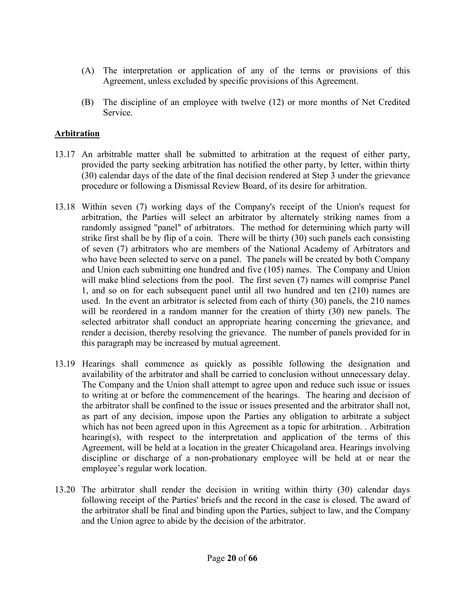- (A) The interpretation or application of any of the terms or provisions of this Agreement, unless excluded by specific provisions of this Agreement.
- (B) The discipline of an employee with twelve (12) or more months of Net Credited Service.

#### **Arbitration**

- 13.17 An arbitrable matter shall be submitted to arbitration at the request of either party, provided the party seeking arbitration has notified the other party, by letter, within thirty (30) calendar days of the date of the final decision rendered at Step 3 under the grievance procedure or following a Dismissal Review Board, of its desire for arbitration.
- 13.18 Within seven (7) working days of the Company's receipt of the Union's request for arbitration, the Parties will select an arbitrator by alternately striking names from a randomly assigned "panel" of arbitrators. The method for determining which party will strike first shall be by flip of a coin. There will be thirty (30) such panels each consisting of seven (7) arbitrators who are members of the National Academy of Arbitrators and who have been selected to serve on a panel. The panels will be created by both Company and Union each submitting one hundred and five (105) names. The Company and Union will make blind selections from the pool. The first seven (7) names will comprise Panel 1, and so on for each subsequent panel until all two hundred and ten (210) names are used. In the event an arbitrator is selected from each of thirty (30) panels, the 210 names will be reordered in a random manner for the creation of thirty (30) new panels. The selected arbitrator shall conduct an appropriate hearing concerning the grievance, and render a decision, thereby resolving the grievance. The number of panels provided for in this paragraph may be increased by mutual agreement.
- 13.19 Hearings shall commence as quickly as possible following the designation and availability of the arbitrator and shall be carried to conclusion without unnecessary delay. The Company and the Union shall attempt to agree upon and reduce such issue or issues to writing at or before the commencement of the hearings. The hearing and decision of the arbitrator shall be confined to the issue or issues presented and the arbitrator shall not, as part of any decision, impose upon the Parties any obligation to arbitrate a subject which has not been agreed upon in this Agreement as a topic for arbitration. . Arbitration hearing(s), with respect to the interpretation and application of the terms of this Agreement, will be held at a location in the greater Chicagoland area. Hearings involving discipline or discharge of a non-probationary employee will be held at or near the employee's regular work location.
- 13.20 The arbitrator shall render the decision in writing within thirty (30) calendar days following receipt of the Parties' briefs and the record in the case is closed. The award of the arbitrator shall be final and binding upon the Parties, subject to law, and the Company and the Union agree to abide by the decision of the arbitrator.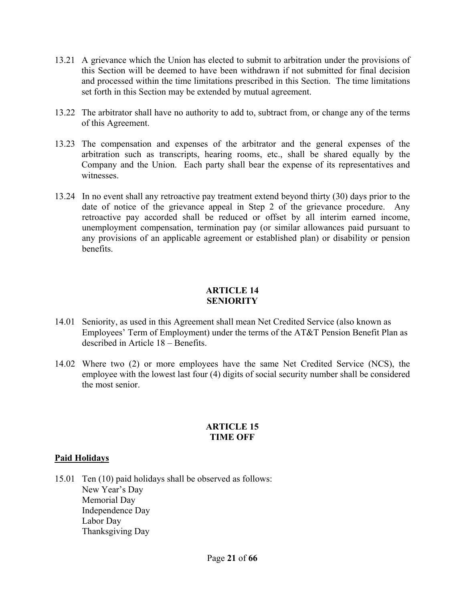- 13.21 A grievance which the Union has elected to submit to arbitration under the provisions of this Section will be deemed to have been withdrawn if not submitted for final decision and processed within the time limitations prescribed in this Section. The time limitations set forth in this Section may be extended by mutual agreement.
- 13.22 The arbitrator shall have no authority to add to, subtract from, or change any of the terms of this Agreement.
- 13.23 The compensation and expenses of the arbitrator and the general expenses of the arbitration such as transcripts, hearing rooms, etc., shall be shared equally by the Company and the Union. Each party shall bear the expense of its representatives and witnesses.
- 13.24 In no event shall any retroactive pay treatment extend beyond thirty (30) days prior to the date of notice of the grievance appeal in Step 2 of the grievance procedure. Any retroactive pay accorded shall be reduced or offset by all interim earned income, unemployment compensation, termination pay (or similar allowances paid pursuant to any provisions of an applicable agreement or established plan) or disability or pension benefits.

#### **ARTICLE 14 SENIORITY**

- 14.01 Seniority, as used in this Agreement shall mean Net Credited Service (also known as Employees' Term of Employment) under the terms of the AT&T Pension Benefit Plan as described in Article 18 – Benefits.
- 14.02 Where two (2) or more employees have the same Net Credited Service (NCS), the employee with the lowest last four (4) digits of social security number shall be considered the most senior.

#### **ARTICLE 15 TIME OFF**

#### **Paid Holidays**

15.01 Ten (10) paid holidays shall be observed as follows: New Year's Day Memorial Day Independence Day Labor Day Thanksgiving Day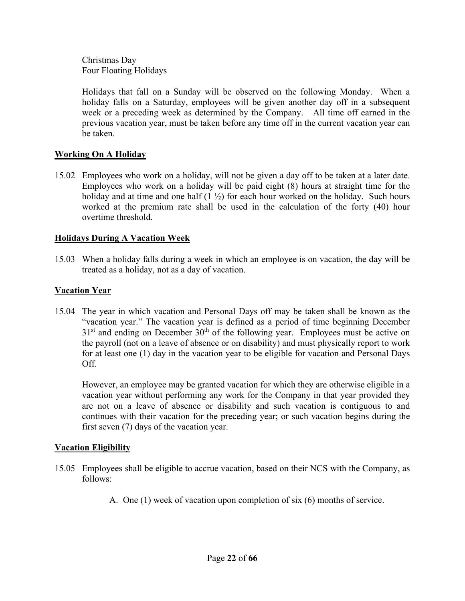Christmas Day Four Floating Holidays

Holidays that fall on a Sunday will be observed on the following Monday. When a holiday falls on a Saturday, employees will be given another day off in a subsequent week or a preceding week as determined by the Company. All time off earned in the previous vacation year, must be taken before any time off in the current vacation year can be taken.

#### **Working On A Holiday**

15.02 Employees who work on a holiday, will not be given a day off to be taken at a later date. Employees who work on a holiday will be paid eight (8) hours at straight time for the holiday and at time and one half  $(1 \frac{1}{2})$  for each hour worked on the holiday. Such hours worked at the premium rate shall be used in the calculation of the forty (40) hour overtime threshold.

#### **Holidays During A Vacation Week**

15.03 When a holiday falls during a week in which an employee is on vacation, the day will be treated as a holiday, not as a day of vacation.

#### **Vacation Year**

15.04 The year in which vacation and Personal Days off may be taken shall be known as the "vacation year." The vacation year is defined as a period of time beginning December  $31<sup>st</sup>$  and ending on December  $30<sup>th</sup>$  of the following year. Employees must be active on the payroll (not on a leave of absence or on disability) and must physically report to work for at least one (1) day in the vacation year to be eligible for vacation and Personal Days Off.

However, an employee may be granted vacation for which they are otherwise eligible in a vacation year without performing any work for the Company in that year provided they are not on a leave of absence or disability and such vacation is contiguous to and continues with their vacation for the preceding year; or such vacation begins during the first seven (7) days of the vacation year.

#### **Vacation Eligibility**

- 15.05 Employees shall be eligible to accrue vacation, based on their NCS with the Company, as follows:
	- A. One (1) week of vacation upon completion of six (6) months of service.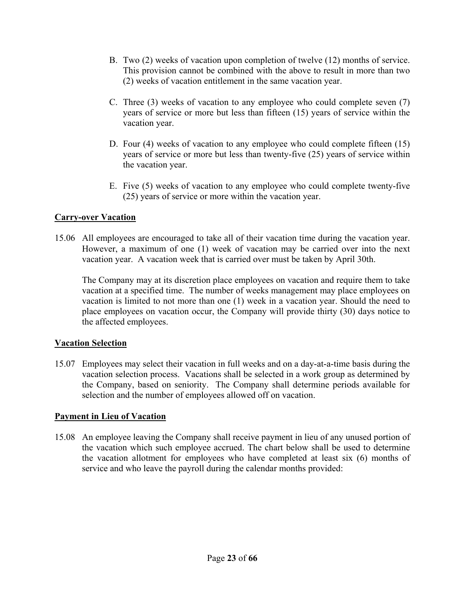- B. Two (2) weeks of vacation upon completion of twelve (12) months of service. This provision cannot be combined with the above to result in more than two (2) weeks of vacation entitlement in the same vacation year.
- C. Three (3) weeks of vacation to any employee who could complete seven (7) years of service or more but less than fifteen (15) years of service within the vacation year.
- D. Four (4) weeks of vacation to any employee who could complete fifteen (15) years of service or more but less than twenty-five (25) years of service within the vacation year.
- E. Five (5) weeks of vacation to any employee who could complete twenty-five (25) years of service or more within the vacation year.

#### **Carry-over Vacation**

15.06 All employees are encouraged to take all of their vacation time during the vacation year. However, a maximum of one (1) week of vacation may be carried over into the next vacation year. A vacation week that is carried over must be taken by April 30th.

The Company may at its discretion place employees on vacation and require them to take vacation at a specified time. The number of weeks management may place employees on vacation is limited to not more than one (1) week in a vacation year. Should the need to place employees on vacation occur, the Company will provide thirty (30) days notice to the affected employees.

#### **Vacation Selection**

15.07 Employees may select their vacation in full weeks and on a day-at-a-time basis during the vacation selection process. Vacations shall be selected in a work group as determined by the Company, based on seniority. The Company shall determine periods available for selection and the number of employees allowed off on vacation.

#### **Payment in Lieu of Vacation**

15.08 An employee leaving the Company shall receive payment in lieu of any unused portion of the vacation which such employee accrued. The chart below shall be used to determine the vacation allotment for employees who have completed at least six (6) months of service and who leave the payroll during the calendar months provided: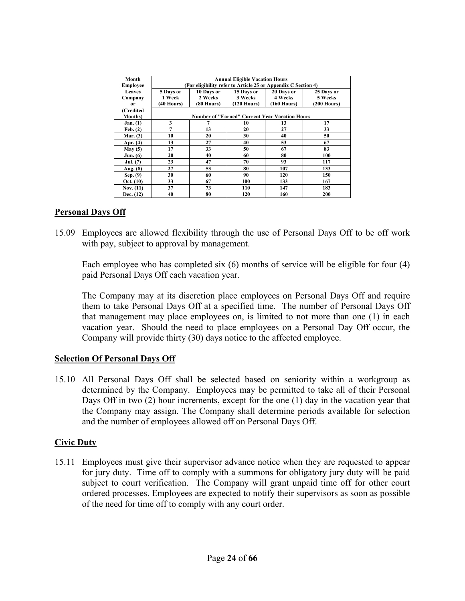| Month           |                                                               |              | <b>Annual Eligible Vacation Hours</b>                 |             |               |  |  |  |  |
|-----------------|---------------------------------------------------------------|--------------|-------------------------------------------------------|-------------|---------------|--|--|--|--|
| <b>Employee</b> | (For eligibility refer to Article 25 or Appendix C Section 4) |              |                                                       |             |               |  |  |  |  |
| Leaves          | 5 Days or                                                     | 10 Days or   | 15 Days or                                            | 20 Days or  | 25 Days or    |  |  |  |  |
| Company         | 1 Week                                                        | 2 Weeks      | 3 Weeks                                               | 4 Weeks     | 5 Weeks       |  |  |  |  |
| 0r              | (40 Hours)                                                    | $(80$ Hours) | (120 Hours)                                           | (160 Hours) | $(200$ Hours) |  |  |  |  |
| (Credited       |                                                               |              |                                                       |             |               |  |  |  |  |
| <b>Months</b> ) |                                                               |              | <b>Number of "Earned" Current Year Vacation Hours</b> |             |               |  |  |  |  |
| <b>Jan.</b> (1) | 3                                                             |              | 10                                                    | 13          | 17            |  |  |  |  |
| Feb. (2)        | 7                                                             | 13           | 20                                                    | 27          | 33            |  |  |  |  |
| Mar. $(3)$      | 10                                                            | 20           | 30                                                    | 40          | 50            |  |  |  |  |
| Apr. (4)        | 13                                                            | 27           | 40                                                    | 53          | 67            |  |  |  |  |
| May(5)          | 17                                                            | 33           | 50                                                    | 67          | 83            |  |  |  |  |
| <b>Jun.</b> (6) | 20                                                            | 40           | 60                                                    | 80          | 100           |  |  |  |  |
| Jul. (7)        | 23                                                            | 47           | 70                                                    | 93          | 117           |  |  |  |  |
| Aug. (8)        | 27                                                            | 53           | 80                                                    | 107         | 133           |  |  |  |  |
| Sep. (9)        | 30                                                            | 60           | 90                                                    | 120         | 150           |  |  |  |  |
| Oct. (10)       | 33                                                            | 67           | 100                                                   | 133         | 167           |  |  |  |  |
| Nov. $(11)$     | 37                                                            | 73           | 110                                                   | 147         | 183           |  |  |  |  |
| Dec. (12)       | 40                                                            | 80           | 120                                                   | 160         | 200           |  |  |  |  |

#### **Personal Days Off**

15.09 Employees are allowed flexibility through the use of Personal Days Off to be off work with pay, subject to approval by management.

Each employee who has completed six (6) months of service will be eligible for four (4) paid Personal Days Off each vacation year.

The Company may at its discretion place employees on Personal Days Off and require them to take Personal Days Off at a specified time. The number of Personal Days Off that management may place employees on, is limited to not more than one (1) in each vacation year. Should the need to place employees on a Personal Day Off occur, the Company will provide thirty (30) days notice to the affected employee.

#### **Selection Of Personal Days Off**

15.10 All Personal Days Off shall be selected based on seniority within a workgroup as determined by the Company. Employees may be permitted to take all of their Personal Days Off in two (2) hour increments, except for the one (1) day in the vacation year that the Company may assign. The Company shall determine periods available for selection and the number of employees allowed off on Personal Days Off.

#### **Civic Duty**

15.11Employees must give their supervisor advance notice when they are requested to appear for jury duty. Time off to comply with a summons for obligatory jury duty will be paid subject to court verification. The Company will grant unpaid time off for other court ordered processes. Employees are expected to notify their supervisors as soon as possible of the need for time off to comply with any court order.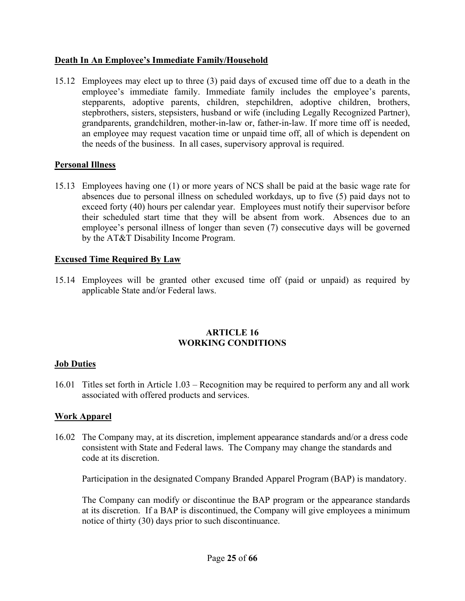#### **Death In An Employee's Immediate Family/Household**

15.12 Employees may elect up to three (3) paid days of excused time off due to a death in the employee's immediate family. Immediate family includes the employee's parents, stepparents, adoptive parents, children, stepchildren, adoptive children, brothers, stepbrothers, sisters, stepsisters, husband or wife (including Legally Recognized Partner), grandparents, grandchildren, mother-in-law or, father-in-law. If more time off is needed, an employee may request vacation time or unpaid time off, all of which is dependent on the needs of the business. In all cases, supervisory approval is required.

#### **Personal Illness**

15.13 Employees having one (1) or more years of NCS shall be paid at the basic wage rate for absences due to personal illness on scheduled workdays, up to five (5) paid days not to exceed forty (40) hours per calendar year. Employees must notify their supervisor before their scheduled start time that they will be absent from work. Absences due to an employee's personal illness of longer than seven (7) consecutive days will be governed by the AT&T Disability Income Program.

#### **Excused Time Required By Law**

15.14 Employees will be granted other excused time off (paid or unpaid) as required by applicable State and/or Federal laws.

#### **ARTICLE 16 WORKING CONDITIONS**

#### **Job Duties**

16.01 Titles set forth in Article 1.03 – Recognition may be required to perform any and all work associated with offered products and services.

#### **Work Apparel**

16.02 The Company may, at its discretion, implement appearance standards and/or a dress code consistent with State and Federal laws. The Company may change the standards and code at its discretion.

Participation in the designated Company Branded Apparel Program (BAP) is mandatory.

The Company can modify or discontinue the BAP program or the appearance standards at its discretion. If a BAP is discontinued, the Company will give employees a minimum notice of thirty (30) days prior to such discontinuance.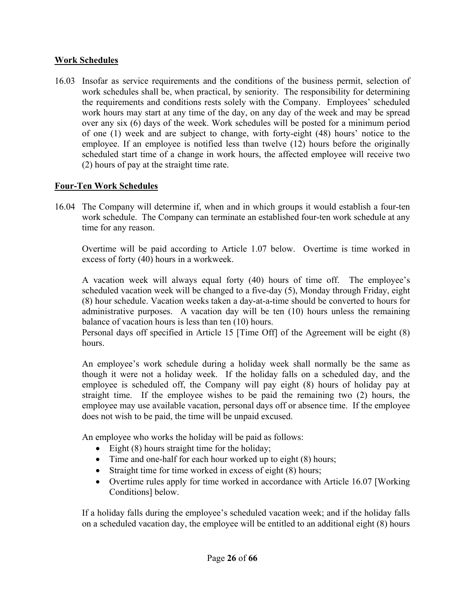#### **Work Schedules**

16.03 Insofar as service requirements and the conditions of the business permit, selection of work schedules shall be, when practical, by seniority. The responsibility for determining the requirements and conditions rests solely with the Company. Employees' scheduled work hours may start at any time of the day, on any day of the week and may be spread over any six (6) days of the week. Work schedules will be posted for a minimum period of one (1) week and are subject to change, with forty-eight (48) hours' notice to the employee. If an employee is notified less than twelve (12) hours before the originally scheduled start time of a change in work hours, the affected employee will receive two (2) hours of pay at the straight time rate.

#### **Four-Ten Work Schedules**

16.04 The Company will determine if, when and in which groups it would establish a four-ten work schedule. The Company can terminate an established four-ten work schedule at any time for any reason.

Overtime will be paid according to Article 1.07 below. Overtime is time worked in excess of forty (40) hours in a workweek.

A vacation week will always equal forty (40) hours of time off. The employee's scheduled vacation week will be changed to a five-day (5), Monday through Friday, eight (8) hour schedule. Vacation weeks taken a day-at-a-time should be converted to hours for administrative purposes. A vacation day will be ten (10) hours unless the remaining balance of vacation hours is less than ten (10) hours.

Personal days off specified in Article 15 [Time Off] of the Agreement will be eight (8) hours.

An employee's work schedule during a holiday week shall normally be the same as though it were not a holiday week. If the holiday falls on a scheduled day, and the employee is scheduled off, the Company will pay eight (8) hours of holiday pay at straight time. If the employee wishes to be paid the remaining two (2) hours, the employee may use available vacation, personal days off or absence time. If the employee does not wish to be paid, the time will be unpaid excused.

An employee who works the holiday will be paid as follows:

- $\bullet$  Eight (8) hours straight time for the holiday;
- Time and one-half for each hour worked up to eight (8) hours;
- Straight time for time worked in excess of eight (8) hours;
- Overtime rules apply for time worked in accordance with Article 16.07 [Working Conditions] below.

If a holiday falls during the employee's scheduled vacation week; and if the holiday falls on a scheduled vacation day, the employee will be entitled to an additional eight (8) hours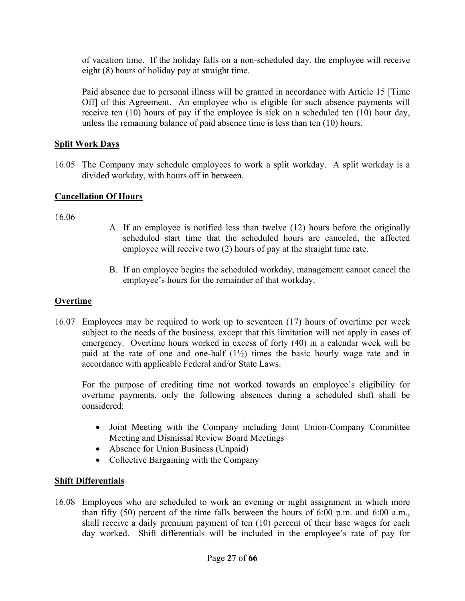of vacation time. If the holiday falls on a non-scheduled day, the employee will receive eight (8) hours of holiday pay at straight time.

Paid absence due to personal illness will be granted in accordance with Article 15 [Time Off] of this Agreement. An employee who is eligible for such absence payments will receive ten (10) hours of pay if the employee is sick on a scheduled ten (10) hour day, unless the remaining balance of paid absence time is less than ten (10) hours.

#### **Split Work Days**

16.05 The Company may schedule employees to work a split workday. A split workday is a divided workday, with hours off in between.

#### **Cancellation Of Hours**

16.06

- A. If an employee is notified less than twelve (12) hours before the originally scheduled start time that the scheduled hours are canceled, the affected employee will receive two (2) hours of pay at the straight time rate.
- B. If an employee begins the scheduled workday, management cannot cancel the employee's hours for the remainder of that workday.

#### **Overtime**

16.07 Employees may be required to work up to seventeen (17) hours of overtime per week subject to the needs of the business, except that this limitation will not apply in cases of emergency. Overtime hours worked in excess of forty (40) in a calendar week will be paid at the rate of one and one-half  $(1\frac{1}{2})$  times the basic hourly wage rate and in accordance with applicable Federal and/or State Laws.

For the purpose of crediting time not worked towards an employee's eligibility for overtime payments, only the following absences during a scheduled shift shall be considered:

- Joint Meeting with the Company including Joint Union-Company Committee Meeting and Dismissal Review Board Meetings
- Absence for Union Business (Unpaid)
- Collective Bargaining with the Company

#### **Shift Differentials**

16.08 Employees who are scheduled to work an evening or night assignment in which more than fifty (50) percent of the time falls between the hours of 6:00 p.m. and 6:00 a.m., shall receive a daily premium payment of ten (10) percent of their base wages for each day worked. Shift differentials will be included in the employee's rate of pay for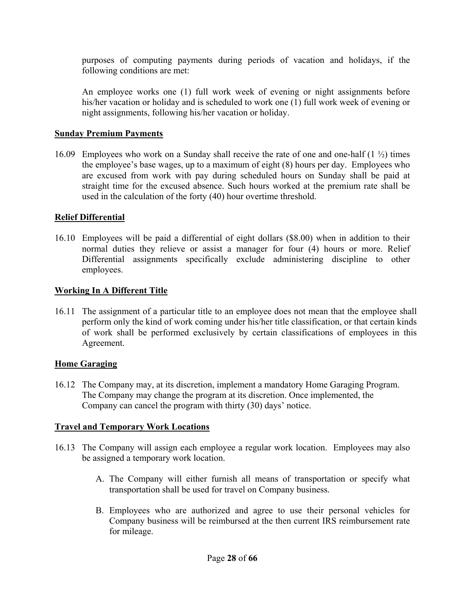purposes of computing payments during periods of vacation and holidays, if the following conditions are met:

An employee works one (1) full work week of evening or night assignments before his/her vacation or holiday and is scheduled to work one (1) full work week of evening or night assignments, following his/her vacation or holiday.

#### **Sunday Premium Payments**

16.09 Employees who work on a Sunday shall receive the rate of one and one-half (1 ½) times the employee's base wages, up to a maximum of eight (8) hours per day. Employees who are excused from work with pay during scheduled hours on Sunday shall be paid at straight time for the excused absence. Such hours worked at the premium rate shall be used in the calculation of the forty (40) hour overtime threshold.

#### **Relief Differential**

16.10 Employees will be paid a differential of eight dollars (\$8.00) when in addition to their normal duties they relieve or assist a manager for four (4) hours or more. Relief Differential assignments specifically exclude administering discipline to other employees.

#### **Working In A Different Title**

16.11 The assignment of a particular title to an employee does not mean that the employee shall perform only the kind of work coming under his/her title classification, or that certain kinds of work shall be performed exclusively by certain classifications of employees in this Agreement.

#### **Home Garaging**

16.12 The Company may, at its discretion, implement a mandatory Home Garaging Program. The Company may change the program at its discretion. Once implemented, the Company can cancel the program with thirty (30) days' notice.

#### **Travel and Temporary Work Locations**

- 16.13 The Company will assign each employee a regular work location. Employees may also be assigned a temporary work location.
	- A. The Company will either furnish all means of transportation or specify what transportation shall be used for travel on Company business.
	- B. Employees who are authorized and agree to use their personal vehicles for Company business will be reimbursed at the then current IRS reimbursement rate for mileage.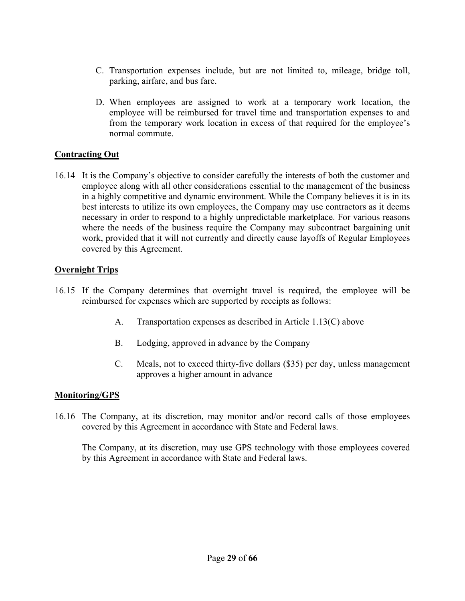- C. Transportation expenses include, but are not limited to, mileage, bridge toll, parking, airfare, and bus fare.
- D. When employees are assigned to work at a temporary work location, the employee will be reimbursed for travel time and transportation expenses to and from the temporary work location in excess of that required for the employee's normal commute.

#### **Contracting Out**

16.14 It is the Company's objective to consider carefully the interests of both the customer and employee along with all other considerations essential to the management of the business in a highly competitive and dynamic environment. While the Company believes it is in its best interests to utilize its own employees, the Company may use contractors as it deems necessary in order to respond to a highly unpredictable marketplace. For various reasons where the needs of the business require the Company may subcontract bargaining unit work, provided that it will not currently and directly cause layoffs of Regular Employees covered by this Agreement.

#### **Overnight Trips**

- 16.15 If the Company determines that overnight travel is required, the employee will be reimbursed for expenses which are supported by receipts as follows:
	- A. Transportation expenses as described in Article 1.13(C) above
	- B. Lodging, approved in advance by the Company
	- C. Meals, not to exceed thirty-five dollars (\$35) per day, unless management approves a higher amount in advance

#### **Monitoring/GPS**

16.16 The Company, at its discretion, may monitor and/or record calls of those employees covered by this Agreement in accordance with State and Federal laws.

The Company, at its discretion, may use GPS technology with those employees covered by this Agreement in accordance with State and Federal laws.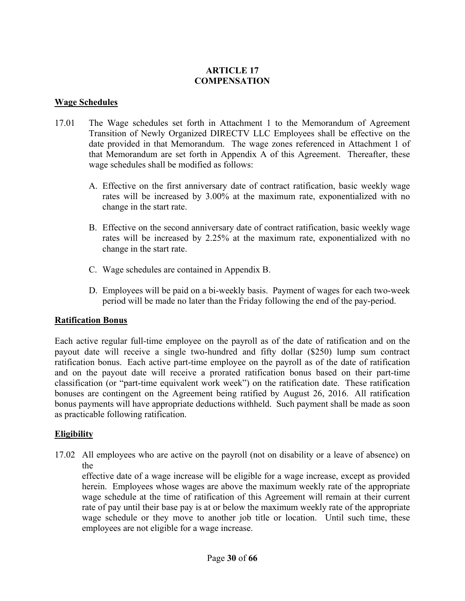#### **ARTICLE 17 COMPENSATION**

#### **Wage Schedules**

- 17.01 The Wage schedules set forth in Attachment 1 to the Memorandum of Agreement Transition of Newly Organized DIRECTV LLC Employees shall be effective on the date provided in that Memorandum. The wage zones referenced in Attachment 1 of that Memorandum are set forth in Appendix A of this Agreement. Thereafter, these wage schedules shall be modified as follows:
	- A. Effective on the first anniversary date of contract ratification, basic weekly wage rates will be increased by 3.00% at the maximum rate, exponentialized with no change in the start rate.
	- B. Effective on the second anniversary date of contract ratification, basic weekly wage rates will be increased by 2.25% at the maximum rate, exponentialized with no change in the start rate.
	- C. Wage schedules are contained in Appendix B.
	- D. Employees will be paid on a bi-weekly basis. Payment of wages for each two-week period will be made no later than the Friday following the end of the pay-period.

#### **Ratification Bonus**

Each active regular full-time employee on the payroll as of the date of ratification and on the payout date will receive a single two-hundred and fifty dollar (\$250) lump sum contract ratification bonus. Each active part-time employee on the payroll as of the date of ratification and on the payout date will receive a prorated ratification bonus based on their part-time classification (or "part-time equivalent work week") on the ratification date. These ratification bonuses are contingent on the Agreement being ratified by August 26, 2016. All ratification bonus payments will have appropriate deductions withheld. Such payment shall be made as soon as practicable following ratification.

#### **Eligibility**

17.02 All employees who are active on the payroll (not on disability or a leave of absence) on the

effective date of a wage increase will be eligible for a wage increase, except as provided herein. Employees whose wages are above the maximum weekly rate of the appropriate wage schedule at the time of ratification of this Agreement will remain at their current rate of pay until their base pay is at or below the maximum weekly rate of the appropriate wage schedule or they move to another job title or location. Until such time, these employees are not eligible for a wage increase.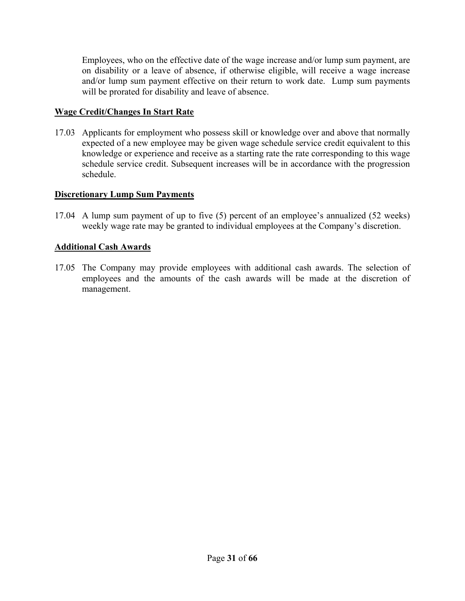Employees, who on the effective date of the wage increase and/or lump sum payment, are on disability or a leave of absence, if otherwise eligible, will receive a wage increase and/or lump sum payment effective on their return to work date. Lump sum payments will be prorated for disability and leave of absence.

#### **Wage Credit/Changes In Start Rate**

17.03 Applicants for employment who possess skill or knowledge over and above that normally expected of a new employee may be given wage schedule service credit equivalent to this knowledge or experience and receive as a starting rate the rate corresponding to this wage schedule service credit. Subsequent increases will be in accordance with the progression schedule.

#### **Discretionary Lump Sum Payments**

17.04 A lump sum payment of up to five (5) percent of an employee's annualized (52 weeks) weekly wage rate may be granted to individual employees at the Company's discretion.

#### **Additional Cash Awards**

17.05 The Company may provide employees with additional cash awards. The selection of employees and the amounts of the cash awards will be made at the discretion of management.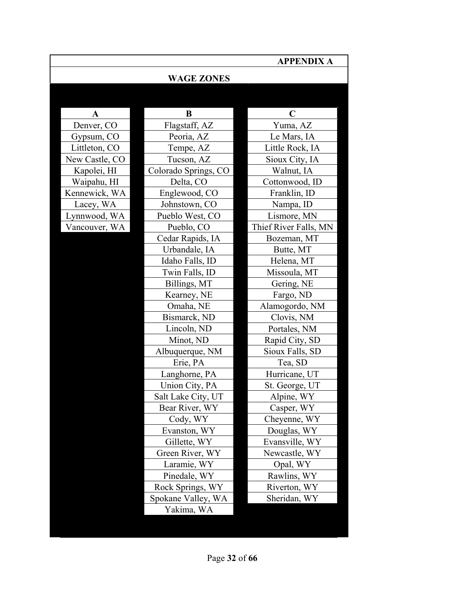|                |                      | <b>APPENDIX A</b>     |
|----------------|----------------------|-----------------------|
|                | <b>WAGE ZONES</b>    |                       |
|                |                      |                       |
| A              | B                    | $\mathbf C$           |
| Denver, CO     | Flagstaff, AZ        | Yuma, AZ              |
| Gypsum, CO     | Peoria, AZ           | Le Mars, IA           |
| Littleton, CO  | Tempe, AZ            | Little Rock, IA       |
| New Castle, CO | Tucson, AZ           | Sioux City, IA        |
| Kapolei, HI    | Colorado Springs, CO | Walnut, IA            |
| Waipahu, HI    | Delta, CO            | Cottonwood, ID        |
| Kennewick, WA  | Englewood, CO        | Franklin, ID          |
| Lacey, WA      | Johnstown, CO        | Nampa, ID             |
| Lynnwood, WA   | Pueblo West, CO      | Lismore, MN           |
| Vancouver, WA  | Pueblo, CO           | Thief River Falls, MN |
|                | Cedar Rapids, IA     | Bozeman, MT           |
|                | Urbandale, IA        | Butte, MT             |
|                | Idaho Falls, ID      | Helena, MT            |
|                | Twin Falls, ID       | Missoula, MT          |
|                | Billings, MT         | Gering, NE            |
|                | Kearney, NE          | Fargo, ND             |
|                | Omaha, NE            | Alamogordo, NM        |
|                | Bismarck, ND         | Clovis, NM            |
|                | Lincoln, ND          | Portales, NM          |
|                | Minot, ND            | Rapid City, SD        |
|                | Albuquerque, NM      | Sioux Falls, SD       |
|                | Erie, PA             | Tea, SD               |
|                | Langhorne, PA        | Hurricane, UT         |
|                | Union City, PA       | St. George, UT        |
|                | Salt Lake City, UT   | Alpine, WY            |
|                | Bear River, WY       | Casper, WY            |
|                | Cody, WY             | Cheyenne, WY          |
|                | Evanston, WY         | Douglas, WY           |
|                | Gillette, WY         | Evansville, WY        |
|                | Green River, WY      | Newcastle, WY         |
|                | Laramie, WY          | Opal, WY              |
|                | Pinedale, WY         | Rawlins, WY           |
|                | Rock Springs, WY     | Riverton, WY          |
|                | Spokane Valley, WA   | Sheridan, WY          |
|                | Yakima, WA           |                       |
|                |                      |                       |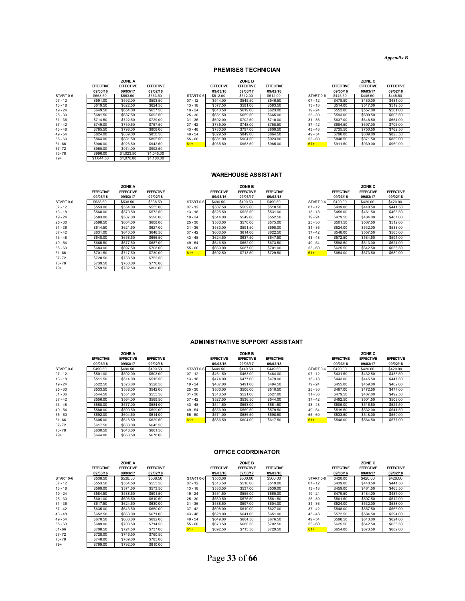*Appendix B*

#### **PREMISES TECHNICIAN**

|           |                  | ZONE A           |                  |           |                  | ZONE B           |                  |           |                  | ZONE C           |                 |
|-----------|------------------|------------------|------------------|-----------|------------------|------------------|------------------|-----------|------------------|------------------|-----------------|
|           | <b>EFFECTIVE</b> | <b>EFFECTIVE</b> | <b>EFFECTIVE</b> |           | <b>EFFECTIVE</b> | <b>EFFECTIVE</b> | <b>EFFECTIVE</b> |           | <b>EFFECTIVE</b> | <b>EFFECTIVE</b> | <b>EFFECTIV</b> |
|           | 09/03/16         | 09/03/17         | 09/02/18         |           | 09/03/16         | 09/03/17         | 09/02/18         |           | 09/03/16         | 09/03/17         | 09/02/18        |
| START 0-6 | \$563.50         | \$563.50         | \$563.50         | START 0-6 | \$512.00         | \$512.00         | \$512.00         | START 0-6 | \$445.50         | \$445.50         | \$445.50        |
| $07 - 12$ | \$591.00         | \$592.00         | \$593.50         | $07 - 12$ | \$544.00         | \$545.50         | \$546.50         | $07 - 12$ | \$478.50         | \$480.00         | \$481.00        |
| $13 - 18$ | \$619.50         | \$622.50         | \$624.50         | $13 - 18$ | \$577.50         | \$581.00         | \$583.50         | $13 - 18$ | \$514.00         | \$517.00         | \$519.50        |
| $19 - 24$ | \$649.50         | \$654.00         | \$657.50         | $19 - 24$ | \$613.50         | \$619.00         | \$623.00         | $19 - 24$ | \$552.00         | \$557.00         | \$561.00        |
| $25 - 30$ | \$681.50         | \$687.50         | \$692.50         | $25 - 30$ | \$651.50         | \$659.50         | \$665.00         | $25 - 30$ | \$593.00         | \$600.50         | \$605.50        |
| $31 - 36$ | \$714.50         | \$722.50         | \$729.00         | $31 - 36$ | \$692.00         | \$702.50         | \$710.00         | $31 - 36$ | \$637.00         | \$646.50         | \$654.00        |
| $37 - 42$ | \$749.00         | \$759.50         | \$767.50         | $37 - 42$ | \$735.00         | \$748.00         | \$758.50         | $37 - 42$ | \$684.50         | \$697.00         | \$706.00        |
| $43 - 48$ | \$785.50         | \$798.00         | \$808.00         | $43 - 48$ | \$780.50         | \$797.00         | \$809.50         | $43 - 48$ | \$735.50         | \$750.50         | \$762.50        |
| $49 - 54$ | \$824.00         | \$839.00         | \$850.50         | $49 - 54$ | \$829.50         | \$849.00         | \$864.50         | $49 - 54$ | \$790.00         | \$809.00         | \$823.50        |
| $55 - 60$ | \$864.00         | \$881.50         | \$895.50         | $55 - 60$ | \$881.00         | \$904.50         | \$923.00         | $55 - 60$ | \$848.50         | \$871.50         | \$889.00        |
| $61 - 66$ | \$906.00         | \$926.50         | \$942.50         | $61+$     | \$935.50         | \$963.50         | \$985.00         | $61+$     | \$911.50         | \$939.00         | \$960.00        |
| $67 - 72$ | \$950.00         | \$974.00         | \$992.50         |           |                  |                  |                  |           |                  |                  |                 |
| 73-78     | \$996.00         | \$1,023.50       | \$1,045.00       |           |                  |                  |                  |           |                  |                  |                 |
| $79+$     | \$1,044.50       | \$1,076,00       | \$1,100.00       |           |                  |                  |                  |           |                  |                  |                 |

|                  | ZONE A           |                  |           |                  | ZONE B           |                  |           |                  | ZONE C           |                  |
|------------------|------------------|------------------|-----------|------------------|------------------|------------------|-----------|------------------|------------------|------------------|
| <b>EFFECTIVE</b> | <b>EFFECTIVE</b> | <b>EFFECTIVE</b> |           | <b>EFFECTIVE</b> | <b>EFFECTIVE</b> | <b>EFFECTIVE</b> |           | <b>EFFECTIVE</b> | <b>EFFECTIVE</b> | <b>EFFECTIVE</b> |
| 09/03/16         | 09/03/17         | 09/02/18         |           | 09/03/16         | 09/03/17         | 09/02/18         |           | 09/03/16         | 09/03/17         | 09/02/18         |
| \$563.50         | \$563.50         | \$563.50         | START 0-6 | \$512.00         | \$512.00         | \$512.00         | START 0-6 | \$445.50         | \$445.50         | \$445.50         |
| \$591.00         | \$592.00         | \$593.50         | $07 - 12$ | \$544.00         | \$545.50         | \$546.50         | $07 - 12$ | \$478.50         | \$480.00         | \$481.00         |
| \$619.50         | \$622.50         | \$624.50         | $13 - 18$ | \$577.50         | \$581.00         | \$583.50         | $13 - 18$ | \$514.00         | \$517.00         | \$519.50         |
| \$649.50         | \$654.00         | \$657.50         | $19 - 24$ | \$613.50         | \$619.00         | \$623.00         | $19 - 24$ | \$552.00         | \$557.00         | \$561.00         |
| \$681.50         | \$687.50         | \$692.50         | $25 - 30$ | \$651.50         | \$659.50         | \$665.00         | $25 - 30$ | \$593.00         | \$600.50         | \$605.50         |
| \$714.50         | \$722.50         | \$729.00         | $31 - 36$ | \$692.00         | \$702.50         | \$710.00         | $31 - 36$ | \$637.00         | \$646.50         | \$654.00         |
| \$749.00         | \$759.50         | \$767.50         | $37 - 42$ | \$735.00         | \$748.00         | \$758.50         | $37 - 42$ | \$684.50         | \$697.00         | \$706.00         |
| \$785.50         | \$798.00         | \$808.00         | $43 - 48$ | \$780.50         | \$797.00         | \$809.50         | $43 - 48$ | \$735.50         | \$750.50         | \$762.50         |
| \$824.00         | \$839.00         | \$850.50         | $49 - 54$ | \$829.50         | \$849.00         | \$864.50         | $49 - 54$ | \$790.00         | \$809.00         | \$823.50         |
| \$864.00         | \$881.50         | \$895.50         | $55 - 60$ | \$881.00         | \$904.50         | \$923.00         | $55 - 60$ | \$848.50         | \$871.50         | \$889.00         |
| \$906.00         | \$926.50         | \$942.50         | $61 +$    | \$935.50         | \$963.50         | \$985.00         | $61+$     | \$911.50         | \$939.00         | \$960.00         |
|                  |                  |                  |           |                  |                  |                  |           |                  |                  |                  |

|           |                  | ZUNE G           |                  |
|-----------|------------------|------------------|------------------|
|           | <b>EFFECTIVE</b> | <b>EFFECTIVE</b> | <b>EFFECTIVE</b> |
|           | 09/03/16         | 09/03/17         | 09/02/18         |
| START 0-6 | \$445.50         | \$445.50         | \$445.50         |
| $07 - 12$ | \$478.50         | \$480.00         | \$481.00         |
| $13 - 18$ | \$514.00         | \$517.00         | \$519.50         |
| $19 - 24$ | \$552.00         | \$557.00         | \$561.00         |
| $25 - 30$ | \$593.00         | \$600.50         | \$605.50         |
| $31 - 36$ | \$637.00         | \$646.50         | \$654.00         |
| $37 - 42$ | \$684.50         | \$697.00         | \$706.00         |
| $43 - 48$ | \$735.50         | \$750.50         | \$762.50         |
| $49 - 54$ | \$790.00         | \$809.00         | \$823.50         |
| $55 - 60$ | \$848.50         | \$871.50         | \$889.00         |
| $61+$     | \$911.50         | \$939.00         | \$960.00         |

#### **WAREHOUSE ASSISTANT**

|           |                  | ZONE A           |                  |           |                  | ZONE B           |                  |           |                  | ZONE C           |                  |
|-----------|------------------|------------------|------------------|-----------|------------------|------------------|------------------|-----------|------------------|------------------|------------------|
|           | <b>EFFECTIVE</b> | <b>EFFECTIVE</b> | <b>EFFECTIVE</b> |           | <b>EFFECTIVE</b> | <b>EFFECTIVE</b> | <b>EFFECTIVE</b> |           | <b>EFFECTIVE</b> | <b>EFFECTIVE</b> | <b>EFFECTIVE</b> |
|           | 09/03/16         | 09/03/17         | 09/02/18         |           | 09/03/16         | 09/03/17         | 09/02/18         |           | 09/03/16         | 09/03/17         | 09/02/18         |
| START 0-6 | \$538.50         | \$538.50         | \$538.50         | START 0-6 | \$490.50         | \$490.50         | \$490.50         | START 0-6 | \$420.00         | \$420.00         | \$420.00         |
| $07 - 12$ | \$553.00         | \$554.00         | \$555.00         | $07 - 12$ | \$507.50         | \$509.00         | \$510.50         | $07 - 12$ | \$439.00         | \$440.50         | \$441.50         |
| $13 - 18$ | \$568.00         | \$570.50         | \$572.50         | $13 - 18$ | \$525.50         | \$528.50         | \$531.00         | $13 - 18$ | \$459.00         | \$461.50         | \$463.50         |
| $19 - 24$ | \$583.00         | \$587.00         | \$590.00         | $19 - 24$ | \$544.00         | \$549.00         | \$552.50         | $19 - 24$ | \$479.50         | \$484.00         | \$487.00         |
| $25 - 30$ | \$598.50         | \$604.00         | \$608.00         | $25 - 30$ | \$563.00         | \$570.00         | \$575.00         | $25 - 30$ | \$501.50         | \$507.50         | \$512.00         |
| $31 - 36$ | \$614.50         | \$621.50         | \$627.00         | $31 - 36$ | \$583.00         | \$591.50         | \$598.00         | $31 - 36$ | \$524.00         | \$532.00         | \$538.00         |
| $37 - 42$ | \$631.00         | \$640.00         | \$646.50         | $37 - 42$ | \$603.50         | \$614.00         | \$622.50         | $37 - 42$ | \$548.00         | \$557.50         | \$565.00         |
| $43 - 48$ | \$648.00         | \$658.50         | \$666.50         | $43 - 48$ | \$624.50         | \$637.50         | \$647.50         | $43 - 48$ | \$572.50         | \$584.50         | \$594.00         |
| 49 - 54   | \$665.50         | \$677.50         | \$687.00         | $49 - 54$ | \$646.50         | \$662.00         | \$673.50         | $49 - 54$ | \$598.50         | \$613.00         | \$624.00         |
| 55 - 60   | \$683.00         | \$697.50         | \$708.00         | $55 - 60$ | \$669.00         | \$687.00         | \$701.00         | $55 - 60$ | \$625.50         | \$642.50         | \$655.50         |
| 61-66     | \$701.50         | \$717.50         | \$730.00         | $61+$     | \$692.50         | \$713.50         | \$729.50         | $61+$     | \$654.00         | \$673.50         | \$689.00         |
| 67-72     | \$720.50         | \$738.50         | \$752.50         |           |                  |                  |                  |           |                  |                  |                  |
| 73-78     | \$739.50         | \$760.00         | \$776.00         |           |                  |                  |                  |           |                  |                  |                  |

|           | <b>EFFECTIVE</b> | <b>EFFECTIVE</b> | <b>EFFECTIVE</b> |
|-----------|------------------|------------------|------------------|
|           | 09/03/16         | 09/03/17         | 09/02/18         |
| START 0-6 | \$538.50         | \$538.50         | \$538.50         |
| $07 - 12$ | \$553.00         | \$554.00         | \$555.00         |
| $13 - 18$ | \$568.00         | \$570.50         | \$572.50         |
| $19 - 24$ | \$583.00         | \$587.00         | \$590.00         |
| $25 - 30$ | \$598.50         | \$604.00         | \$608.00         |
| $31 - 36$ | \$614.50         | \$621.50         | \$627.00         |
| $37 - 42$ | \$631.00         | \$640.00         | \$646.50         |
| $43 - 48$ | \$648.00         | \$658.50         | \$666.50         |
| $49 - 54$ | \$665.50         | \$677.50         | \$687.00         |
| $55 - 60$ | \$683.00         | \$697.50         | \$708.00         |
| 61-66     | \$701.50         | \$717.50         | \$730.00         |
| 67-72     | \$720.50         | \$738.50         | \$752.50         |
| 73-78     | \$739.50         | \$760.00         | \$776.00         |
| $79+$     | \$759.50         | \$782.50         | \$800.00         |

|           | <b>EFFECTIVE</b> | <b>EFFECTIVE</b> | <b>EFFECTIVE</b> |
|-----------|------------------|------------------|------------------|
|           | 09/03/16         | 09/03/17         | 09/02/18         |
| START 0-6 | \$420.00         | \$420.00         | \$420.00         |
| $07 - 12$ | \$439.00         | \$440.50         | \$441.50         |
| $13 - 18$ | \$459.00         | \$461.50         | \$463.50         |
| $19 - 24$ | \$479.50         | \$484.00         | \$487.00         |
| $25 - 30$ | \$501.50         | \$507.50         | \$512.00         |
| $31 - 36$ | \$524.00         | \$532.00         | \$538.00         |
| $37 - 42$ | \$548.00         | \$557.50         | \$565.00         |
| $43 - 48$ | \$572.50         | \$584.50         | \$594.00         |
| $49 - 54$ | \$598.50         | \$613.00         | \$624.00         |
| $55 - 60$ | \$625.50         | \$642.50         | \$655.50         |
| $61+$     | \$654.00         | \$673.50         | \$689.00         |

#### **ADMINISTRATIVE SUPPORT ASSISTANT**

|           |                  | ZONE A           |                  |           |                  | ZONE B           |                  |           |                  | ZONE C           |                 |
|-----------|------------------|------------------|------------------|-----------|------------------|------------------|------------------|-----------|------------------|------------------|-----------------|
|           | <b>EFFECTIVE</b> | <b>EFFECTIVE</b> | <b>EFFECTIVE</b> |           | <b>EFFECTIVE</b> | <b>EFFECTIVE</b> | <b>EFFECTIVE</b> |           | <b>EFFECTIVE</b> | <b>EFFECTIVE</b> | <b>EFFECTIV</b> |
|           | 09/03/16         | 09/03/17         | 09/02/18         |           | 09/03/16         | 09/03/17         | 09/02/18         |           | 09/03/16         | 09/03/17         | 09/02/18        |
| START 0-6 | \$490.50         | \$490.50         | \$490.50         | START 0-6 | \$449.50         | \$449.50         | \$449.50         | START 0-6 | \$420.00         | \$420.00         | \$420.00        |
| $07 - 12$ | \$501.00         | \$502.00         | \$503.00         | $07 - 12$ | \$461.50         | \$463.00         | \$464.00         | $07 - 12$ | \$431.50         | \$432.50         | \$433.50        |
| $13 - 18$ | \$511.50         | \$514.00         | \$515.50         | $13 - 18$ | \$474.00         | \$477.00         | \$479.00         | $13 - 18$ | \$443.00         | \$445.50         | \$447.50        |
| $19 - 24$ | \$522.50         | \$526.00         | \$528.50         | $19 - 24$ | \$487.00         | \$491.00         | \$494.50         | $19 - 24$ | \$455.00         | \$459.00         | \$462.00        |
| $25 - 30$ | \$533.50         | \$538.00         | \$542.00         | $25 - 30$ | \$500.00         | \$506.00         | \$510.50         | $25 - 30$ | \$467.00         | \$472.50         | \$477.00        |
| $31 - 36$ | \$544.50         | \$551.00         | \$555.50         | $31 - 36$ | \$513.50         | \$521.00         | \$527.00         | $31 - 36$ | \$479.50         | \$487.00         | \$492.50        |
| $37 - 42$ | \$556.00         | \$564.00         | \$569.50         | $37 - 42$ | \$527.50         | \$536.50         | \$544.00         | $37 - 42$ | \$492.50         | \$501.50         | \$508.00        |
| $43 - 48$ | \$568.00         | \$577.00         | \$584.00         | $43 - 48$ | \$541.50         | \$553.00         | \$561.50         | $43 - 48$ | \$506.00         | \$516.50         | \$524.50        |
| $49 - 54$ | \$580.00         | \$590.50         | \$599.00         | $49 - 54$ | \$556.00         | \$569.50         | \$579.50         | $49 - 54$ | \$519.50         | \$532.00         | \$541.50        |
| $55 - 60$ | \$592.00         | \$604.50         | \$614.00         | $55 - 60$ | \$571.00         | \$586.50         | \$598.50         | $55 - 60$ | \$533.50         | \$548.00         | \$559.00        |
| $61 - 66$ | \$605.00         | \$618.50         | \$629.50         | $61+$     | \$586.50         | \$604.00         | \$617.50         | $61+$     | \$548.00         | \$564.50         | \$577.00        |
| $67 - 72$ | \$617.50         | \$633.00         | \$645.50         |           |                  |                  |                  |           |                  |                  |                 |
| 73-78     | \$630.50         | \$648.00         | \$661.50         |           |                  |                  |                  |           |                  |                  |                 |
| $79+$     | \$644.00         | \$663.50         | \$678.00         |           |                  |                  |                  |           |                  |                  |                 |

|                  | ZONE A           |                  |           |                  | ZONE B           |                  |           |                  | ZONE C           |                  |
|------------------|------------------|------------------|-----------|------------------|------------------|------------------|-----------|------------------|------------------|------------------|
| <b>EFFECTIVE</b> | <b>EFFECTIVE</b> | <b>EFFECTIVE</b> |           | <b>EFFECTIVE</b> | <b>EFFECTIVE</b> | <b>EFFECTIVE</b> |           | <b>EFFECTIVE</b> | <b>EFFECTIVE</b> | <b>EFFECTIVE</b> |
| 09/03/16         | 09/03/17         | 09/02/18         |           | 09/03/16         | 09/03/17         | 09/02/18         |           | 09/03/16         | 09/03/17         | 09/02/18         |
| \$490.50         | \$490.50         | \$490.50         | START 0-6 | \$449.50         | \$449.50         | \$449.50         | START 0-6 | \$420.00         | \$420.00         | \$420.00         |
| \$501.00         | \$502.00         | \$503.00         | $07 - 12$ | \$461.50         | \$463.00         | \$464.00         | $07 - 12$ | \$431.50         | \$432.50         | \$433.50         |
| \$511.50         | \$514.00         | \$515.50         | $13 - 18$ | \$474.00         | \$477.00         | \$479.00         | $13 - 18$ | \$443.00         | \$445.50         | \$447.50         |
| \$522.50         | \$526.00         | \$528.50         | $19 - 24$ | \$487.00         | \$491.00         | \$494.50         | $19 - 24$ | \$455.00         | \$459.00         | \$462.00         |
| \$533.50         | \$538.00         | \$542.00         | $25 - 30$ | \$500.00         | \$506.00         | \$510.50         | $25 - 30$ | \$467.00         | \$472.50         | \$477.00         |
| \$544.50         | \$551.00         | \$555.50         | $31 - 36$ | \$513.50         | \$521.00         | \$527.00         | $31 - 36$ | \$479.50         | \$487.00         | \$492.50         |
| \$556.00         | \$564.00         | \$569.50         | $37 - 42$ | \$527.50         | \$536.50         | \$544.00         | $37 - 42$ | \$492.50         | \$501.50         | \$508.00         |
| \$568.00         | \$577.00         | \$584.00         | $43 - 48$ | \$541.50         | \$553.00         | \$561.50         | $43 - 48$ | \$506.00         | \$516.50         | \$524.50         |
| \$580.00         | \$590.50         | \$599.00         | $49 - 54$ | \$556.00         | \$569.50         | \$579.50         | $49 - 54$ | \$519.50         | \$532.00         | \$541.50         |
| \$592.00         | \$604.50         | \$614.00         | $55 - 60$ | \$571.00         | \$586.50         | \$598.50         | $55 - 60$ | \$533.50         | \$548.00         | \$559.00         |
| \$605.00         | \$618.50         | \$629.50         | $61 +$    | \$586.50         | \$604.00         | \$617.50         | $61+$     | \$548.00         | \$564.50         | \$577.00         |

|           |                  | ZONE C           |                  |
|-----------|------------------|------------------|------------------|
|           | <b>EFFECTIVE</b> | <b>EFFECTIVE</b> | <b>EFFECTIVE</b> |
|           | 09/03/16         | 09/03/17         | 09/02/18         |
| START 0-6 | \$420.00         | \$420.00         | \$420.00         |
| $07 - 12$ | \$431.50         | \$432.50         | \$433.50         |
| $13 - 18$ | \$443.00         | \$445.50         | \$447.50         |
| $19 - 24$ | \$455.00         | \$459.00         | \$462.00         |
| $25 - 30$ | \$467.00         | \$472.50         | \$477.00         |
| $31 - 36$ | \$479.50         | \$487.00         | \$492.50         |
| $37 - 42$ | \$492.50         | \$501.50         | \$508.00         |
| $43 - 48$ | \$506.00         | \$516.50         | \$524.50         |
| $49 - 54$ | \$519.50         | \$532.00         | \$541.50         |
| $55 - 60$ | \$533.50         | \$548.00         | \$559.00         |
| $61+$     | \$548.00         | \$564.50         | \$577.00         |

#### **OFFICE COORDINATOR**

|           |                  | ZUNE A           |                  |           |                  | ZUNE B           |                  |           |                  | ZUNE U           |                  |
|-----------|------------------|------------------|------------------|-----------|------------------|------------------|------------------|-----------|------------------|------------------|------------------|
|           | <b>EFFECTIVE</b> | <b>EFFECTIVE</b> | <b>EFFECTIVE</b> |           | <b>EFFECTIVE</b> | <b>EFFECTIVE</b> | <b>EFFECTIVE</b> |           | <b>EFFECTIVE</b> | <b>EFFECTIVE</b> | <b>EFFECTIVE</b> |
|           | 09/03/16         | 09/03/17         | 09/02/18         |           | 09/03/16         | 09/03/17         | 09/02/18         |           | 09/03/16         | 09/03/17         | 09/02/18         |
| START 0-6 | \$538.50         | \$538.50         | \$538.50         | START 0-6 | \$500.00         | \$500.00         | \$500.00         | START 0-6 | \$420.00         | \$420.00         | \$420.00         |
| $07 - 12$ | \$553.50         | \$554.50         | \$555.50         | $07 - 12$ | \$516.50         | \$518.00         | \$519.00         | $07 - 12$ | \$439.00         | \$440.50         | \$441.50         |
| $13 - 18$ | \$569.00         | \$571.50         | \$573.50         | $13 - 18$ | \$533.50         | \$537.00         | \$539.00         | $13 - 18$ | \$459.00         | \$461.50         | \$463.50         |
| $19 - 24$ | \$584.50         | \$588.50         | \$591.50         | $19 - 24$ | \$551.50         | \$556.00         | \$560.00         | $19 - 24$ | \$479.50         | \$484.00         | \$487.00         |
| $25 - 30$ | \$601.00         | \$606.50         | \$610.50         | $25 - 30$ | \$569.50         | \$576.50         | \$581.50         | $25 - 30$ | \$501.50         | \$507.50         | \$512.00         |
| $31 - 36$ | \$617.50         | \$624.50         | \$630.00         | $31 - 36$ | \$588.50         | \$597.00         | \$604.00         | $31 - 36$ | \$524.00         | \$532.00         | \$538.00         |
| $37 - 42$ | \$635.00         | \$643.50         | \$650.00         | $37 - 42$ | \$608.00         | \$619.00         | \$627.00         | $37 - 42$ | \$548.00         | \$557.50         | \$565.00         |
| $43 - 48$ | \$652.50         | \$663.00         | \$671.00         | $43 - 48$ | \$628.00         | \$641.00         | \$651.00         | $43 - 48$ | \$572.50         | \$584.50         | \$594.00         |
| $49 - 54$ | \$670.50         | \$683.00         | \$692.00         | $49 - 54$ | \$649.00         | \$664.50         | \$676.50         | $49 - 54$ | \$598.50         | \$613.00         | \$624.00         |
| $55 - 60$ | \$689.00         | \$703.50         | \$714.50         | $55 - 60$ | \$670.50         | \$688.50         | \$702.50         | $55 - 60$ | \$625.50         | \$642.50         | \$655.50         |
| $61 - 66$ | \$708.50         | \$724.50         | \$737.00         | $61+$     | \$692.50         | \$713.50         | \$729.50         | $61 +$    | \$654.00         | \$673.50         | \$689.00         |
| $67 - 72$ | \$728.00         | \$746.50         | \$760.50         |           |                  |                  |                  |           |                  |                  |                  |
| 73-78     | \$748.00         | \$769.00         | \$785.00         |           |                  |                  |                  |           |                  |                  |                  |
| $79+$     | \$769.00         | \$792.00         | \$810.00         |           |                  |                  |                  |           |                  |                  |                  |
|           |                  |                  |                  |           |                  |                  |                  |           |                  |                  |                  |

|                 | ZONE A           |                  |           |                  | ZONE B           |                  |           |                  | ZONE C           |                 |
|-----------------|------------------|------------------|-----------|------------------|------------------|------------------|-----------|------------------|------------------|-----------------|
| <b>FFECTIVE</b> | <b>EFFECTIVE</b> | <b>EFFECTIVE</b> |           | <b>EFFECTIVE</b> | <b>EFFECTIVE</b> | <b>EFFECTIVE</b> |           | <b>EFFECTIVE</b> | <b>EFFECTIVE</b> | <b>EFFECTIV</b> |
| 09/03/16        | 09/03/17         | 09/02/18         |           | 09/03/16         | 09/03/17         | 09/02/18         |           | 09/03/16         | 09/03/17         | 09/02/18        |
| \$538.50        | \$538.50         | \$538.50         | START 0-6 | \$500.00         | \$500.00         | \$500.00         | START 0-6 | \$420.00         | \$420.00         | \$420.00        |
| \$553.50        | \$554.50         | \$555.50         | $07 - 12$ | \$516.50         | \$518.00         | \$519.00         | $07 - 12$ | \$439.00         | \$440.50         | \$441.50        |
| \$569.00        | \$571.50         | \$573.50         | $13 - 18$ | \$533.50         | \$537.00         | \$539.00         | $13 - 18$ | \$459.00         | \$461.50         | \$463.50        |
| \$584.50        | \$588.50         | \$591.50         | $19 - 24$ | \$551.50         | \$556.00         | \$560.00         | $19 - 24$ | \$479.50         | \$484.00         | \$487.00        |
| \$601.00        | \$606.50         | \$610.50         | $25 - 30$ | \$569.50         | \$576.50         | \$581.50         | $25 - 30$ | \$501.50         | \$507.50         | \$512.00        |
| \$617.50        | \$624.50         | \$630.00         | $31 - 36$ | \$588.50         | \$597.00         | \$604.00         | $31 - 36$ | \$524.00         | \$532.00         | \$538.00        |
| \$635.00        | \$643.50         | \$650.00         | $37 - 42$ | \$608.00         | \$619.00         | \$627.00         | $37 - 42$ | \$548.00         | \$557.50         | \$565.00        |
| \$652.50        | \$663.00         | \$671.00         | $43 - 48$ | \$628.00         | \$641.00         | \$651.00         | $43 - 48$ | \$572.50         | \$584.50         | \$594.00        |
| \$670.50        | \$683.00         | \$692.00         | $49 - 54$ | \$649.00         | \$664.50         | \$676.50         | $49 - 54$ | \$598.50         | \$613.00         | \$624.00        |
| \$689.00        | \$703.50         | \$714.50         | $55 - 60$ | \$670.50         | \$688.50         | \$702.50         | $55 - 60$ | \$625.50         | \$642.50         | \$655.50        |
| \$708.50        | \$724.50         | \$737.00         | $61+$     | \$692.50         | \$713.50         | \$729.50         | $61+$     | \$654.00         | \$673.50         | \$689.00        |
|                 |                  |                  |           |                  |                  |                  |           |                  |                  |                 |

|           |                  | -----            |                  |
|-----------|------------------|------------------|------------------|
|           | <b>EFFECTIVE</b> | <b>EFFECTIVE</b> | <b>EFFECTIVE</b> |
|           | 09/03/16         | 09/03/17         | 09/02/18         |
| START 0-6 | \$420.00         | \$420.00         | \$420.00         |
| $07 - 12$ | \$439.00         | \$440.50         | \$441.50         |
| $13 - 18$ | \$459.00         | \$461.50         | \$463.50         |
| $19 - 24$ | \$479.50         | \$484.00         | \$487.00         |
| $25 - 30$ | \$501.50         | \$507.50         | \$512.00         |
| $31 - 36$ | \$524.00         | \$532.00         | \$538.00         |
| $37 - 42$ | \$548.00         | \$557.50         | \$565.00         |
| $43 - 48$ | \$572.50         | \$584.50         | \$594.00         |
| $49 - 54$ | \$598.50         | \$613.00         | \$624.00         |
| $55 - 60$ | \$625.50         | \$642.50         | \$655.50         |
| $61+$     | \$654.00         | \$673.50         | \$689.00         |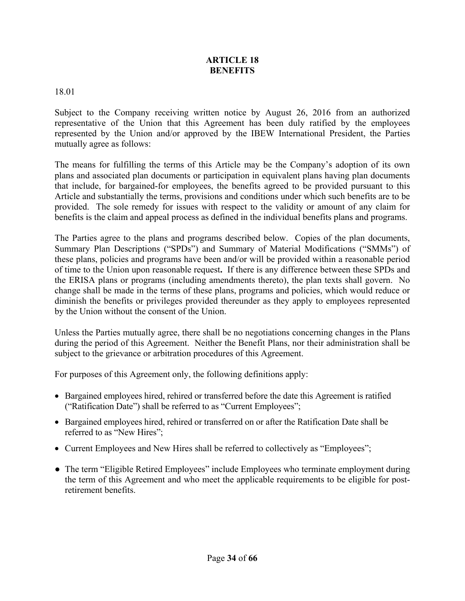#### **ARTICLE 18 BENEFITS**

#### 18.01

Subject to the Company receiving written notice by August 26, 2016 from an authorized representative of the Union that this Agreement has been duly ratified by the employees represented by the Union and/or approved by the IBEW International President, the Parties mutually agree as follows:

The means for fulfilling the terms of this Article may be the Company's adoption of its own plans and associated plan documents or participation in equivalent plans having plan documents that include, for bargained-for employees, the benefits agreed to be provided pursuant to this Article and substantially the terms, provisions and conditions under which such benefits are to be provided. The sole remedy for issues with respect to the validity or amount of any claim for benefits is the claim and appeal process as defined in the individual benefits plans and programs.

The Parties agree to the plans and programs described below. Copies of the plan documents, Summary Plan Descriptions ("SPDs") and Summary of Material Modifications ("SMMs") of these plans, policies and programs have been and/or will be provided within a reasonable period of time to the Union upon reasonable request**.** If there is any difference between these SPDs and the ERISA plans or programs (including amendments thereto), the plan texts shall govern. No change shall be made in the terms of these plans, programs and policies, which would reduce or diminish the benefits or privileges provided thereunder as they apply to employees represented by the Union without the consent of the Union.

Unless the Parties mutually agree, there shall be no negotiations concerning changes in the Plans during the period of this Agreement. Neither the Benefit Plans, nor their administration shall be subject to the grievance or arbitration procedures of this Agreement.

For purposes of this Agreement only, the following definitions apply:

- Bargained employees hired, rehired or transferred before the date this Agreement is ratified ("Ratification Date") shall be referred to as "Current Employees";
- Bargained employees hired, rehired or transferred on or after the Ratification Date shall be referred to as "New Hires";
- Current Employees and New Hires shall be referred to collectively as "Employees";
- The term "Eligible Retired Employees" include Employees who terminate employment during the term of this Agreement and who meet the applicable requirements to be eligible for postretirement benefits.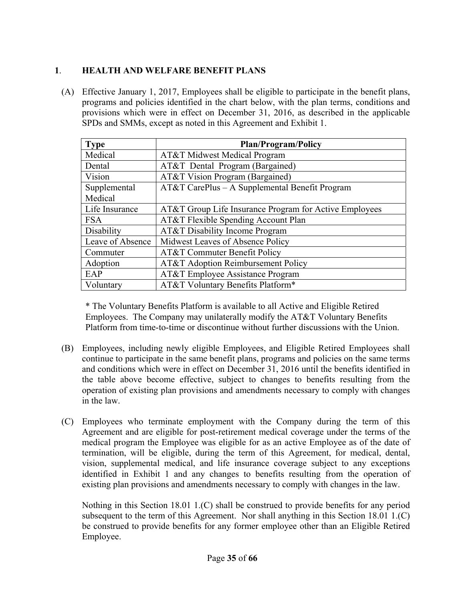#### **1**. **HEALTH AND WELFARE BENEFIT PLANS**

(A) Effective January 1, 2017, Employees shall be eligible to participate in the benefit plans, programs and policies identified in the chart below, with the plan terms, conditions and provisions which were in effect on December 31, 2016, as described in the applicable SPDs and SMMs, except as noted in this Agreement and Exhibit 1.

| <b>Type</b>      | <b>Plan/Program/Policy</b>                             |
|------------------|--------------------------------------------------------|
| Medical          | AT&T Midwest Medical Program                           |
| Dental           | AT&T Dental Program (Bargained)                        |
| Vision           | AT&T Vision Program (Bargained)                        |
| Supplemental     | AT&T CarePlus - A Supplemental Benefit Program         |
| Medical          |                                                        |
| Life Insurance   | AT&T Group Life Insurance Program for Active Employees |
| <b>FSA</b>       | AT&T Flexible Spending Account Plan                    |
| Disability       | AT&T Disability Income Program                         |
| Leave of Absence | Midwest Leaves of Absence Policy                       |
| Commuter         | AT&T Commuter Benefit Policy                           |
| Adoption         | AT&T Adoption Reimbursement Policy                     |
| EAP              | AT&T Employee Assistance Program                       |
| Voluntary        | AT&T Voluntary Benefits Platform*                      |

\* The Voluntary Benefits Platform is available to all Active and Eligible Retired Employees. The Company may unilaterally modify the AT&T Voluntary Benefits Platform from time-to-time or discontinue without further discussions with the Union.

- (B) Employees, including newly eligible Employees, and Eligible Retired Employees shall continue to participate in the same benefit plans, programs and policies on the same terms and conditions which were in effect on December 31, 2016 until the benefits identified in the table above become effective, subject to changes to benefits resulting from the operation of existing plan provisions and amendments necessary to comply with changes in the law.
- (C) Employees who terminate employment with the Company during the term of this Agreement and are eligible for post-retirement medical coverage under the terms of the medical program the Employee was eligible for as an active Employee as of the date of termination, will be eligible, during the term of this Agreement, for medical, dental, vision, supplemental medical, and life insurance coverage subject to any exceptions identified in Exhibit 1 and any changes to benefits resulting from the operation of existing plan provisions and amendments necessary to comply with changes in the law.

 Nothing in this Section 18.01 1.(C) shall be construed to provide benefits for any period subsequent to the term of this Agreement. Nor shall anything in this Section 18.01 1.(C) be construed to provide benefits for any former employee other than an Eligible Retired Employee.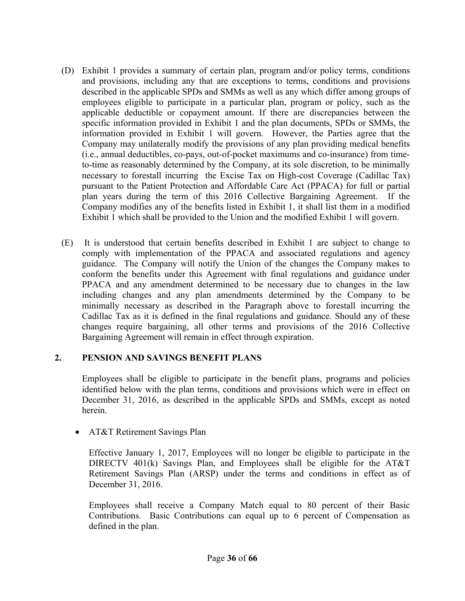- (D) Exhibit 1 provides a summary of certain plan, program and/or policy terms, conditions and provisions, including any that are exceptions to terms, conditions and provisions described in the applicable SPDs and SMMs as well as any which differ among groups of employees eligible to participate in a particular plan, program or policy, such as the applicable deductible or copayment amount. If there are discrepancies between the specific information provided in Exhibit 1 and the plan documents, SPDs or SMMs, the information provided in Exhibit 1 will govern. However, the Parties agree that the Company may unilaterally modify the provisions of any plan providing medical benefits (i.e., annual deductibles, co-pays, out-of-pocket maximums and co-insurance) from timeto-time as reasonably determined by the Company, at its sole discretion, to be minimally necessary to forestall incurring the Excise Tax on High-cost Coverage (Cadillac Tax) pursuant to the Patient Protection and Affordable Care Act (PPACA) for full or partial plan years during the term of this 2016 Collective Bargaining Agreement. If the Company modifies any of the benefits listed in Exhibit 1, it shall list them in a modified Exhibit 1 which shall be provided to the Union and the modified Exhibit 1 will govern.
- (E) It is understood that certain benefits described in Exhibit 1 are subject to change to comply with implementation of the PPACA and associated regulations and agency guidance. The Company will notify the Union of the changes the Company makes to conform the benefits under this Agreement with final regulations and guidance under PPACA and any amendment determined to be necessary due to changes in the law including changes and any plan amendments determined by the Company to be minimally necessary as described in the Paragraph above to forestall incurring the Cadillac Tax as it is defined in the final regulations and guidance. Should any of these changes require bargaining, all other terms and provisions of the 2016 Collective Bargaining Agreement will remain in effect through expiration.

#### **2. PENSION AND SAVINGS BENEFIT PLANS**

 Employees shall be eligible to participate in the benefit plans, programs and policies identified below with the plan terms, conditions and provisions which were in effect on December 31, 2016, as described in the applicable SPDs and SMMs, except as noted herein.

• AT&T Retirement Savings Plan

Effective January 1, 2017, Employees will no longer be eligible to participate in the DIRECTV 401(k) Savings Plan, and Employees shall be eligible for the AT&T Retirement Savings Plan (ARSP) under the terms and conditions in effect as of December 31, 2016.

 Employees shall receive a Company Match equal to 80 percent of their Basic Contributions. Basic Contributions can equal up to 6 percent of Compensation as defined in the plan.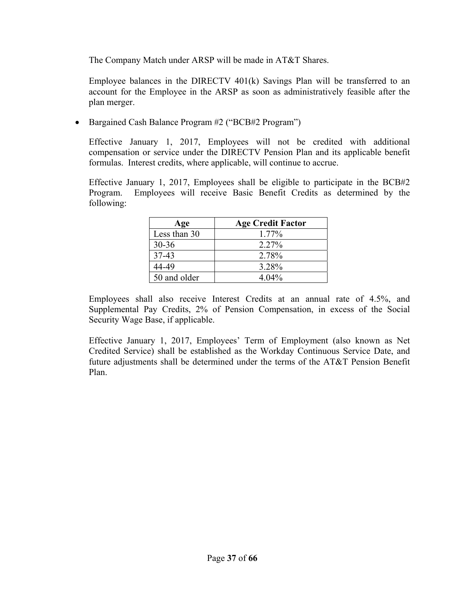The Company Match under ARSP will be made in AT&T Shares.

 Employee balances in the DIRECTV 401(k) Savings Plan will be transferred to an account for the Employee in the ARSP as soon as administratively feasible after the plan merger.

• Bargained Cash Balance Program #2 ("BCB#2 Program")

Effective January 1, 2017, Employees will not be credited with additional compensation or service under the DIRECTV Pension Plan and its applicable benefit formulas. Interest credits, where applicable, will continue to accrue.

Effective January 1, 2017, Employees shall be eligible to participate in the BCB#2 Program. Employees will receive Basic Benefit Credits as determined by the following:

| Age          | <b>Age Credit Factor</b> |
|--------------|--------------------------|
| Less than 30 | 1.77%                    |
| $30 - 36$    | 2.27%                    |
| $37 - 43$    | 2.78%                    |
| 44-49        | 3.28%                    |
| 50 and older | $4.04\%$                 |

Employees shall also receive Interest Credits at an annual rate of 4.5%, and Supplemental Pay Credits, 2% of Pension Compensation, in excess of the Social Security Wage Base, if applicable.

Effective January 1, 2017, Employees' Term of Employment (also known as Net Credited Service) shall be established as the Workday Continuous Service Date, and future adjustments shall be determined under the terms of the AT&T Pension Benefit Plan.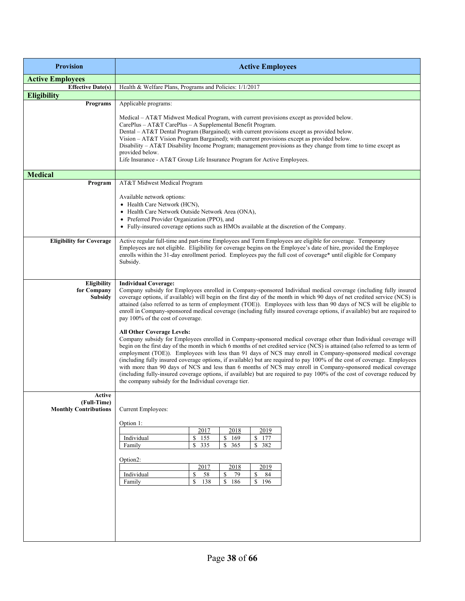| <b>Active Employees</b>                                                                                                                                                                                                                                                                                                                                                                                                                                                                                                                                                                                                                                                                                                                                                                                                                                                                                                                                                                                                                                                                                                                                                                                                                                                                                                                                                                                          |  |  |  |  |  |  |  |
|------------------------------------------------------------------------------------------------------------------------------------------------------------------------------------------------------------------------------------------------------------------------------------------------------------------------------------------------------------------------------------------------------------------------------------------------------------------------------------------------------------------------------------------------------------------------------------------------------------------------------------------------------------------------------------------------------------------------------------------------------------------------------------------------------------------------------------------------------------------------------------------------------------------------------------------------------------------------------------------------------------------------------------------------------------------------------------------------------------------------------------------------------------------------------------------------------------------------------------------------------------------------------------------------------------------------------------------------------------------------------------------------------------------|--|--|--|--|--|--|--|
|                                                                                                                                                                                                                                                                                                                                                                                                                                                                                                                                                                                                                                                                                                                                                                                                                                                                                                                                                                                                                                                                                                                                                                                                                                                                                                                                                                                                                  |  |  |  |  |  |  |  |
| Health & Welfare Plans, Programs and Policies: 1/1/2017                                                                                                                                                                                                                                                                                                                                                                                                                                                                                                                                                                                                                                                                                                                                                                                                                                                                                                                                                                                                                                                                                                                                                                                                                                                                                                                                                          |  |  |  |  |  |  |  |
|                                                                                                                                                                                                                                                                                                                                                                                                                                                                                                                                                                                                                                                                                                                                                                                                                                                                                                                                                                                                                                                                                                                                                                                                                                                                                                                                                                                                                  |  |  |  |  |  |  |  |
| Applicable programs:                                                                                                                                                                                                                                                                                                                                                                                                                                                                                                                                                                                                                                                                                                                                                                                                                                                                                                                                                                                                                                                                                                                                                                                                                                                                                                                                                                                             |  |  |  |  |  |  |  |
| Medical – AT&T Midwest Medical Program, with current provisions except as provided below.<br>CarePlus - AT&T CarePlus - A Supplemental Benefit Program.<br>Dental – AT&T Dental Program (Bargained); with current provisions except as provided below.<br>Vision - AT&T Vision Program Bargained); with current provisions except as provided below.<br>Disability $-AT\&T$ Disability Income Program; management provisions as they change from time to time except as<br>provided below.<br>Life Insurance - AT&T Group Life Insurance Program for Active Employees.                                                                                                                                                                                                                                                                                                                                                                                                                                                                                                                                                                                                                                                                                                                                                                                                                                           |  |  |  |  |  |  |  |
|                                                                                                                                                                                                                                                                                                                                                                                                                                                                                                                                                                                                                                                                                                                                                                                                                                                                                                                                                                                                                                                                                                                                                                                                                                                                                                                                                                                                                  |  |  |  |  |  |  |  |
| AT&T Midwest Medical Program<br>Available network options:<br>• Health Care Network (HCN),<br>• Health Care Network Outside Network Area (ONA),<br>• Preferred Provider Organization (PPO), and<br>• Fully-insured coverage options such as HMOs available at the discretion of the Company.                                                                                                                                                                                                                                                                                                                                                                                                                                                                                                                                                                                                                                                                                                                                                                                                                                                                                                                                                                                                                                                                                                                     |  |  |  |  |  |  |  |
| Active regular full-time and part-time Employees and Term Employees are eligible for coverage. Temporary<br><b>Eligibility for Coverage</b><br>Employees are not eligible. Eligibility for coverage begins on the Employee's date of hire, provided the Employee<br>enrolls within the 31-day enrollment period. Employees pay the full cost of coverage* until eligible for Company<br>Subsidy.                                                                                                                                                                                                                                                                                                                                                                                                                                                                                                                                                                                                                                                                                                                                                                                                                                                                                                                                                                                                                 |  |  |  |  |  |  |  |
| <b>Individual Coverage:</b><br>Company subsidy for Employees enrolled in Company-sponsored Individual medical coverage (including fully insured<br>coverage options, if available) will begin on the first day of the month in which 90 days of net credited service (NCS) is<br>attained (also referred to as term of employment (TOE)). Employees with less than 90 days of NCS will be eligible to<br>enroll in Company-sponsored medical coverage (including fully insured coverage options, if available) but are required to<br>pay 100% of the cost of coverage.<br><b>All Other Coverage Levels:</b><br>Company subsidy for Employees enrolled in Company-sponsored medical coverage other than Individual coverage will<br>begin on the first day of the month in which 6 months of net credited service (NCS) is attained (also referred to as term of<br>employment (TOE)). Employees with less than 91 days of NCS may enroll in Company-sponsored medical coverage<br>(including fully insured coverage options, if available) but are required to pay 100% of the cost of coverage. Employees<br>with more than 90 days of NCS and less than 6 months of NCS may enroll in Company-sponsored medical coverage<br>(including fully-insured coverage options, if available) but are required to pay 100% of the cost of coverage reduced by<br>the company subsidy for the Individual coverage tier. |  |  |  |  |  |  |  |
| Current Employees:<br>Option 1:<br>2017<br>2018<br>2019<br>Individual<br>\$<br>155<br>\$<br>169<br>177<br>S<br>335<br>\$<br>365<br>\$<br>382<br>\$<br>Family<br>Option <sub>2</sub> :<br>2017<br>2018<br>2019<br>Individual<br>58<br>\$<br>79<br>84<br>\$<br>S<br>\$<br>138<br>\$<br>186<br>\$<br>196<br>Family                                                                                                                                                                                                                                                                                                                                                                                                                                                                                                                                                                                                                                                                                                                                                                                                                                                                                                                                                                                                                                                                                                  |  |  |  |  |  |  |  |
|                                                                                                                                                                                                                                                                                                                                                                                                                                                                                                                                                                                                                                                                                                                                                                                                                                                                                                                                                                                                                                                                                                                                                                                                                                                                                                                                                                                                                  |  |  |  |  |  |  |  |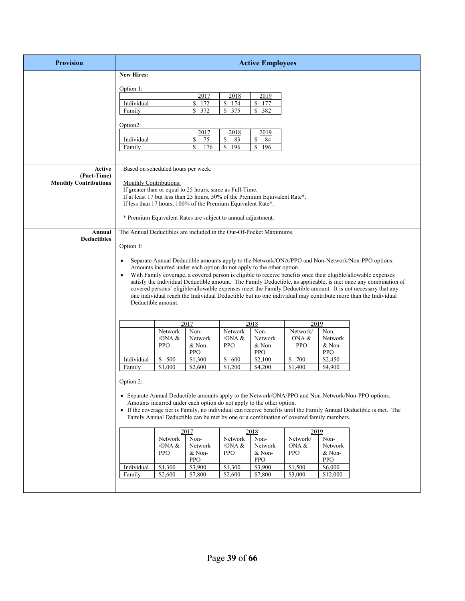| <b>Provision</b>             |                                                                    |                    |                                                                             |                     | <b>Active Employees</b> |                                                                                        |                 |                                                                                                                     |
|------------------------------|--------------------------------------------------------------------|--------------------|-----------------------------------------------------------------------------|---------------------|-------------------------|----------------------------------------------------------------------------------------|-----------------|---------------------------------------------------------------------------------------------------------------------|
|                              | <b>New Hires:</b>                                                  |                    |                                                                             |                     |                         |                                                                                        |                 |                                                                                                                     |
|                              |                                                                    |                    |                                                                             |                     |                         |                                                                                        |                 |                                                                                                                     |
|                              | Option 1:                                                          |                    | 2017                                                                        | 2018                | 2019                    |                                                                                        |                 |                                                                                                                     |
|                              | Individual                                                         |                    | 172<br>\$                                                                   | \$174               | \$<br>177               |                                                                                        |                 |                                                                                                                     |
|                              | Family                                                             |                    | 372<br>\$                                                                   | $\mathbb{S}$<br>375 | \$<br>382               |                                                                                        |                 |                                                                                                                     |
|                              |                                                                    |                    |                                                                             |                     |                         |                                                                                        |                 |                                                                                                                     |
|                              | Option2:                                                           |                    |                                                                             |                     |                         |                                                                                        |                 |                                                                                                                     |
|                              |                                                                    |                    | 2017                                                                        | 2018                | 2019                    |                                                                                        |                 |                                                                                                                     |
|                              | Individual                                                         |                    | \$<br>75                                                                    | \$<br>83            | \$<br>84                |                                                                                        |                 |                                                                                                                     |
|                              | Family                                                             |                    | \$<br>176                                                                   | \$<br>196           | <sup>\$</sup><br>196    |                                                                                        |                 |                                                                                                                     |
|                              |                                                                    |                    |                                                                             |                     |                         |                                                                                        |                 |                                                                                                                     |
| Active                       | Based on scheduled hours per week:                                 |                    |                                                                             |                     |                         |                                                                                        |                 |                                                                                                                     |
| (Part-Time)                  |                                                                    |                    |                                                                             |                     |                         |                                                                                        |                 |                                                                                                                     |
| <b>Monthly Contributions</b> | Monthly Contributions:                                             |                    |                                                                             |                     |                         |                                                                                        |                 |                                                                                                                     |
|                              |                                                                    |                    | If greater than or equal to 25 hours, same as Full-Time.                    |                     |                         |                                                                                        |                 |                                                                                                                     |
|                              |                                                                    |                    | If at least 17 but less than 25 hours, 50% of the Premium Equivalent Rate*. |                     |                         |                                                                                        |                 |                                                                                                                     |
|                              |                                                                    |                    | If less than 17 hours, 100% of the Premium Equivalent Rate*.                |                     |                         |                                                                                        |                 |                                                                                                                     |
|                              |                                                                    |                    | * Premium Equivalent Rates are subject to annual adjustment.                |                     |                         |                                                                                        |                 |                                                                                                                     |
|                              |                                                                    |                    |                                                                             |                     |                         |                                                                                        |                 |                                                                                                                     |
| Annual                       | The Annual Deductibles are included in the Out-Of-Pocket Maximums. |                    |                                                                             |                     |                         |                                                                                        |                 |                                                                                                                     |
| <b>Deductibles</b>           |                                                                    |                    |                                                                             |                     |                         |                                                                                        |                 |                                                                                                                     |
|                              | Option 1:                                                          |                    |                                                                             |                     |                         |                                                                                        |                 |                                                                                                                     |
|                              | $\bullet$                                                          |                    |                                                                             |                     |                         |                                                                                        |                 | Separate Annual Deductible amounts apply to the Network/ONA/PPO and Non-Network/Non-PPO options.                    |
|                              |                                                                    |                    | Amounts incurred under each option do not apply to the other option.        |                     |                         |                                                                                        |                 |                                                                                                                     |
|                              | $\bullet$                                                          |                    |                                                                             |                     |                         |                                                                                        |                 | With Family coverage, a covered person is eligible to receive benefits once their eligible/allowable expenses       |
|                              |                                                                    |                    |                                                                             |                     |                         |                                                                                        |                 | satisfy the Individual Deductible amount. The Family Deductible, as applicable, is met once any combination of      |
|                              |                                                                    |                    |                                                                             |                     |                         |                                                                                        |                 | covered persons' eligible/allowable expenses meet the Family Deductible amount. It is not necessary that any        |
|                              |                                                                    |                    |                                                                             |                     |                         |                                                                                        |                 | one individual reach the Individual Deductible but no one individual may contribute more than the Individual        |
|                              |                                                                    | Deductible amount. |                                                                             |                     |                         |                                                                                        |                 |                                                                                                                     |
|                              |                                                                    |                    |                                                                             |                     |                         |                                                                                        |                 |                                                                                                                     |
|                              |                                                                    |                    | 2017                                                                        |                     | 2018                    | 2019                                                                                   |                 |                                                                                                                     |
|                              |                                                                    | Network            | Non-                                                                        | Network             | Non-                    | Network/                                                                               | Non-            |                                                                                                                     |
|                              |                                                                    | /ONA &             | Network                                                                     | /ONA $\&$           | Network                 | ONA &                                                                                  | Network         |                                                                                                                     |
|                              |                                                                    | <b>PPO</b>         | $&$ Non-                                                                    | <b>PPO</b>          | & Non-                  | <b>PPO</b>                                                                             | & Non-          |                                                                                                                     |
|                              |                                                                    |                    | <b>PPO</b>                                                                  |                     | <b>PPO</b>              |                                                                                        | <b>PPO</b>      |                                                                                                                     |
|                              | Individual                                                         | \$500              | $\overline{$1,300}$                                                         | $\overline{\$}$ 600 | $\overline{\$2,100}$    | \$<br>700                                                                              | $\sqrt{$2,450}$ |                                                                                                                     |
|                              | Family                                                             | \$1,000            | \$2,600                                                                     | \$1,200             | \$4,200                 | \$1,400                                                                                | \$4,900         |                                                                                                                     |
|                              | Option 2:                                                          |                    |                                                                             |                     |                         |                                                                                        |                 |                                                                                                                     |
|                              |                                                                    |                    |                                                                             |                     |                         |                                                                                        |                 |                                                                                                                     |
|                              |                                                                    |                    |                                                                             |                     |                         |                                                                                        |                 | • Separate Annual Deductible amounts apply to the Network/ONA/PPO and Non-Network/Non-PPO options.                  |
|                              |                                                                    |                    | Amounts incurred under each option do not apply to the other option.        |                     |                         |                                                                                        |                 |                                                                                                                     |
|                              |                                                                    |                    |                                                                             |                     |                         |                                                                                        |                 | • If the coverage tier is Family, no individual can receive benefits until the Family Annual Deductible is met. The |
|                              |                                                                    |                    |                                                                             |                     |                         | Family Annual Deductible can be met by one or a combination of covered family members. |                 |                                                                                                                     |
|                              |                                                                    |                    | 2017                                                                        |                     | 2018                    | 2019                                                                                   |                 |                                                                                                                     |
|                              |                                                                    | Network            | Non-                                                                        | Network             | Non-                    | Network/                                                                               | Non-            |                                                                                                                     |
|                              |                                                                    | /ONA &             | Network                                                                     | /ONA &              | Network                 | ONA &                                                                                  | Network         |                                                                                                                     |
|                              |                                                                    | <b>PPO</b>         | & Non-                                                                      | <b>PPO</b>          | & Non-                  | <b>PPO</b>                                                                             | & Non-          |                                                                                                                     |
|                              |                                                                    |                    | <b>PPO</b>                                                                  |                     | <b>PPO</b>              |                                                                                        | <b>PPO</b>      |                                                                                                                     |
|                              | Individual                                                         | \$1,300            | \$3,900                                                                     | \$1,300             | \$3,900                 | \$1,500                                                                                | \$6,000         |                                                                                                                     |
|                              | Family                                                             | \$2,600            | \$7,800                                                                     | \$2,600             | \$7,800                 | \$3,000                                                                                | \$12,000        |                                                                                                                     |
|                              |                                                                    |                    |                                                                             |                     |                         |                                                                                        |                 |                                                                                                                     |
|                              |                                                                    |                    |                                                                             |                     |                         |                                                                                        |                 |                                                                                                                     |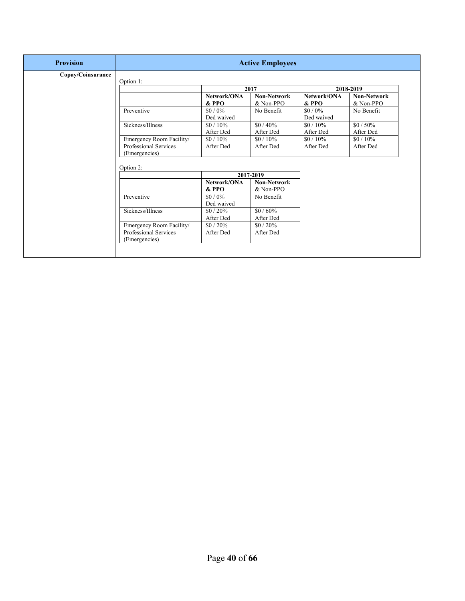| <b>Provision</b>  |                                                                    |                                 | <b>Active Employees</b>  |                        |                          |  |  |  |  |
|-------------------|--------------------------------------------------------------------|---------------------------------|--------------------------|------------------------|--------------------------|--|--|--|--|
| Copay/Coinsurance | Option 1:                                                          |                                 |                          |                        |                          |  |  |  |  |
|                   |                                                                    |                                 | 2018-2019                |                        |                          |  |  |  |  |
|                   |                                                                    | Network/ONA<br>$&$ PPO          | Non-Network<br>& Non-PPO | Network/ONA<br>$&$ PPO | Non-Network<br>& Non-PPO |  |  |  |  |
|                   | Preventive                                                         | $$0/0\%$<br>Ded waived          | No Benefit               | $$0/0\%$<br>Ded waived | No Benefit               |  |  |  |  |
|                   | Sickness/Illness                                                   | $$0/10\%$<br>After Ded          | $$0/40\%$<br>After Ded   | $$0/10\%$<br>After Ded | $$0/50\%$<br>After Ded   |  |  |  |  |
|                   | Emergency Room Facility/<br>Professional Services<br>(Emergencies) | $$0/10\%$<br>After Ded          | $$0/10\%$<br>After Ded   | $$0/10\%$<br>After Ded | $$0/10\%$<br>After Ded   |  |  |  |  |
|                   |                                                                    |                                 |                          |                        |                          |  |  |  |  |
|                   | Option 2:                                                          |                                 |                          |                        |                          |  |  |  |  |
|                   |                                                                    | Network/ONA                     | 2017-2019<br>Non-Network |                        |                          |  |  |  |  |
|                   | Preventive                                                         | & PPO<br>$$0/0\%$<br>Ded waived | & Non-PPO<br>No Benefit  |                        |                          |  |  |  |  |
|                   | Sickness/Illness                                                   | $$0/20\%$<br>After Ded          | $$0/60\%$<br>After Ded   |                        |                          |  |  |  |  |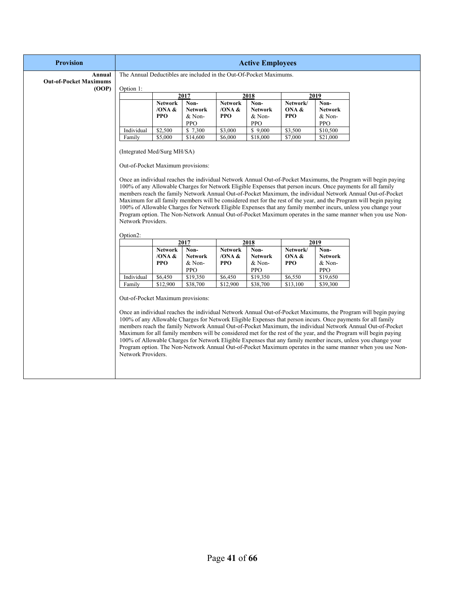| <b>Provision</b>                                 |                                                                     |                                           |                                                |                                        |                                                |                                 |                                                | <b>Active Employees</b>                                                                                                                                                                                                                                                                                                                                                                                                                                                                                                                                                                                                                                                                          |  |  |  |  |  |  |
|--------------------------------------------------|---------------------------------------------------------------------|-------------------------------------------|------------------------------------------------|----------------------------------------|------------------------------------------------|---------------------------------|------------------------------------------------|--------------------------------------------------------------------------------------------------------------------------------------------------------------------------------------------------------------------------------------------------------------------------------------------------------------------------------------------------------------------------------------------------------------------------------------------------------------------------------------------------------------------------------------------------------------------------------------------------------------------------------------------------------------------------------------------------|--|--|--|--|--|--|
| Annual<br><b>Out-of-Pocket Maximums</b><br>(OOP) | The Annual Deductibles are included in the Out-Of-Pocket Maximums.  |                                           |                                                |                                        |                                                |                                 |                                                |                                                                                                                                                                                                                                                                                                                                                                                                                                                                                                                                                                                                                                                                                                  |  |  |  |  |  |  |
|                                                  | Option 1:                                                           |                                           | 2017                                           |                                        | 2018                                           |                                 | 2019                                           |                                                                                                                                                                                                                                                                                                                                                                                                                                                                                                                                                                                                                                                                                                  |  |  |  |  |  |  |
|                                                  |                                                                     | <b>Network</b>                            | Non-                                           | <b>Network</b>                         | Non-                                           | Network/                        | Non-                                           |                                                                                                                                                                                                                                                                                                                                                                                                                                                                                                                                                                                                                                                                                                  |  |  |  |  |  |  |
|                                                  |                                                                     | /ONA $\&$<br><b>PPO</b>                   | <b>Network</b><br>& Non-<br><b>PPO</b>         | /ONA $\&$<br><b>PPO</b>                | Network<br>& Non-<br>PPO                       | ONA &<br><b>PPO</b>             | <b>Network</b><br>& Non-<br><b>PPO</b>         |                                                                                                                                                                                                                                                                                                                                                                                                                                                                                                                                                                                                                                                                                                  |  |  |  |  |  |  |
|                                                  | Individual                                                          | \$2,500                                   | \$7,300                                        | \$3,000                                | \$9,000                                        | \$3,500                         | \$10,500                                       |                                                                                                                                                                                                                                                                                                                                                                                                                                                                                                                                                                                                                                                                                                  |  |  |  |  |  |  |
|                                                  | Family                                                              | \$5,000                                   | \$14,600                                       | \$6,000                                | \$18,000                                       | \$7,000                         | \$21,000                                       |                                                                                                                                                                                                                                                                                                                                                                                                                                                                                                                                                                                                                                                                                                  |  |  |  |  |  |  |
|                                                  | Out-of-Pocket Maximum provisions:<br>Network Providers.<br>Option2: |                                           |                                                |                                        |                                                |                                 |                                                | Once an individual reaches the individual Network Annual Out-of-Pocket Maximums, the Program will begin paying<br>100% of any Allowable Charges for Network Eligible Expenses that person incurs. Once payments for all family<br>members reach the family Network Annual Out-of-Pocket Maximum, the individual Network Annual Out-of-Pocket<br>Maximum for all family members will be considered met for the rest of the year, and the Program will begin paying<br>100% of Allowable Charges for Network Eligible Expenses that any family member incurs, unless you change your<br>Program option. The Non-Network Annual Out-of-Pocket Maximum operates in the same manner when you use Non- |  |  |  |  |  |  |
|                                                  |                                                                     |                                           | 2017                                           |                                        | 2018                                           |                                 | 2019                                           |                                                                                                                                                                                                                                                                                                                                                                                                                                                                                                                                                                                                                                                                                                  |  |  |  |  |  |  |
|                                                  |                                                                     | <b>Network</b><br>/ONA $\&$<br><b>PPO</b> | Non-<br><b>Network</b><br>& Non-<br><b>PPO</b> | <b>Network</b><br>/ONA &<br><b>PPO</b> | Non-<br><b>Network</b><br>& Non-<br><b>PPO</b> | Network/<br>ONA &<br><b>PPO</b> | Non-<br><b>Network</b><br>& Non-<br><b>PPO</b> |                                                                                                                                                                                                                                                                                                                                                                                                                                                                                                                                                                                                                                                                                                  |  |  |  |  |  |  |
|                                                  | Individual                                                          | \$6,450                                   | \$19,350                                       | \$6,450                                | \$19,350                                       | \$6,550                         | \$19,650                                       |                                                                                                                                                                                                                                                                                                                                                                                                                                                                                                                                                                                                                                                                                                  |  |  |  |  |  |  |
|                                                  | Family                                                              | \$12,900                                  | \$38,700                                       | \$12,900                               | \$38,700                                       | \$13,100                        | \$39,300                                       |                                                                                                                                                                                                                                                                                                                                                                                                                                                                                                                                                                                                                                                                                                  |  |  |  |  |  |  |
|                                                  | Out-of-Pocket Maximum provisions:<br>Network Providers.             |                                           |                                                |                                        |                                                |                                 |                                                | Once an individual reaches the individual Network Annual Out-of-Pocket Maximums, the Program will begin paying<br>100% of any Allowable Charges for Network Eligible Expenses that person incurs. Once payments for all family<br>members reach the family Network Annual Out-of-Pocket Maximum, the individual Network Annual Out-of-Pocket<br>Maximum for all family members will be considered met for the rest of the year, and the Program will begin paying<br>100% of Allowable Charges for Network Eligible Expenses that any family member incurs, unless you change your<br>Program option. The Non-Network Annual Out-of-Pocket Maximum operates in the same manner when you use Non- |  |  |  |  |  |  |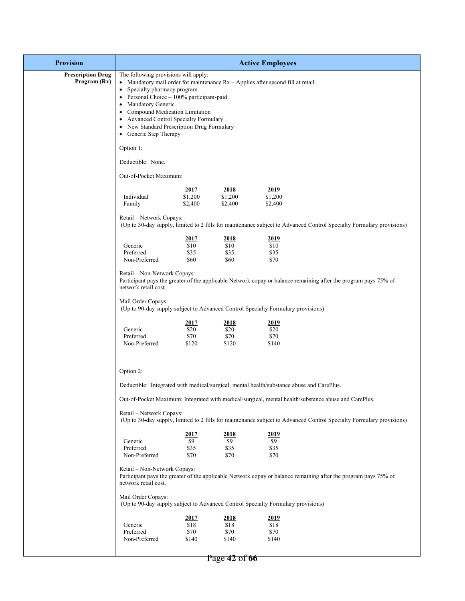| <b>Provision</b>                         |                                                                                                                                                                                                                                                                                                              |                                      |                                        | <b>Active Employees</b>                                                                                              |  |  |  |
|------------------------------------------|--------------------------------------------------------------------------------------------------------------------------------------------------------------------------------------------------------------------------------------------------------------------------------------------------------------|--------------------------------------|----------------------------------------|----------------------------------------------------------------------------------------------------------------------|--|--|--|
| <b>Prescription Drug</b><br>Program (Rx) | The following provisions will apply:<br>Specialty pharmacy program<br>٠<br>• Personal Choice $-100\%$ participant-paid<br>Mandatory Generic<br>٠<br>Compound Medication Limitation<br>٠<br>• Advanced Control Specialty Formulary<br>New Standard Prescription Drug Formulary<br>٠<br>• Generic Step Therapy |                                      |                                        | • Mandatory mail order for maintenance $Rx - Applies$ after second fill at retail.                                   |  |  |  |
|                                          | Option 1:                                                                                                                                                                                                                                                                                                    |                                      |                                        |                                                                                                                      |  |  |  |
|                                          | Deductible: None.                                                                                                                                                                                                                                                                                            |                                      |                                        |                                                                                                                      |  |  |  |
|                                          | Out-of-Pocket Maximum:                                                                                                                                                                                                                                                                                       |                                      |                                        |                                                                                                                      |  |  |  |
|                                          | Individual<br>Family                                                                                                                                                                                                                                                                                         | 2017<br>\$1,200<br>\$2,400           | <u>2018</u><br>\$1,200<br>\$2,400      | 2019<br>\$1,200<br>\$2,400                                                                                           |  |  |  |
|                                          | Retail - Network Copays:                                                                                                                                                                                                                                                                                     |                                      |                                        | (Up to 30-day supply, limited to 2 fills for maintenance subject to Advanced Control Specialty Formulary provisions) |  |  |  |
|                                          | Generic<br>Preferred<br>Non-Preferred                                                                                                                                                                                                                                                                        | <u>2017</u><br>\$10<br>\$35<br>\$60  | <u> 2018 </u><br>\$10<br>\$35<br>\$60  | <u> 2019</u><br>\$10<br>\$35<br>\$70                                                                                 |  |  |  |
|                                          | Retail - Non-Network Copays:<br>network retail cost.                                                                                                                                                                                                                                                         |                                      |                                        | Participant pays the greater of the applicable Network copay or balance remaining after the program pays 75% of      |  |  |  |
|                                          | Mail Order Copays:                                                                                                                                                                                                                                                                                           |                                      |                                        | (Up to 90-day supply subject to Advanced Control Specialty Formulary provisions)                                     |  |  |  |
|                                          | Generic<br>Preferred<br>Non-Preferred                                                                                                                                                                                                                                                                        | <u>2017</u><br>\$20<br>\$70<br>\$120 | <u> 2018 </u><br>\$20<br>\$70<br>\$120 | <u> 2019</u><br>\$20<br>\$70<br>\$140                                                                                |  |  |  |
|                                          | Option 2:<br>Deductible: Integrated with medical/surgical, mental health/substance abuse and CarePlus.                                                                                                                                                                                                       |                                      |                                        |                                                                                                                      |  |  |  |
|                                          |                                                                                                                                                                                                                                                                                                              |                                      |                                        | Out-of-Pocket Maximum: Integrated with medical/surgical, mental health/substance abuse and CarePlus.                 |  |  |  |
|                                          | Retail - Network Copays:                                                                                                                                                                                                                                                                                     |                                      |                                        | (Up to 30-day supply, limited to 2 fills for maintenance subject to Advanced Control Specialty Formulary provisions) |  |  |  |
|                                          | Generic<br>Preferred<br>Non-Preferred                                                                                                                                                                                                                                                                        | 2017<br>\$9<br>\$35<br>\$70          | 2018<br>\$9<br>\$35<br>\$70            | 2019<br>\$9<br>\$35<br>\$70                                                                                          |  |  |  |
|                                          | Retail - Non-Network Copays:<br>network retail cost.                                                                                                                                                                                                                                                         |                                      |                                        | Participant pays the greater of the applicable Network copay or balance remaining after the program pays 75% of      |  |  |  |
|                                          | Mail Order Copays:                                                                                                                                                                                                                                                                                           |                                      |                                        | (Up to 90-day supply subject to Advanced Control Specialty Formulary provisions)                                     |  |  |  |
|                                          | Generic<br>Preferred<br>Non-Preferred                                                                                                                                                                                                                                                                        | <u>2017</u><br>\$18<br>\$70<br>\$140 | 2018<br>\$18<br>\$70<br>\$140          | 2019<br>\$18<br>\$70<br>\$140                                                                                        |  |  |  |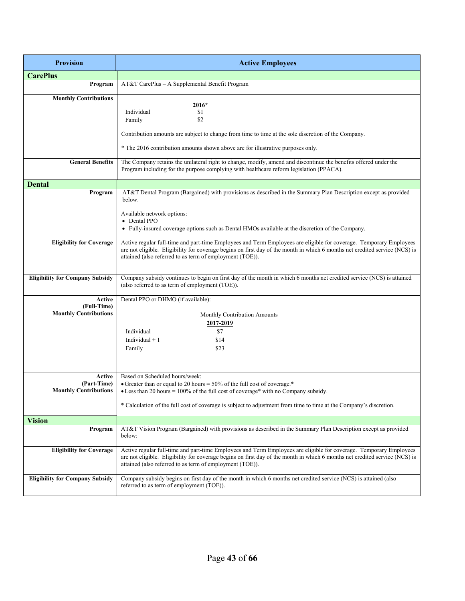| <b>Provision</b>                            | <b>Active Employees</b>                                                                                                                                                                                                                                                                                       |  |  |  |
|---------------------------------------------|---------------------------------------------------------------------------------------------------------------------------------------------------------------------------------------------------------------------------------------------------------------------------------------------------------------|--|--|--|
| <b>CarePlus</b>                             |                                                                                                                                                                                                                                                                                                               |  |  |  |
| Program                                     | AT&T CarePlus - A Supplemental Benefit Program                                                                                                                                                                                                                                                                |  |  |  |
| <b>Monthly Contributions</b>                |                                                                                                                                                                                                                                                                                                               |  |  |  |
|                                             | <u> 2016*</u>                                                                                                                                                                                                                                                                                                 |  |  |  |
|                                             | Individual<br>\$1                                                                                                                                                                                                                                                                                             |  |  |  |
|                                             | \$2<br>Family                                                                                                                                                                                                                                                                                                 |  |  |  |
|                                             | Contribution amounts are subject to change from time to time at the sole discretion of the Company.                                                                                                                                                                                                           |  |  |  |
|                                             | * The 2016 contribution amounts shown above are for illustrative purposes only.                                                                                                                                                                                                                               |  |  |  |
| <b>General Benefits</b>                     | The Company retains the unilateral right to change, modify, amend and discontinue the benefits offered under the<br>Program including for the purpose complying with healthcare reform legislation (PPACA).                                                                                                   |  |  |  |
| <b>Dental</b>                               |                                                                                                                                                                                                                                                                                                               |  |  |  |
| Program                                     | AT&T Dental Program (Bargained) with provisions as described in the Summary Plan Description except as provided<br>below.                                                                                                                                                                                     |  |  |  |
|                                             | Available network options:                                                                                                                                                                                                                                                                                    |  |  |  |
|                                             | • Dental PPO                                                                                                                                                                                                                                                                                                  |  |  |  |
|                                             | • Fully-insured coverage options such as Dental HMOs available at the discretion of the Company.                                                                                                                                                                                                              |  |  |  |
| <b>Eligibility for Coverage</b>             | Active regular full-time and part-time Employees and Term Employees are eligible for coverage. Temporary Employees                                                                                                                                                                                            |  |  |  |
|                                             | are not eligible. Eligibility for coverage begins on first day of the month in which 6 months net credited service (NCS) is                                                                                                                                                                                   |  |  |  |
|                                             | attained (also referred to as term of employment (TOE)).                                                                                                                                                                                                                                                      |  |  |  |
|                                             |                                                                                                                                                                                                                                                                                                               |  |  |  |
| <b>Eligibility for Company Subsidy</b>      | Company subsidy continues to begin on first day of the month in which 6 months net credited service (NCS) is attained<br>(also referred to as term of employment (TOE)).                                                                                                                                      |  |  |  |
| Active                                      | Dental PPO or DHMO (if available):                                                                                                                                                                                                                                                                            |  |  |  |
| (Full-Time)<br><b>Monthly Contributions</b> |                                                                                                                                                                                                                                                                                                               |  |  |  |
|                                             | Monthly Contribution Amounts                                                                                                                                                                                                                                                                                  |  |  |  |
|                                             | <u>2017-2019</u><br>Individual<br>\$7                                                                                                                                                                                                                                                                         |  |  |  |
|                                             | Individual $+1$<br>\$14                                                                                                                                                                                                                                                                                       |  |  |  |
|                                             | \$23<br>Family                                                                                                                                                                                                                                                                                                |  |  |  |
|                                             |                                                                                                                                                                                                                                                                                                               |  |  |  |
|                                             |                                                                                                                                                                                                                                                                                                               |  |  |  |
| Active                                      | Based on Scheduled hours/week:                                                                                                                                                                                                                                                                                |  |  |  |
| (Part-Time)                                 | • Greater than or equal to 20 hours = 50% of the full cost of coverage.*                                                                                                                                                                                                                                      |  |  |  |
| <b>Monthly Contributions</b>                | • Less than 20 hours = $100\%$ of the full cost of coverage* with no Company subsidy.                                                                                                                                                                                                                         |  |  |  |
|                                             | * Calculation of the full cost of coverage is subject to adjustment from time to time at the Company's discretion.                                                                                                                                                                                            |  |  |  |
| <b>Vision</b>                               |                                                                                                                                                                                                                                                                                                               |  |  |  |
| Program                                     | AT&T Vision Program (Bargained) with provisions as described in the Summary Plan Description except as provided<br>below:                                                                                                                                                                                     |  |  |  |
| <b>Eligibility for Coverage</b>             | Active regular full-time and part-time Employees and Term Employees are eligible for coverage. Temporary Employees<br>are not eligible. Eligibility for coverage begins on first day of the month in which 6 months net credited service (NCS) is<br>attained (also referred to as term of employment (TOE)). |  |  |  |
| <b>Eligibility for Company Subsidy</b>      | Company subsidy begins on first day of the month in which 6 months net credited service (NCS) is attained (also<br>referred to as term of employment (TOE)).                                                                                                                                                  |  |  |  |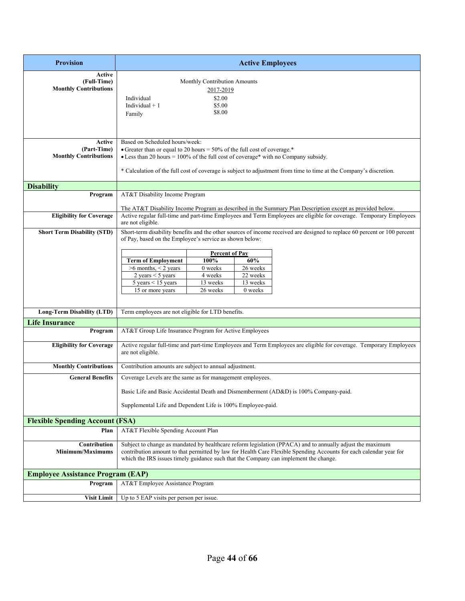| <b>Provision</b>                                      | <b>Active Employees</b>                                                                                                                                                                                                                                                                                                      |  |  |
|-------------------------------------------------------|------------------------------------------------------------------------------------------------------------------------------------------------------------------------------------------------------------------------------------------------------------------------------------------------------------------------------|--|--|
| Active<br>(Full-Time)<br><b>Monthly Contributions</b> | Monthly Contribution Amounts<br>2017-2019<br>Individual<br>\$2.00<br>Individual $+1$<br>\$5.00<br>\$8.00<br>Family                                                                                                                                                                                                           |  |  |
| Active<br>(Part-Time)<br><b>Monthly Contributions</b> | Based on Scheduled hours/week:<br>• Greater than or equal to 20 hours = $50\%$ of the full cost of coverage.*<br>• Less than 20 hours = $100\%$ of the full cost of coverage* with no Company subsidy.<br>* Calculation of the full cost of coverage is subject to adjustment from time to time at the Company's discretion. |  |  |
| <b>Disability</b>                                     |                                                                                                                                                                                                                                                                                                                              |  |  |
| Program                                               | AT&T Disability Income Program                                                                                                                                                                                                                                                                                               |  |  |
| <b>Eligibility for Coverage</b>                       | The AT&T Disability Income Program as described in the Summary Plan Description except as provided below.<br>Active regular full-time and part-time Employees and Term Employees are eligible for coverage. Temporary Employees<br>are not eligible.                                                                         |  |  |
| <b>Short Term Disability (STD)</b>                    | Short-term disability benefits and the other sources of income received are designed to replace 60 percent or 100 percent<br>of Pay, based on the Employee's service as shown below:                                                                                                                                         |  |  |
|                                                       | <b>Percent of Pay</b>                                                                                                                                                                                                                                                                                                        |  |  |
|                                                       | 100%<br>60%<br><b>Term of Employment</b>                                                                                                                                                                                                                                                                                     |  |  |
|                                                       | $>6$ months, $< 2$ years<br>26 weeks<br>0 weeks<br>22 weeks<br>2 years $<$ 5 years<br>4 weeks                                                                                                                                                                                                                                |  |  |
|                                                       | 13 weeks<br>5 years $<$ 15 years<br>13 weeks                                                                                                                                                                                                                                                                                 |  |  |
|                                                       | 26 weeks<br>15 or more years<br>0 weeks                                                                                                                                                                                                                                                                                      |  |  |
| Long-Term Disability (LTD)                            | Term employees are not eligible for LTD benefits.                                                                                                                                                                                                                                                                            |  |  |
| <b>Life Insurance</b>                                 |                                                                                                                                                                                                                                                                                                                              |  |  |
| Program                                               | AT&T Group Life Insurance Program for Active Employees                                                                                                                                                                                                                                                                       |  |  |
| <b>Eligibility for Coverage</b>                       | Active regular full-time and part-time Employees and Term Employees are eligible for coverage. Temporary Employees<br>are not eligible.                                                                                                                                                                                      |  |  |
| <b>Monthly Contributions</b>                          | Contribution amounts are subject to annual adjustment.                                                                                                                                                                                                                                                                       |  |  |
| <b>General Benefits</b>                               | Coverage Levels are the same as for management employees.                                                                                                                                                                                                                                                                    |  |  |
|                                                       | Basic Life and Basic Accidental Death and Dismemberment (AD&D) is 100% Company-paid.                                                                                                                                                                                                                                         |  |  |
|                                                       | Supplemental Life and Dependent Life is 100% Employee-paid.                                                                                                                                                                                                                                                                  |  |  |
| <b>Flexible Spending Account (FSA)</b>                |                                                                                                                                                                                                                                                                                                                              |  |  |
| Plan                                                  | AT&T Flexible Spending Account Plan                                                                                                                                                                                                                                                                                          |  |  |
| Contribution<br>Minimum/Maximums                      | Subject to change as mandated by healthcare reform legislation (PPACA) and to annually adjust the maximum<br>contribution amount to that permitted by law for Health Care Flexible Spending Accounts for each calendar year for<br>which the IRS issues timely guidance such that the Company can implement the change.      |  |  |
| <b>Employee Assistance Program (EAP)</b>              |                                                                                                                                                                                                                                                                                                                              |  |  |
| Program                                               | AT&T Employee Assistance Program                                                                                                                                                                                                                                                                                             |  |  |
| <b>Visit Limit</b>                                    | Up to 5 EAP visits per person per issue.                                                                                                                                                                                                                                                                                     |  |  |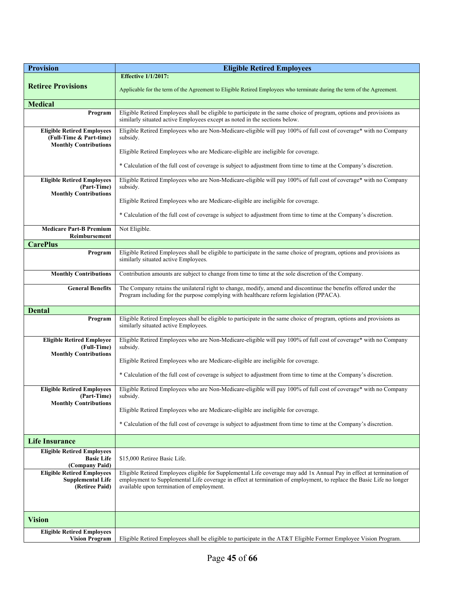| <b>Provision</b>                                                                             | <b>Eligible Retired Employees</b>                                                                                                                                                                                                                                                         |  |  |  |
|----------------------------------------------------------------------------------------------|-------------------------------------------------------------------------------------------------------------------------------------------------------------------------------------------------------------------------------------------------------------------------------------------|--|--|--|
|                                                                                              | <b>Effective 1/1/2017:</b>                                                                                                                                                                                                                                                                |  |  |  |
| <b>Retiree Provisions</b>                                                                    | Applicable for the term of the Agreement to Eligible Retired Employees who terminate during the term of the Agreement.                                                                                                                                                                    |  |  |  |
| <b>Medical</b>                                                                               |                                                                                                                                                                                                                                                                                           |  |  |  |
| Program                                                                                      | Eligible Retired Employees shall be eligible to participate in the same choice of program, options and provisions as<br>similarly situated active Employees except as noted in the sections below.                                                                                        |  |  |  |
| <b>Eligible Retired Employees</b><br>(Full-Time & Part-time)<br><b>Monthly Contributions</b> | Eligible Retired Employees who are Non-Medicare-eligible will pay 100% of full cost of coverage* with no Company<br>subsidy.                                                                                                                                                              |  |  |  |
|                                                                                              | Eligible Retired Employees who are Medicare-eligible are ineligible for coverage.                                                                                                                                                                                                         |  |  |  |
|                                                                                              | * Calculation of the full cost of coverage is subject to adjustment from time to time at the Company's discretion.                                                                                                                                                                        |  |  |  |
| <b>Eligible Retired Employees</b><br>(Part-Time)<br><b>Monthly Contributions</b>             | Eligible Retired Employees who are Non-Medicare-eligible will pay 100% of full cost of coverage* with no Company<br>subsidy.                                                                                                                                                              |  |  |  |
|                                                                                              | Eligible Retired Employees who are Medicare-eligible are ineligible for coverage.                                                                                                                                                                                                         |  |  |  |
|                                                                                              | * Calculation of the full cost of coverage is subject to adjustment from time to time at the Company's discretion.                                                                                                                                                                        |  |  |  |
| <b>Medicare Part-B Premium</b><br><b>Reimbursement</b>                                       | Not Eligible.                                                                                                                                                                                                                                                                             |  |  |  |
| <b>CarePlus</b>                                                                              |                                                                                                                                                                                                                                                                                           |  |  |  |
| Program                                                                                      | Eligible Retired Employees shall be eligible to participate in the same choice of program, options and provisions as<br>similarly situated active Employees.                                                                                                                              |  |  |  |
| <b>Monthly Contributions</b>                                                                 | Contribution amounts are subject to change from time to time at the sole discretion of the Company.                                                                                                                                                                                       |  |  |  |
| <b>General Benefits</b>                                                                      | The Company retains the unilateral right to change, modify, amend and discontinue the benefits offered under the<br>Program including for the purpose complying with healthcare reform legislation (PPACA).                                                                               |  |  |  |
| <b>Dental</b>                                                                                |                                                                                                                                                                                                                                                                                           |  |  |  |
| Program                                                                                      | Eligible Retired Employees shall be eligible to participate in the same choice of program, options and provisions as<br>similarly situated active Employees.                                                                                                                              |  |  |  |
| <b>Eligible Retired Employee</b><br>(Full-Time)<br><b>Monthly Contributions</b>              | Eligible Retired Employees who are Non-Medicare-eligible will pay 100% of full cost of coverage* with no Company<br>subsidy.                                                                                                                                                              |  |  |  |
|                                                                                              | Eligible Retired Employees who are Medicare-eligible are ineligible for coverage.                                                                                                                                                                                                         |  |  |  |
|                                                                                              | * Calculation of the full cost of coverage is subject to adjustment from time to time at the Company's discretion.                                                                                                                                                                        |  |  |  |
| <b>Eligible Retired Employees</b><br>(Part-Time)<br><b>Monthly Contributions</b>             | Eligible Retired Employees who are Non-Medicare-eligible will pay 100% of full cost of coverage* with no Company<br>subsidy.                                                                                                                                                              |  |  |  |
|                                                                                              | Eligible Retired Employees who are Medicare-eligible are ineligible for coverage.                                                                                                                                                                                                         |  |  |  |
|                                                                                              | * Calculation of the full cost of coverage is subject to adjustment from time to time at the Company's discretion.                                                                                                                                                                        |  |  |  |
| <b>Life Insurance</b>                                                                        |                                                                                                                                                                                                                                                                                           |  |  |  |
| <b>Eligible Retired Employees</b><br><b>Basic Life</b>                                       | \$15,000 Retiree Basic Life.                                                                                                                                                                                                                                                              |  |  |  |
| (Company Paid)                                                                               |                                                                                                                                                                                                                                                                                           |  |  |  |
| <b>Eligible Retired Employees</b><br><b>Supplemental Life</b><br>(Retiree Paid)              | Eligible Retired Employees eligible for Supplemental Life coverage may add 1x Annual Pay in effect at termination of<br>employment to Supplemental Life coverage in effect at termination of employment, to replace the Basic Life no longer<br>available upon termination of employment. |  |  |  |
|                                                                                              |                                                                                                                                                                                                                                                                                           |  |  |  |
| <b>Vision</b>                                                                                |                                                                                                                                                                                                                                                                                           |  |  |  |
| <b>Eligible Retired Employees</b><br><b>Vision Program</b>                                   | Eligible Retired Employees shall be eligible to participate in the AT&T Eligible Former Employee Vision Program.                                                                                                                                                                          |  |  |  |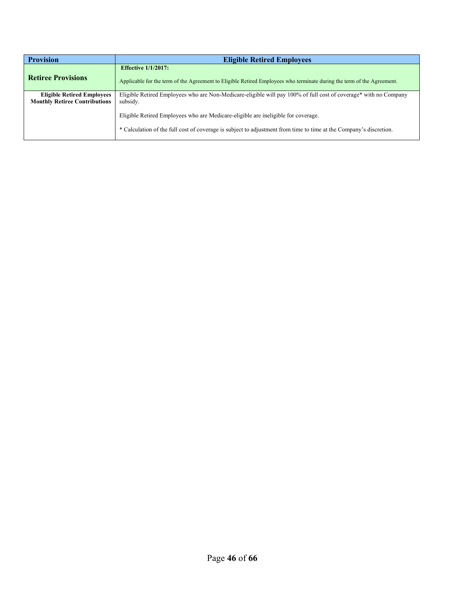| <b>Provision</b>                     | <b>Eligible Retired Employees</b>                                                                                      |
|--------------------------------------|------------------------------------------------------------------------------------------------------------------------|
|                                      | <b>Effective 1/1/2017:</b>                                                                                             |
| <b>Retiree Provisions</b>            | Applicable for the term of the Agreement to Eligible Retired Employees who terminate during the term of the Agreement. |
| <b>Eligible Retired Employees</b>    | Eligible Retired Employees who are Non-Medicare-eligible will pay 100% of full cost of coverage* with no Company       |
| <b>Monthly Retiree Contributions</b> | subsidy.                                                                                                               |
|                                      | Eligible Retired Employees who are Medicare-eligible are ineligible for coverage.                                      |
|                                      | * Calculation of the full cost of coverage is subject to adjustment from time to time at the Company's discretion.     |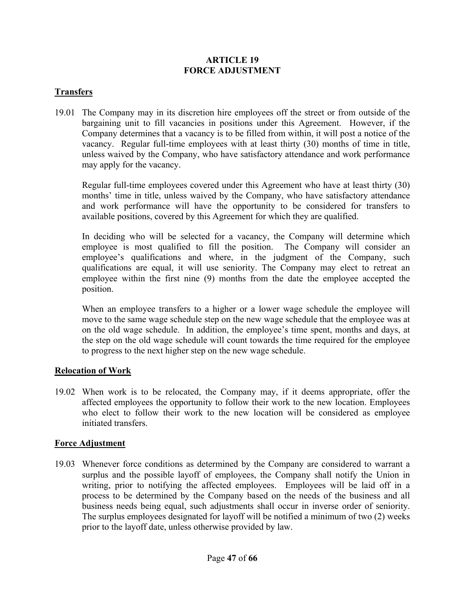#### **ARTICLE 19 FORCE ADJUSTMENT**

#### **Transfers**

19.01 The Company may in its discretion hire employees off the street or from outside of the bargaining unit to fill vacancies in positions under this Agreement. However, if the Company determines that a vacancy is to be filled from within, it will post a notice of the vacancy. Regular full-time employees with at least thirty (30) months of time in title, unless waived by the Company, who have satisfactory attendance and work performance may apply for the vacancy.

Regular full-time employees covered under this Agreement who have at least thirty (30) months' time in title, unless waived by the Company, who have satisfactory attendance and work performance will have the opportunity to be considered for transfers to available positions, covered by this Agreement for which they are qualified.

In deciding who will be selected for a vacancy, the Company will determine which employee is most qualified to fill the position. The Company will consider an employee's qualifications and where, in the judgment of the Company, such qualifications are equal, it will use seniority. The Company may elect to retreat an employee within the first nine (9) months from the date the employee accepted the position.

When an employee transfers to a higher or a lower wage schedule the employee will move to the same wage schedule step on the new wage schedule that the employee was at on the old wage schedule. In addition, the employee's time spent, months and days, at the step on the old wage schedule will count towards the time required for the employee to progress to the next higher step on the new wage schedule.

#### **Relocation of Work**

19.02 When work is to be relocated, the Company may, if it deems appropriate, offer the affected employees the opportunity to follow their work to the new location. Employees who elect to follow their work to the new location will be considered as employee initiated transfers.

#### **Force Adjustment**

19.03 Whenever force conditions as determined by the Company are considered to warrant a surplus and the possible layoff of employees, the Company shall notify the Union in writing, prior to notifying the affected employees. Employees will be laid off in a process to be determined by the Company based on the needs of the business and all business needs being equal, such adjustments shall occur in inverse order of seniority. The surplus employees designated for layoff will be notified a minimum of two (2) weeks prior to the layoff date, unless otherwise provided by law.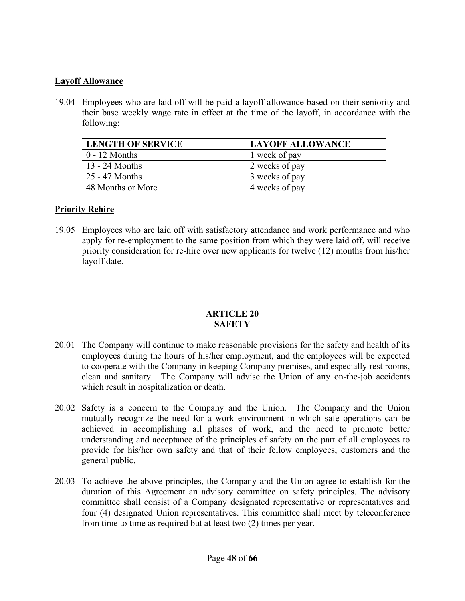#### **Layoff Allowance**

19.04 Employees who are laid off will be paid a layoff allowance based on their seniority and their base weekly wage rate in effect at the time of the layoff, in accordance with the following:

| <b>LENGTH OF SERVICE</b> | <b>LAYOFF ALLOWANCE</b> |
|--------------------------|-------------------------|
| $0 - 12$ Months          | 1 week of pay           |
| 13 - 24 Months           | 2 weeks of pay          |
| 25 - 47 Months           | 3 weeks of pay          |
| 48 Months or More        | 4 weeks of pay          |

#### **Priority Rehire**

19.05 Employees who are laid off with satisfactory attendance and work performance and who apply for re-employment to the same position from which they were laid off, will receive priority consideration for re-hire over new applicants for twelve (12) months from his/her layoff date.

#### **ARTICLE 20 SAFETY**

- 20.01 The Company will continue to make reasonable provisions for the safety and health of its employees during the hours of his/her employment, and the employees will be expected to cooperate with the Company in keeping Company premises, and especially rest rooms, clean and sanitary. The Company will advise the Union of any on-the-job accidents which result in hospitalization or death.
- 20.02 Safety is a concern to the Company and the Union. The Company and the Union mutually recognize the need for a work environment in which safe operations can be achieved in accomplishing all phases of work, and the need to promote better understanding and acceptance of the principles of safety on the part of all employees to provide for his/her own safety and that of their fellow employees, customers and the general public.
- 20.03 To achieve the above principles, the Company and the Union agree to establish for the duration of this Agreement an advisory committee on safety principles. The advisory committee shall consist of a Company designated representative or representatives and four (4) designated Union representatives. This committee shall meet by teleconference from time to time as required but at least two (2) times per year.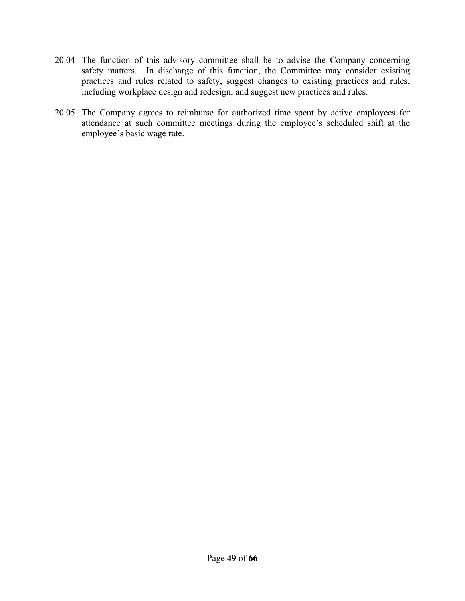- 20.04 The function of this advisory committee shall be to advise the Company concerning safety matters. In discharge of this function, the Committee may consider existing practices and rules related to safety, suggest changes to existing practices and rules, including workplace design and redesign, and suggest new practices and rules.
- 20.05 The Company agrees to reimburse for authorized time spent by active employees for attendance at such committee meetings during the employee's scheduled shift at the employee's basic wage rate.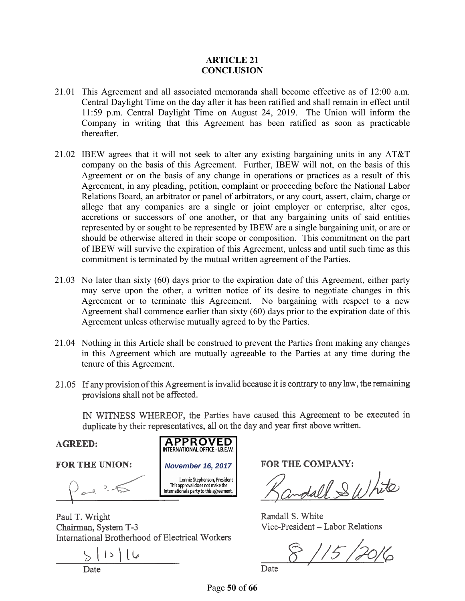#### **ARTICLE 21 CONCLUSION**

- 21.01 This Agreement and all associated memoranda shall become effective as of 12:00 a.m. Central Daylight Time on the day after it has been ratified and shall remain in effect until 11:59 p.m. Central Daylight Time on August 24, 2019. The Union will inform the Company in writing that this Agreement has been ratified as soon as practicable thereafter.
- 21.02 IBEW agrees that it will not seek to alter any existing bargaining units in any AT&T company on the basis of this Agreement. Further, IBEW will not, on the basis of this Agreement or on the basis of any change in operations or practices as a result of this Agreement, in any pleading, petition, complaint or proceeding before the National Labor Relations Board, an arbitrator or panel of arbitrators, or any court, assert, claim, charge or allege that any companies are a single or joint employer or enterprise, alter egos, accretions or successors of one another, or that any bargaining units of said entities represented by or sought to be represented by IBEW are a single bargaining unit, or are or should be otherwise altered in their scope or composition. This commitment on the part of IBEW will survive the expiration of this Agreement, unless and until such time as this commitment is terminated by the mutual written agreement of the Parties.
- 21.03 No later than sixty (60) days prior to the expiration date of this Agreement, either party may serve upon the other, a written notice of its desire to negotiate changes in this Agreement or to terminate this Agreement. No bargaining with respect to a new Agreement shall commence earlier than sixty (60) days prior to the expiration date of this Agreement unless otherwise mutually agreed to by the Parties.
- 21.04 Nothing in this Article shall be construed to prevent the Parties from making any changes in this Agreement which are mutually agreeable to the Parties at any time during the tenure of this Agreement.
- 21.05 If any provision of this Agreement is invalid because it is contrary to any law, the remaining provisions shall not be affected.

IN WITNESS WHEREOF, the Parties have caused this Agreement to be executed in duplicate by their representatives, all on the day and year first above written.

**AGREED:** 

**FOR THE UNION:** 

al 3.5

Paul T. Wright Chairman, System T-3 International Brotherhood of Electrical Workers

**APPROVED**  INTERNATIONAL OFFICE -1.B.E.W.

<sup>L</sup>onnie Stephenson, President **November 16, 2017**<br>
Lonnie Stephenson, President<br>
This approval does not make the<br>
International a party to this agreement.

**FOR THE COMPANY:** 

call & White

Randall S. White Vice-President - Labor Relations

 $8115/2016$ 

Date

Page **50** of **66**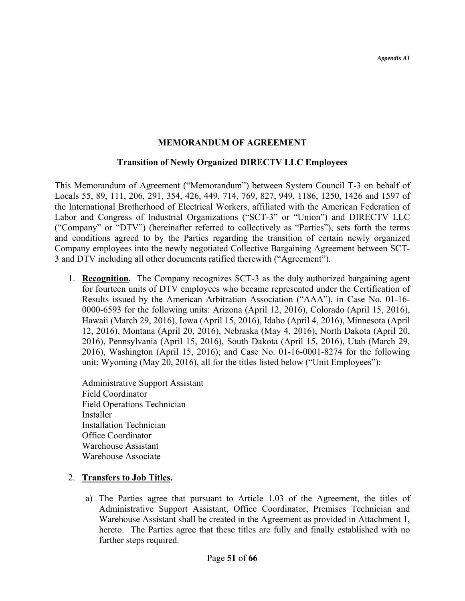#### **MEMORANDUM OF AGREEMENT**

#### **Transition of Newly Organized DIRECTV LLC Employees**

This Memorandum of Agreement ("Memorandum") between System Council T-3 on behalf of Locals 55, 89, 111, 206, 291, 354, 426, 449, 714, 769, 827, 949, 1186, 1250, 1426 and 1597 of the International Brotherhood of Electrical Workers, affiliated with the American Federation of Labor and Congress of Industrial Organizations ("SCT-3" or "Union") and DIRECTV LLC ("Company" or "DTV") (hereinafter referred to collectively as "Parties"), sets forth the terms and conditions agreed to by the Parties regarding the transition of certain newly organized Company employees into the newly negotiated Collective Bargaining Agreement between SCT-3 and DTV including all other documents ratified therewith ("Agreement").

- 1. **Recognition.** The Company recognizes SCT-3 as the duly authorized bargaining agent for fourteen units of DTV employees who became represented under the Certification of Results issued by the American Arbitration Association ("AAA"), in Case No. 01-16- 0000-6593 for the following units: Arizona (April 12, 2016), Colorado (April 15, 2016), Hawaii (March 29, 2016), Iowa (April 15, 2016), Idaho (April 4, 2016), Minnesota (April 12, 2016), Montana (April 20, 2016), Nebraska (May 4, 2016), North Dakota (April 20, 2016), Pennsylvania (April 15, 2016), South Dakota (April 15, 2016), Utah (March 29, 2016), Washington (April 15, 2016); and Case No. 01-16-0001-8274 for the following unit: Wyoming (May 20, 2016), all for the titles listed below ("Unit Employees"):
	- Administrative Support Assistant Field Coordinator Field Operations Technician Installer Installation Technician Office Coordinator Warehouse Assistant Warehouse Associate

#### 2. **Transfers to Job Titles.**

a) The Parties agree that pursuant to Article 1.03 of the Agreement, the titles of Administrative Support Assistant, Office Coordinator, Premises Technician and Warehouse Assistant shall be created in the Agreement as provided in Attachment 1, hereto. The Parties agree that these titles are fully and finally established with no further steps required.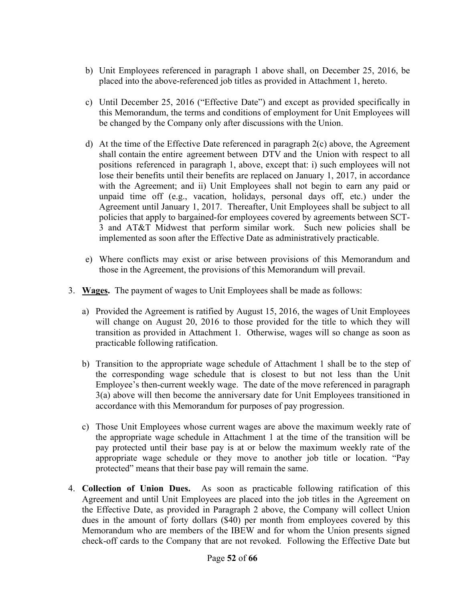- b) Unit Employees referenced in paragraph 1 above shall, on December 25, 2016, be placed into the above-referenced job titles as provided in Attachment 1, hereto.
- c) Until December 25, 2016 ("Effective Date") and except as provided specifically in this Memorandum, the terms and conditions of employment for Unit Employees will be changed by the Company only after discussions with the Union.
- d) At the time of the Effective Date referenced in paragraph 2(c) above, the Agreement shall contain the entire agreement between DTV and the Union with respect to all positions referenced in paragraph 1, above, except that: i) such employees will not lose their benefits until their benefits are replaced on January 1, 2017, in accordance with the Agreement; and ii) Unit Employees shall not begin to earn any paid or unpaid time off (e.g., vacation, holidays, personal days off, etc.) under the Agreement until January 1, 2017. Thereafter, Unit Employees shall be subject to all policies that apply to bargained-for employees covered by agreements between SCT-3 and AT&T Midwest that perform similar work. Such new policies shall be implemented as soon after the Effective Date as administratively practicable.
- e) Where conflicts may exist or arise between provisions of this Memorandum and those in the Agreement, the provisions of this Memorandum will prevail.
- 3. **Wages.** The payment of wages to Unit Employees shall be made as follows:
	- a) Provided the Agreement is ratified by August 15, 2016, the wages of Unit Employees will change on August 20, 2016 to those provided for the title to which they will transition as provided in Attachment 1. Otherwise, wages will so change as soon as practicable following ratification.
	- b) Transition to the appropriate wage schedule of Attachment 1 shall be to the step of the corresponding wage schedule that is closest to but not less than the Unit Employee's then-current weekly wage. The date of the move referenced in paragraph 3(a) above will then become the anniversary date for Unit Employees transitioned in accordance with this Memorandum for purposes of pay progression.
	- c) Those Unit Employees whose current wages are above the maximum weekly rate of the appropriate wage schedule in Attachment 1 at the time of the transition will be pay protected until their base pay is at or below the maximum weekly rate of the appropriate wage schedule or they move to another job title or location. "Pay protected" means that their base pay will remain the same.
- 4. **Collection of Union Dues.** As soon as practicable following ratification of this Agreement and until Unit Employees are placed into the job titles in the Agreement on the Effective Date, as provided in Paragraph 2 above, the Company will collect Union dues in the amount of forty dollars (\$40) per month from employees covered by this Memorandum who are members of the IBEW and for whom the Union presents signed check-off cards to the Company that are not revoked. Following the Effective Date but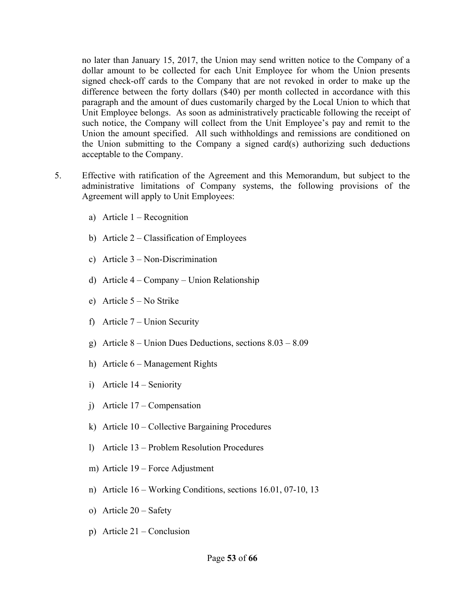no later than January 15, 2017, the Union may send written notice to the Company of a dollar amount to be collected for each Unit Employee for whom the Union presents signed check-off cards to the Company that are not revoked in order to make up the difference between the forty dollars (\$40) per month collected in accordance with this paragraph and the amount of dues customarily charged by the Local Union to which that Unit Employee belongs. As soon as administratively practicable following the receipt of such notice, the Company will collect from the Unit Employee's pay and remit to the Union the amount specified. All such withholdings and remissions are conditioned on the Union submitting to the Company a signed card(s) authorizing such deductions acceptable to the Company.

- 5. Effective with ratification of the Agreement and this Memorandum, but subject to the administrative limitations of Company systems, the following provisions of the Agreement will apply to Unit Employees:
	- a) Article  $1 -$  Recognition
	- b) Article 2 Classification of Employees
	- c) Article 3 Non-Discrimination
	- d) Article 4 Company Union Relationship
	- e) Article 5 No Strike
	- f) Article 7 Union Security
	- g) Article 8 Union Dues Deductions, sections 8.03 8.09
	- h) Article 6 Management Rights
	- i) Article 14 Seniority
	- j) Article 17 Compensation
	- k) Article 10 Collective Bargaining Procedures
	- l) Article 13 Problem Resolution Procedures
	- m) Article 19 Force Adjustment
	- n) Article 16 Working Conditions, sections 16.01, 07-10, 13
	- o) Article 20 Safety
	- p) Article 21 Conclusion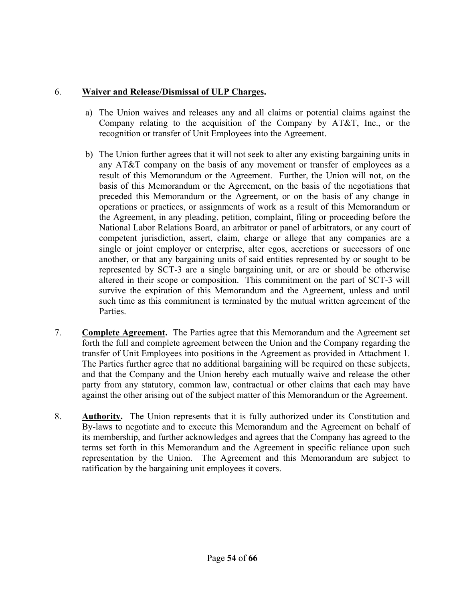### 6. **Waiver and Release/Dismissal of ULP Charges.**

- a) The Union waives and releases any and all claims or potential claims against the Company relating to the acquisition of the Company by AT&T, Inc., or the recognition or transfer of Unit Employees into the Agreement.
- b) The Union further agrees that it will not seek to alter any existing bargaining units in any AT&T company on the basis of any movement or transfer of employees as a result of this Memorandum or the Agreement. Further, the Union will not, on the basis of this Memorandum or the Agreement, on the basis of the negotiations that preceded this Memorandum or the Agreement, or on the basis of any change in operations or practices, or assignments of work as a result of this Memorandum or the Agreement, in any pleading, petition, complaint, filing or proceeding before the National Labor Relations Board, an arbitrator or panel of arbitrators, or any court of competent jurisdiction, assert, claim, charge or allege that any companies are a single or joint employer or enterprise, alter egos, accretions or successors of one another, or that any bargaining units of said entities represented by or sought to be represented by SCT-3 are a single bargaining unit, or are or should be otherwise altered in their scope or composition. This commitment on the part of SCT-3 will survive the expiration of this Memorandum and the Agreement, unless and until such time as this commitment is terminated by the mutual written agreement of the Parties.
- 7. **Complete Agreement.** The Parties agree that this Memorandum and the Agreement set forth the full and complete agreement between the Union and the Company regarding the transfer of Unit Employees into positions in the Agreement as provided in Attachment 1. The Parties further agree that no additional bargaining will be required on these subjects, and that the Company and the Union hereby each mutually waive and release the other party from any statutory, common law, contractual or other claims that each may have against the other arising out of the subject matter of this Memorandum or the Agreement.
- 8. **Authority.** The Union represents that it is fully authorized under its Constitution and By-laws to negotiate and to execute this Memorandum and the Agreement on behalf of its membership, and further acknowledges and agrees that the Company has agreed to the terms set forth in this Memorandum and the Agreement in specific reliance upon such representation by the Union. The Agreement and this Memorandum are subject to ratification by the bargaining unit employees it covers.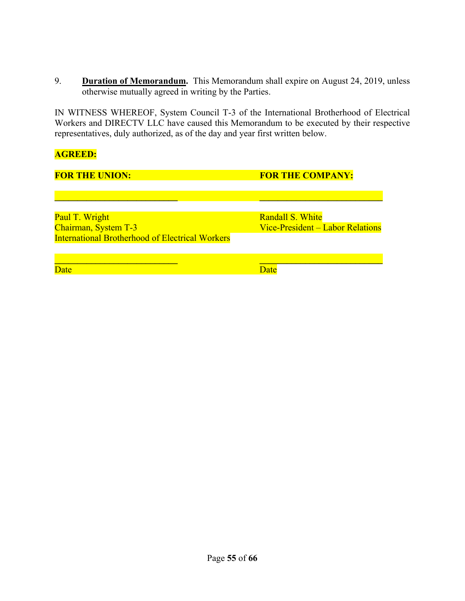9. **Duration of Memorandum.** This Memorandum shall expire on August 24, 2019, unless otherwise mutually agreed in writing by the Parties.

IN WITNESS WHEREOF, System Council T-3 of the International Brotherhood of Electrical Workers and DIRECTV LLC have caused this Memorandum to be executed by their respective representatives, duly authorized, as of the day and year first written below.

#### **AGREED:**

| <b>FOR THE UNION:</b>                                  | <b>FOR THE COMPANY:</b>          |
|--------------------------------------------------------|----------------------------------|
|                                                        |                                  |
|                                                        |                                  |
| Paul T. Wright                                         | Randall S. White                 |
| Chairman, System T-3                                   | Vice-President – Labor Relations |
| <b>International Brotherhood of Electrical Workers</b> |                                  |
|                                                        |                                  |
| Date                                                   | <b>Jate</b>                      |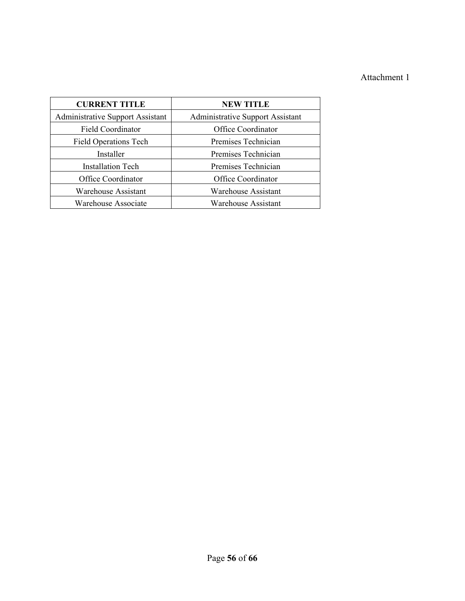## Attachment 1

| <b>CURRENT TITLE</b>                    | <b>NEW TITLE</b>                        |  |
|-----------------------------------------|-----------------------------------------|--|
| <b>Administrative Support Assistant</b> | <b>Administrative Support Assistant</b> |  |
| Field Coordinator                       | Office Coordinator                      |  |
| <b>Field Operations Tech</b>            | Premises Technician                     |  |
| Installer                               | Premises Technician                     |  |
| <b>Installation Tech</b>                | Premises Technician                     |  |
| Office Coordinator                      | Office Coordinator                      |  |
| <b>Warehouse Assistant</b>              | <b>Warehouse Assistant</b>              |  |
| Warehouse Associate                     | <b>Warehouse Assistant</b>              |  |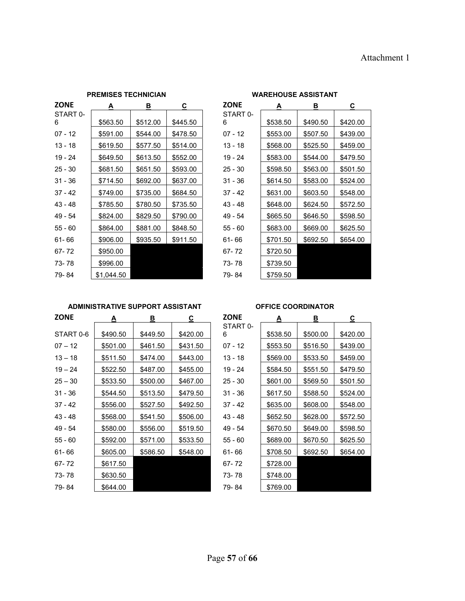| PREMISES I EUNIVIAN |            |          | WARENUUJE AJJIJI AN I |             |          |          |          |
|---------------------|------------|----------|-----------------------|-------------|----------|----------|----------|
| <b>ZONE</b>         | A          | в        | C                     | <b>ZONE</b> | A        | В        | C.       |
| START 0-            |            |          |                       | START 0-    |          |          |          |
| 6                   | \$563.50   | \$512.00 | \$445.50              | 6           | \$538.50 | \$490.50 | \$420.00 |
| $07 - 12$           | \$591.00   | \$544.00 | \$478.50              | $07 - 12$   | \$553.00 | \$507.50 | \$439.00 |
| $13 - 18$           | \$619.50   | \$577.50 | \$514.00              | 13 - 18     | \$568.00 | \$525.50 | \$459.00 |
| 19 - 24             | \$649.50   | \$613.50 | \$552.00              | $19 - 24$   | \$583.00 | \$544.00 | \$479.50 |
| $25 - 30$           | \$681.50   | \$651.50 | \$593.00              | $25 - 30$   | \$598.50 | \$563.00 | \$501.50 |
| $31 - 36$           | \$714.50   | \$692.00 | \$637.00              | $31 - 36$   | \$614.50 | \$583.00 | \$524.00 |
| $37 - 42$           | \$749.00   | \$735.00 | \$684.50              | $37 - 42$   | \$631.00 | \$603.50 | \$548.00 |
| 43 - 48             | \$785.50   | \$780.50 | \$735.50              | 43 - 48     | \$648.00 | \$624.50 | \$572.50 |
| 49 - 54             | \$824.00   | \$829.50 | \$790.00              | 49 - 54     | \$665.50 | \$646.50 | \$598.50 |
| 55 - 60             | \$864.00   | \$881.00 | \$848.50              | 55 - 60     | \$683.00 | \$669.00 | \$625.50 |
| 61-66               | \$906.00   | \$935.50 | \$911.50              | 61-66       | \$701.50 | \$692.50 | \$654.00 |
| 67-72               | \$950.00   |          |                       | 67-72       | \$720.50 |          |          |
| 73-78               | \$996.00   |          |                       | 73-78       | \$739.50 |          |          |
| 79-84               | \$1,044.50 |          |                       | 79-84       | \$759.50 |          |          |

#### **PREMISES TECHNICIAN WAREHOUSE ASSISTANT**

# START 0- 6 \$538.50 \$490.50 \$420.00 67- 72 \$720.50 73-78 \$739.50

#### **ADMINISTRATIVE SUPPORT ASSISTANT OFFICE COORDINATOR**

| <b>ZONE</b> | <u>A</u> | <u>B</u> | <u>c</u> | <b>ZONE</b>   | ≜        | <u>B</u> | <u>c</u> |
|-------------|----------|----------|----------|---------------|----------|----------|----------|
| START 0-6   | \$490.50 | \$449.50 | \$420.00 | START 0-<br>6 | \$538.50 | \$500.00 | \$420.00 |
| $07 - 12$   | \$501.00 | \$461.50 | \$431.50 | $07 - 12$     | \$553.50 | \$516.50 | \$439.00 |
| $13 - 18$   | \$511.50 | \$474.00 | \$443.00 | 13 - 18       | \$569.00 | \$533.50 | \$459.00 |
| $19 - 24$   | \$522.50 | \$487.00 | \$455.00 | 19 - 24       | \$584.50 | \$551.50 | \$479.50 |
| $25 - 30$   | \$533.50 | \$500.00 | \$467.00 | $25 - 30$     | \$601.00 | \$569.50 | \$501.50 |
| $31 - 36$   | \$544.50 | \$513.50 | \$479.50 | $31 - 36$     | \$617.50 | \$588.50 | \$524.00 |
| $37 - 42$   | \$556.00 | \$527.50 | \$492.50 | $37 - 42$     | \$635.00 | \$608.00 | \$548.00 |
| 43 - 48     | \$568.00 | \$541.50 | \$506.00 | 43 - 48       | \$652.50 | \$628.00 | \$572.50 |
| 49 - 54     | \$580.00 | \$556.00 | \$519.50 | 49 - 54       | \$670.50 | \$649.00 | \$598.50 |
| $55 - 60$   | \$592.00 | \$571.00 | \$533.50 | $55 - 60$     | \$689.00 | \$670.50 | \$625.50 |
| 61-66       | \$605.00 | \$586.50 | \$548.00 | $61 - 66$     | \$708.50 | \$692.50 | \$654.00 |
| 67-72       | \$617.50 |          |          | 67-72         | \$728.00 |          |          |
| 73-78       | \$630.50 |          |          | 73-78         | \$748.00 |          |          |
| 79-84       | \$644.00 |          |          | 79-84         | \$769.00 |          |          |

| <b>ZONE</b>   | Α        | В        | $\underline{\mathbf{c}}$ |
|---------------|----------|----------|--------------------------|
| START 0-<br>6 | \$538.50 | \$500.00 | \$420.00                 |
|               |          |          |                          |
| 07 - 12       | \$553.50 | \$516.50 | \$439.00                 |
| $13 - 18$     | \$569.00 | \$533.50 | \$459.00                 |
| $19 - 24$     | \$584.50 | \$551.50 | \$479.50                 |
| $25 - 30$     | \$601.00 | \$569.50 | \$501.50                 |
| 31 - 36       | \$617.50 | \$588.50 | \$524.00                 |
| 37 - 42       | \$635.00 | \$608.00 | \$548.00                 |
| 43 - 48       | \$652.50 | \$628.00 | \$572.50                 |
| 49 - 54       | \$670.50 | \$649.00 | \$598.50                 |
| $55 - 60$     | \$689.00 | \$670.50 | \$625.50                 |
| 61-66         | \$708.50 | \$692.50 | \$654.00                 |
| 67-72         | \$728.00 |          |                          |
| 73-78         | \$748.00 |          |                          |
| 79-84         | \$769.00 |          |                          |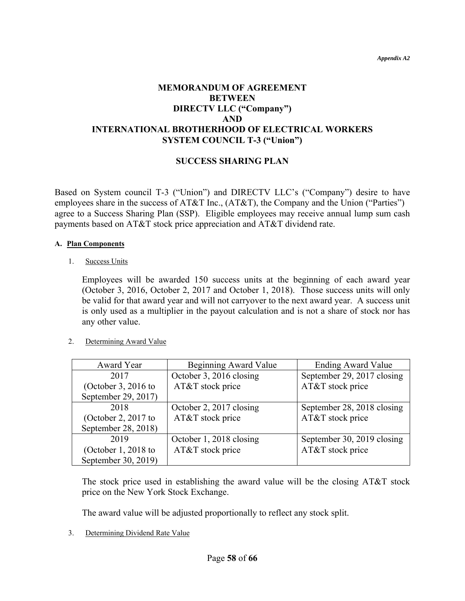#### **MEMORANDUM OF AGREEMENT BETWEEN DIRECTV LLC ("Company") AND INTERNATIONAL BROTHERHOOD OF ELECTRICAL WORKERS SYSTEM COUNCIL T-3 ("Union")**

#### **SUCCESS SHARING PLAN**

Based on System council T-3 ("Union") and DIRECTV LLC's ("Company") desire to have employees share in the success of AT&T Inc., (AT&T), the Company and the Union ("Parties") agree to a Success Sharing Plan (SSP). Eligible employees may receive annual lump sum cash payments based on AT&T stock price appreciation and AT&T dividend rate.

#### **A. Plan Components**

1. Success Units

Employees will be awarded 150 success units at the beginning of each award year (October 3, 2016, October 2, 2017 and October 1, 2018). Those success units will only be valid for that award year and will not carryover to the next award year. A success unit is only used as a multiplier in the payout calculation and is not a share of stock nor has any other value.

#### 2. Determining Award Value

| Award Year            | Beginning Award Value   | <b>Ending Award Value</b>  |
|-----------------------|-------------------------|----------------------------|
| 2017                  | October 3, 2016 closing | September 29, 2017 closing |
| (October 3, 2016 to   | AT&T stock price        | AT&T stock price           |
| September 29, 2017)   |                         |                            |
| 2018                  | October 2, 2017 closing | September 28, 2018 closing |
| (October 2, 2017 to   | AT&T stock price        | AT&T stock price           |
| September 28, 2018)   |                         |                            |
| 2019                  | October 1, 2018 closing | September 30, 2019 closing |
| (October $1, 2018$ to | AT&T stock price        | AT&T stock price           |
| September 30, 2019)   |                         |                            |

The stock price used in establishing the award value will be the closing AT&T stock price on the New York Stock Exchange.

The award value will be adjusted proportionally to reflect any stock split.

3. Determining Dividend Rate Value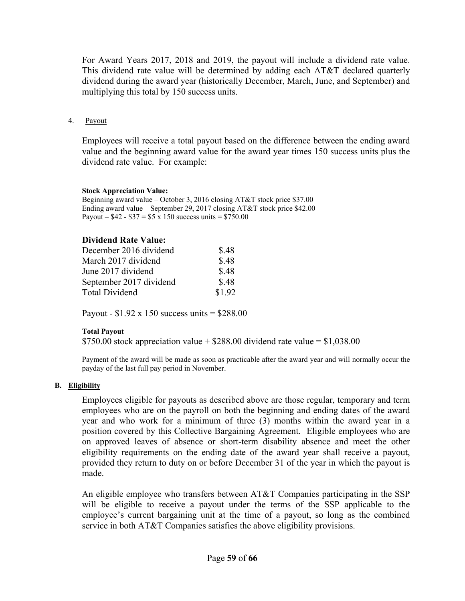For Award Years 2017, 2018 and 2019, the payout will include a dividend rate value. This dividend rate value will be determined by adding each AT&T declared quarterly dividend during the award year (historically December, March, June, and September) and multiplying this total by 150 success units.

4. Payout

Employees will receive a total payout based on the difference between the ending award value and the beginning award value for the award year times 150 success units plus the dividend rate value. For example:

#### **Stock Appreciation Value:**

Beginning award value – October 3, 2016 closing AT&T stock price \$37.00 Ending award value – September 29, 2017 closing AT&T stock price \$42.00 Payout –  $$42 - $37 = $5 \times 150$  success units = \$750.00

#### **Dividend Rate Value:**

| \$.48  |
|--------|
| \$.48  |
| \$.48  |
| \$.48  |
| \$1.92 |
|        |

Payout -  $$1.92 \times 150$  success units =  $$288.00$ 

#### **Total Payout**

\$750.00 stock appreciation value  $+$  \$288.00 dividend rate value = \$1,038.00

Payment of the award will be made as soon as practicable after the award year and will normally occur the payday of the last full pay period in November.

#### **B. Eligibility**

Employees eligible for payouts as described above are those regular, temporary and term employees who are on the payroll on both the beginning and ending dates of the award year and who work for a minimum of three (3) months within the award year in a position covered by this Collective Bargaining Agreement. Eligible employees who are on approved leaves of absence or short-term disability absence and meet the other eligibility requirements on the ending date of the award year shall receive a payout, provided they return to duty on or before December 31 of the year in which the payout is made.

An eligible employee who transfers between AT&T Companies participating in the SSP will be eligible to receive a payout under the terms of the SSP applicable to the employee's current bargaining unit at the time of a payout, so long as the combined service in both AT&T Companies satisfies the above eligibility provisions.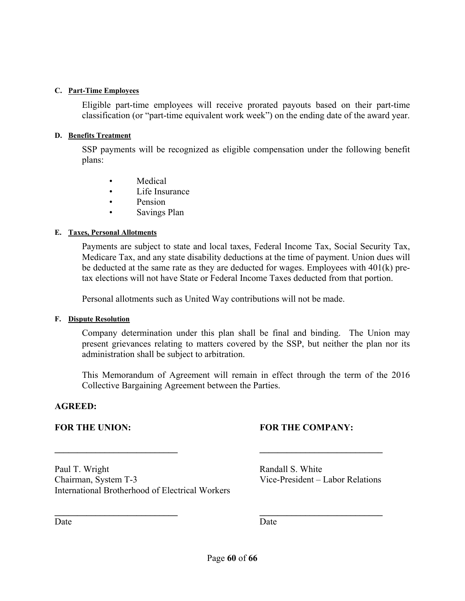#### **C. Part-Time Employees**

Eligible part-time employees will receive prorated payouts based on their part-time classification (or "part-time equivalent work week") on the ending date of the award year.

#### **D. Benefits Treatment**

SSP payments will be recognized as eligible compensation under the following benefit plans:

- Medical
- Life Insurance
- Pension
- Savings Plan

#### **E. Taxes, Personal Allotments**

Payments are subject to state and local taxes, Federal Income Tax, Social Security Tax, Medicare Tax, and any state disability deductions at the time of payment. Union dues will be deducted at the same rate as they are deducted for wages. Employees with 401(k) pretax elections will not have State or Federal Income Taxes deducted from that portion.

Personal allotments such as United Way contributions will not be made.

**\_\_\_\_\_\_\_\_\_\_\_\_\_\_\_\_\_\_\_\_\_\_\_\_\_\_\_ \_\_\_\_\_\_\_\_\_\_\_\_\_\_\_\_\_\_\_\_\_\_\_\_\_\_\_** 

**\_\_\_\_\_\_\_\_\_\_\_\_\_\_\_\_\_\_\_\_\_\_\_\_\_\_\_ \_\_\_\_\_\_\_\_\_\_\_\_\_\_\_\_\_\_\_\_\_\_\_\_\_\_\_** 

#### **F. Dispute Resolution**

Company determination under this plan shall be final and binding. The Union may present grievances relating to matters covered by the SSP, but neither the plan nor its administration shall be subject to arbitration.

This Memorandum of Agreement will remain in effect through the term of the 2016 Collective Bargaining Agreement between the Parties.

#### **AGREED:**

#### FOR THE UNION: **FOR THE COMPANY:**

Paul T. Wright Randall S. White Chairman, System T-3 Vice-President – Labor Relations International Brotherhood of Electrical Workers

Date Date Date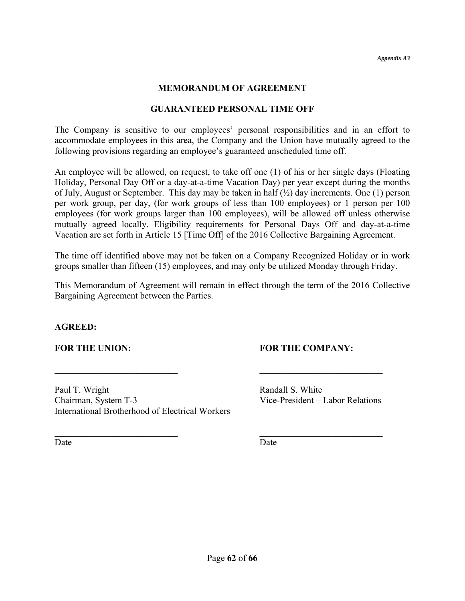#### **MEMORANDUM OF AGREEMENT**

#### **GUARANTEED PERSONAL TIME OFF**

The Company is sensitive to our employees' personal responsibilities and in an effort to accommodate employees in this area, the Company and the Union have mutually agreed to the following provisions regarding an employee's guaranteed unscheduled time off.

An employee will be allowed, on request, to take off one (1) of his or her single days (Floating Holiday, Personal Day Off or a day-at-a-time Vacation Day) per year except during the months of July, August or September. This day may be taken in half  $(\frac{1}{2})$  day increments. One (1) person per work group, per day, (for work groups of less than 100 employees) or 1 person per 100 employees (for work groups larger than 100 employees), will be allowed off unless otherwise mutually agreed locally. Eligibility requirements for Personal Days Off and day-at-a-time Vacation are set forth in Article 15 [Time Off] of the 2016 Collective Bargaining Agreement.

The time off identified above may not be taken on a Company Recognized Holiday or in work groups smaller than fifteen (15) employees, and may only be utilized Monday through Friday.

This Memorandum of Agreement will remain in effect through the term of the 2016 Collective Bargaining Agreement between the Parties.

**\_\_\_\_\_\_\_\_\_\_\_\_\_\_\_\_\_\_\_\_\_\_\_\_\_\_\_ \_\_\_\_\_\_\_\_\_\_\_\_\_\_\_\_\_\_\_\_\_\_\_\_\_\_\_** 

**\_\_\_\_\_\_\_\_\_\_\_\_\_\_\_\_\_\_\_\_\_\_\_\_\_\_\_ \_\_\_\_\_\_\_\_\_\_\_\_\_\_\_\_\_\_\_\_\_\_\_\_\_\_\_** 

#### **AGREED:**

#### **FOR THE UNION: FOR THE COMPANY:**

Paul T. Wright Randall S. White Chairman, System T-3 Vice-President – Labor Relations International Brotherhood of Electrical Workers

Date Date Date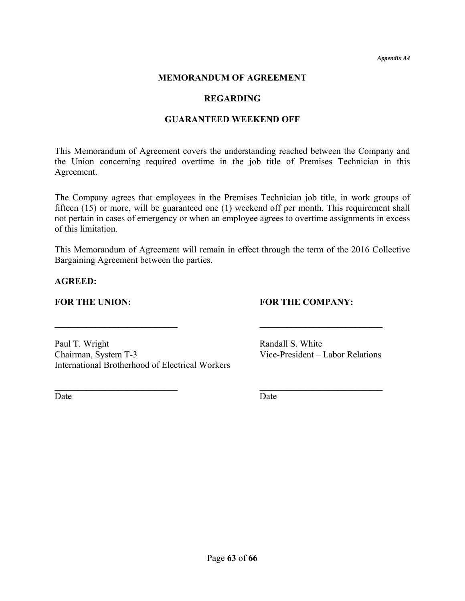*Appendix A4* 

#### **MEMORANDUM OF AGREEMENT**

#### **REGARDING**

#### **GUARANTEED WEEKEND OFF**

This Memorandum of Agreement covers the understanding reached between the Company and the Union concerning required overtime in the job title of Premises Technician in this Agreement.

The Company agrees that employees in the Premises Technician job title, in work groups of fifteen (15) or more, will be guaranteed one (1) weekend off per month. This requirement shall not pertain in cases of emergency or when an employee agrees to overtime assignments in excess of this limitation.

This Memorandum of Agreement will remain in effect through the term of the 2016 Collective Bargaining Agreement between the parties.

 $\mathcal{L} = \{ \mathcal{L} \mid \mathcal{L} \in \mathcal{L} \}$ 

**\_\_\_\_\_\_\_\_\_\_\_\_\_\_\_\_\_\_\_\_\_\_\_\_\_\_\_ \_\_\_\_\_\_\_\_\_\_\_\_\_\_\_\_\_\_\_\_\_\_\_\_\_\_\_** 

**AGREED:** 

#### FOR THE UNION: **FOR THE COMPANY:**

Paul T. Wright Randall S. White Chairman, System T-3 Vice-President – Labor Relations International Brotherhood of Electrical Workers

Date Date Date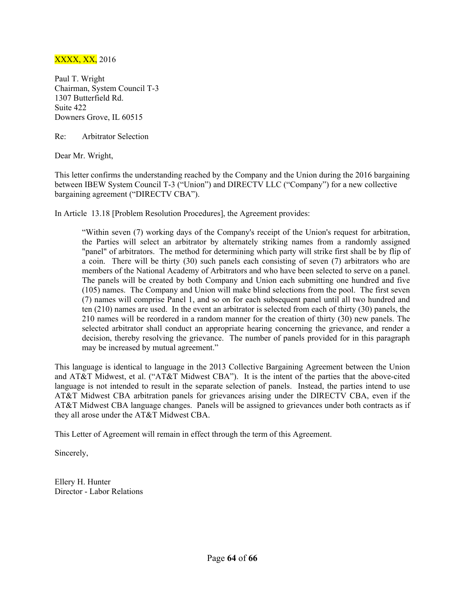#### XXXX, XX, 2016

Paul T. Wright Chairman, System Council T-3 1307 Butterfield Rd. Suite 422 Downers Grove, IL 60515

Re: Arbitrator Selection

Dear Mr. Wright,

This letter confirms the understanding reached by the Company and the Union during the 2016 bargaining between IBEW System Council T-3 ("Union") and DIRECTV LLC ("Company") for a new collective bargaining agreement ("DIRECTV CBA").

In Article 13.18 [Problem Resolution Procedures], the Agreement provides:

"Within seven (7) working days of the Company's receipt of the Union's request for arbitration, the Parties will select an arbitrator by alternately striking names from a randomly assigned "panel" of arbitrators. The method for determining which party will strike first shall be by flip of a coin. There will be thirty (30) such panels each consisting of seven (7) arbitrators who are members of the National Academy of Arbitrators and who have been selected to serve on a panel. The panels will be created by both Company and Union each submitting one hundred and five (105) names. The Company and Union will make blind selections from the pool. The first seven (7) names will comprise Panel 1, and so on for each subsequent panel until all two hundred and ten (210) names are used. In the event an arbitrator is selected from each of thirty (30) panels, the 210 names will be reordered in a random manner for the creation of thirty (30) new panels. The selected arbitrator shall conduct an appropriate hearing concerning the grievance, and render a decision, thereby resolving the grievance. The number of panels provided for in this paragraph may be increased by mutual agreement."

This language is identical to language in the 2013 Collective Bargaining Agreement between the Union and AT&T Midwest, et al. ("AT&T Midwest CBA"). It is the intent of the parties that the above-cited language is not intended to result in the separate selection of panels. Instead, the parties intend to use AT&T Midwest CBA arbitration panels for grievances arising under the DIRECTV CBA, even if the AT&T Midwest CBA language changes. Panels will be assigned to grievances under both contracts as if they all arose under the AT&T Midwest CBA.

This Letter of Agreement will remain in effect through the term of this Agreement.

Sincerely,

Ellery H. Hunter Director - Labor Relations